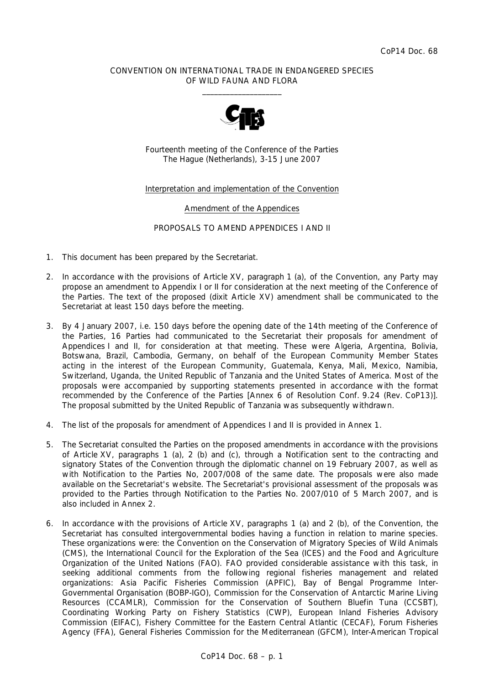## CONVENTION ON INTERNATIONAL TRADE IN ENDANGERED SPECIES OF WILD FAUNA AND FLORA  $\frac{1}{2}$  , and the set of the set of the set of the set of the set of the set of the set of the set of the set of the set of the set of the set of the set of the set of the set of the set of the set of the set of the set



Fourteenth meeting of the Conference of the Parties The Hague (Netherlands), 3-15 June 2007

## Interpretation and implementation of the Convention

## Amendment of the Appendices

## PROPOSALS TO AMEND APPENDICES I AND II

- 1. This document has been prepared by the Secretariat.
- 2. In accordance with the provisions of Article XV, paragraph 1 (a), of the Convention, any Party may propose an amendment to Appendix I or II for consideration at the next meeting of the Conference of the Parties. The text of the proposed (dixit Article XV) amendment shall be communicated to the Secretariat at least 150 days before the meeting.
- 3. By 4 January 2007, i.e. 150 days before the opening date of the 14th meeting of the Conference of the Parties, 16 Parties had communicated to the Secretariat their proposals for amendment of Appendices I and II, for consideration at that meeting. These were Algeria, Argentina, Bolivia, Botswana, Brazil, Cambodia, Germany, on behalf of the European Community Member States acting in the interest of the European Community, Guatemala, Kenya, Mali, Mexico, Namibia, Switzerland, Uganda, the United Republic of Tanzania and the United States of America. Most of the proposals were accompanied by supporting statements presented in accordance with the format recommended by the Conference of the Parties [Annex 6 of Resolution Conf. 9.24 (Rev. CoP13)]. The proposal submitted by the United Republic of Tanzania was subsequently withdrawn.
- 4. The list of the proposals for amendment of Appendices I and II is provided in Annex 1.
- 5. The Secretariat consulted the Parties on the proposed amendments in accordance with the provisions of Article XV, paragraphs 1 (a), 2 (b) and (c), through a Notification sent to the contracting and signatory States of the Convention through the diplomatic channel on 19 February 2007, as well as with Notification to the Parties No, 2007/008 of the same date. The proposals were also made available on the Secretariat's website. The Secretariat's provisional assessment of the proposals was provided to the Parties through Notification to the Parties No. 2007/010 of 5 March 2007, and is also included in Annex 2.
- 6. In accordance with the provisions of Article XV, paragraphs 1 (a) and 2 (b), of the Convention, the Secretariat has consulted intergovernmental bodies having a function in relation to marine species. These organizations were: the Convention on the Conservation of Migratory Species of Wild Animals (CMS), the International Council for the Exploration of the Sea (ICES) and the Food and Agriculture Organization of the United Nations (FAO). FAO provided considerable assistance with this task, in seeking additional comments from the following regional fisheries management and related organizations: Asia Pacific Fisheries Commission (APFIC), Bay of Bengal Programme Inter-Governmental Organisation (BOBP-IGO), Commission for the Conservation of Antarctic Marine Living Resources (CCAMLR), Commission for the Conservation of Southern Bluefin Tuna (CCSBT), Coordinating Working Party on Fishery Statistics (CWP), European Inland Fisheries Advisory Commission (EIFAC), Fishery Committee for the Eastern Central Atlantic (CECAF), Forum Fisheries Agency (FFA), General Fisheries Commission for the Mediterranean (GFCM), Inter-American Tropical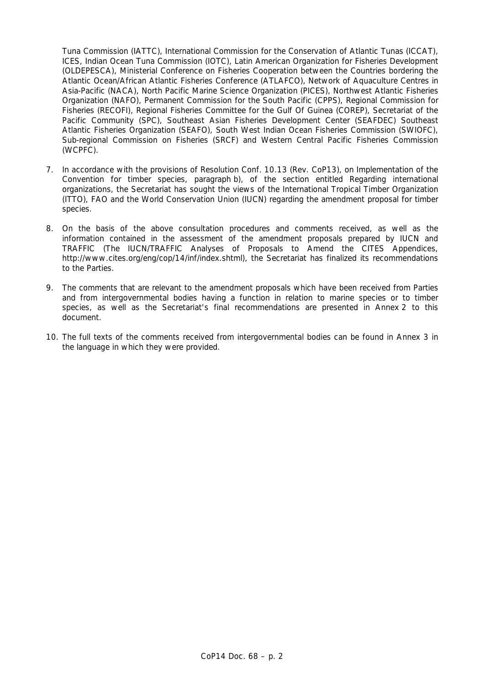Tuna Commission (IATTC), International Commission for the Conservation of Atlantic Tunas (ICCAT), ICES, Indian Ocean Tuna Commission (IOTC), Latin American Organization for Fisheries Development (OLDEPESCA), Ministerial Conference on Fisheries Cooperation between the Countries bordering the Atlantic Ocean/African Atlantic Fisheries Conference (ATLAFCO), Network of Aquaculture Centres in Asia-Pacific (NACA), North Pacific Marine Science Organization (PICES), Northwest Atlantic Fisheries Organization (NAFO), Permanent Commission for the South Pacific (CPPS), Regional Commission for Fisheries (RECOFI), Regional Fisheries Committee for the Gulf Of Guinea (COREP), Secretariat of the Pacific Community (SPC), Southeast Asian Fisheries Development Center (SEAFDEC) Southeast Atlantic Fisheries Organization (SEAFO), South West Indian Ocean Fisheries Commission (SWIOFC), Sub-regional Commission on Fisheries (SRCF) and Western Central Pacific Fisheries Commission (WCPFC).

- 7. In accordance with the provisions of Resolution Conf. 10.13 (Rev. CoP13), on Implementation of the Convention for timber species, paragraph b), of the section entitled *Regarding international organizations*, the Secretariat has sought the views of the International Tropical Timber Organization (ITTO), FAO and the World Conservation Union (IUCN) regarding the amendment proposal for timber species.
- 8. On the basis of the above consultation procedures and comments received, as well as the information contained in the assessment of the amendment proposals prepared by IUCN and TRAFFIC (*The IUCN/TRAFFIC Analyses of Proposals to Amend the CITES Appendices*, http://www.cites.org/eng/cop/14/inf/index.shtml), the Secretariat has finalized its recommendations to the Parties.
- 9. The comments that are relevant to the amendment proposals which have been received from Parties and from intergovernmental bodies having a function in relation to marine species or to timber species, as well as the Secretariat's final recommendations are presented in Annex 2 to this document.
- 10. The full texts of the comments received from intergovernmental bodies can be found in Annex 3 in the language in which they were provided.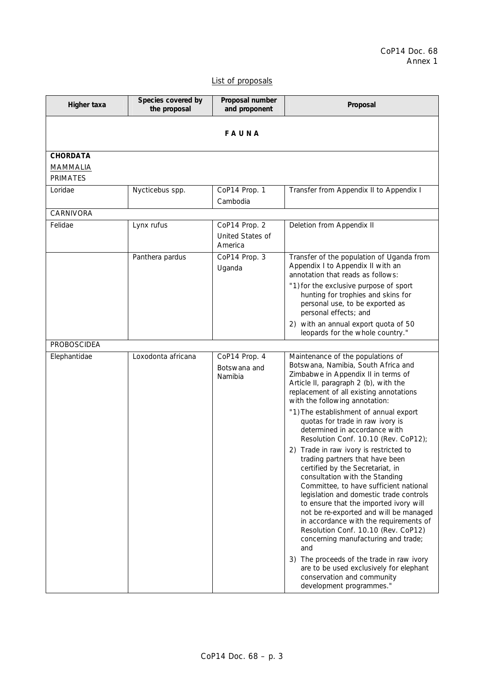# List of proposals

| Higher taxa                                           | Species covered by<br>the proposal | Proposal number<br>and proponent                    | Proposal                                                                                                                                                                                                                                                                                                                                                                                                                                                                                                                                                                                                                                                                                                                                                                                                                                                                                             |
|-------------------------------------------------------|------------------------------------|-----------------------------------------------------|------------------------------------------------------------------------------------------------------------------------------------------------------------------------------------------------------------------------------------------------------------------------------------------------------------------------------------------------------------------------------------------------------------------------------------------------------------------------------------------------------------------------------------------------------------------------------------------------------------------------------------------------------------------------------------------------------------------------------------------------------------------------------------------------------------------------------------------------------------------------------------------------------|
|                                                       |                                    | FAUNA                                               |                                                                                                                                                                                                                                                                                                                                                                                                                                                                                                                                                                                                                                                                                                                                                                                                                                                                                                      |
| <b>CHORDATA</b><br><b>MAMMALIA</b><br><b>PRIMATES</b> |                                    |                                                     |                                                                                                                                                                                                                                                                                                                                                                                                                                                                                                                                                                                                                                                                                                                                                                                                                                                                                                      |
| Loridae                                               | Nycticebus spp.                    | CoP14 Prop. 1<br>Cambodia                           | Transfer from Appendix II to Appendix I                                                                                                                                                                                                                                                                                                                                                                                                                                                                                                                                                                                                                                                                                                                                                                                                                                                              |
| CARNIVORA                                             |                                    |                                                     |                                                                                                                                                                                                                                                                                                                                                                                                                                                                                                                                                                                                                                                                                                                                                                                                                                                                                                      |
| Felidae                                               | Lynx rufus                         | CoP14 Prop. 2<br><b>United States of</b><br>America | Deletion from Appendix II                                                                                                                                                                                                                                                                                                                                                                                                                                                                                                                                                                                                                                                                                                                                                                                                                                                                            |
|                                                       | Panthera pardus                    | CoP14 Prop. 3<br>Uganda                             | Transfer of the population of Uganda from<br>Appendix I to Appendix II with an<br>annotation that reads as follows:<br>"1) for the exclusive purpose of sport<br>hunting for trophies and skins for<br>personal use, to be exported as<br>personal effects; and<br>2) with an annual export quota of 50                                                                                                                                                                                                                                                                                                                                                                                                                                                                                                                                                                                              |
| <b>PROBOSCIDEA</b>                                    |                                    |                                                     | leopards for the whole country."                                                                                                                                                                                                                                                                                                                                                                                                                                                                                                                                                                                                                                                                                                                                                                                                                                                                     |
| Elephantidae                                          | Loxodonta africana                 | CoP14 Prop. 4<br>Botswana and<br>Namibia            | Maintenance of the populations of<br>Botswana, Namibia, South Africa and<br>Zimbabwe in Appendix II in terms of<br>Article II, paragraph 2 (b), with the<br>replacement of all existing annotations<br>with the following annotation:<br>"1) The establishment of annual export<br>quotas for trade in raw ivory is<br>determined in accordance with<br>Resolution Conf. 10.10 (Rev. CoP12);<br>2) Trade in raw ivory is restricted to<br>trading partners that have been<br>certified by the Secretariat, in<br>consultation with the Standing<br>Committee, to have sufficient national<br>legislation and domestic trade controls<br>to ensure that the imported ivory will<br>not be re-exported and will be managed<br>in accordance with the requirements of<br>Resolution Conf. 10.10 (Rev. CoP12)<br>concerning manufacturing and trade;<br>and<br>3) The proceeds of the trade in raw ivory |
|                                                       |                                    |                                                     | are to be used exclusively for elephant<br>conservation and community<br>development programmes."                                                                                                                                                                                                                                                                                                                                                                                                                                                                                                                                                                                                                                                                                                                                                                                                    |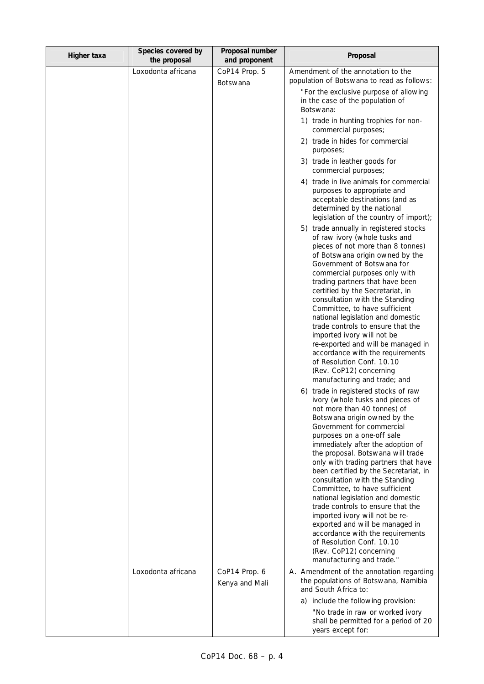| Higher taxa | Species covered by<br>the proposal | Proposal number<br>and proponent | Proposal                                                                                                                                                                                                                                                                                                                                                                                                                                                                                                                                                                                                                                                                                                                                                                                                                                                                                                                                                                                                                                                                                                                                         |
|-------------|------------------------------------|----------------------------------|--------------------------------------------------------------------------------------------------------------------------------------------------------------------------------------------------------------------------------------------------------------------------------------------------------------------------------------------------------------------------------------------------------------------------------------------------------------------------------------------------------------------------------------------------------------------------------------------------------------------------------------------------------------------------------------------------------------------------------------------------------------------------------------------------------------------------------------------------------------------------------------------------------------------------------------------------------------------------------------------------------------------------------------------------------------------------------------------------------------------------------------------------|
|             | Loxodonta africana                 | CoP14 Prop. 5<br><b>Botswana</b> | Amendment of the annotation to the<br>population of Botswana to read as follows:                                                                                                                                                                                                                                                                                                                                                                                                                                                                                                                                                                                                                                                                                                                                                                                                                                                                                                                                                                                                                                                                 |
|             |                                    |                                  | "For the exclusive purpose of allowing<br>in the case of the population of<br>Botswana:                                                                                                                                                                                                                                                                                                                                                                                                                                                                                                                                                                                                                                                                                                                                                                                                                                                                                                                                                                                                                                                          |
|             |                                    |                                  | 1) trade in hunting trophies for non-<br>commercial purposes;                                                                                                                                                                                                                                                                                                                                                                                                                                                                                                                                                                                                                                                                                                                                                                                                                                                                                                                                                                                                                                                                                    |
|             |                                    |                                  | 2) trade in hides for commercial<br>purposes;                                                                                                                                                                                                                                                                                                                                                                                                                                                                                                                                                                                                                                                                                                                                                                                                                                                                                                                                                                                                                                                                                                    |
|             |                                    |                                  | 3) trade in leather goods for<br>commercial purposes;                                                                                                                                                                                                                                                                                                                                                                                                                                                                                                                                                                                                                                                                                                                                                                                                                                                                                                                                                                                                                                                                                            |
|             |                                    |                                  | 4) trade in live animals for commercial<br>purposes to appropriate and<br>acceptable destinations (and as<br>determined by the national<br>legislation of the country of import);                                                                                                                                                                                                                                                                                                                                                                                                                                                                                                                                                                                                                                                                                                                                                                                                                                                                                                                                                                |
|             |                                    |                                  | 5) trade annually in registered stocks<br>of raw ivory (whole tusks and<br>pieces of not more than 8 tonnes)<br>of Botswana origin owned by the<br>Government of Botswana for<br>commercial purposes only with<br>trading partners that have been<br>certified by the Secretariat, in<br>consultation with the Standing<br>Committee, to have sufficient<br>national legislation and domestic<br>trade controls to ensure that the<br>imported ivory will not be<br>re-exported and will be managed in<br>accordance with the requirements<br>of Resolution Conf. 10.10<br>(Rev. CoP12) concerning<br>manufacturing and trade; and<br>6) trade in registered stocks of raw<br>ivory (whole tusks and pieces of<br>not more than 40 tonnes) of<br>Botswana origin owned by the<br>Government for commercial<br>purposes on a one-off sale<br>immediately after the adoption of<br>the proposal. Botswana will trade<br>only with trading partners that have<br>been certified by the Secretariat, in<br>consultation with the Standing<br>Committee, to have sufficient<br>national legislation and domestic<br>trade controls to ensure that the |
|             |                                    |                                  | imported ivory will not be re-<br>exported and will be managed in<br>accordance with the requirements<br>of Resolution Conf. 10.10<br>(Rev. CoP12) concerning<br>manufacturing and trade."                                                                                                                                                                                                                                                                                                                                                                                                                                                                                                                                                                                                                                                                                                                                                                                                                                                                                                                                                       |
|             | Loxodonta africana                 | CoP14 Prop. 6<br>Kenya and Mali  | A. Amendment of the annotation regarding<br>the populations of Botswana, Namibia<br>and South Africa to:                                                                                                                                                                                                                                                                                                                                                                                                                                                                                                                                                                                                                                                                                                                                                                                                                                                                                                                                                                                                                                         |
|             |                                    |                                  | a) include the following provision:                                                                                                                                                                                                                                                                                                                                                                                                                                                                                                                                                                                                                                                                                                                                                                                                                                                                                                                                                                                                                                                                                                              |
|             |                                    |                                  | "No trade in raw or worked ivory<br>shall be permitted for a period of 20<br>years except for:                                                                                                                                                                                                                                                                                                                                                                                                                                                                                                                                                                                                                                                                                                                                                                                                                                                                                                                                                                                                                                                   |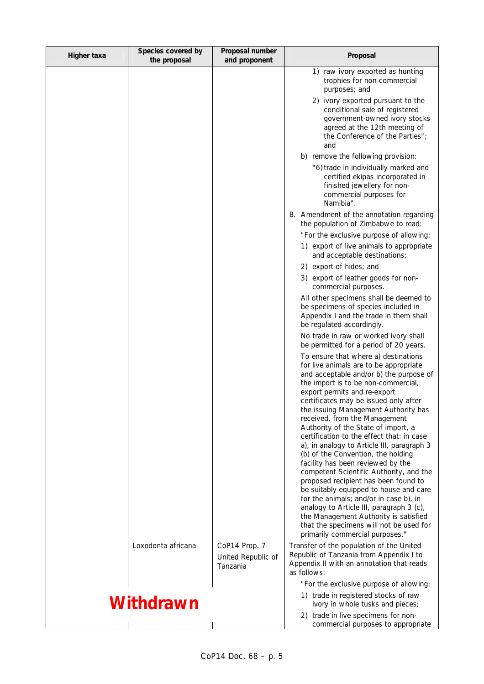| Higher taxa | Species covered by<br>the proposal | Proposal number<br>and proponent                | Proposal                                                                                                                                                                                                                                                                                                                                                                                                                                                                                                                                                                                                                                                                                                                                                                                                                                                                  |
|-------------|------------------------------------|-------------------------------------------------|---------------------------------------------------------------------------------------------------------------------------------------------------------------------------------------------------------------------------------------------------------------------------------------------------------------------------------------------------------------------------------------------------------------------------------------------------------------------------------------------------------------------------------------------------------------------------------------------------------------------------------------------------------------------------------------------------------------------------------------------------------------------------------------------------------------------------------------------------------------------------|
|             |                                    |                                                 | 1) raw ivory exported as hunting<br>trophies for non-commercial<br>purposes; and                                                                                                                                                                                                                                                                                                                                                                                                                                                                                                                                                                                                                                                                                                                                                                                          |
|             |                                    |                                                 | 2) ivory exported pursuant to the<br>conditional sale of registered<br>government-owned ivory stocks<br>agreed at the 12th meeting of<br>the Conference of the Parties";<br>and                                                                                                                                                                                                                                                                                                                                                                                                                                                                                                                                                                                                                                                                                           |
|             |                                    |                                                 | b) remove the following provision:                                                                                                                                                                                                                                                                                                                                                                                                                                                                                                                                                                                                                                                                                                                                                                                                                                        |
|             |                                    |                                                 | "6) trade in individually marked and<br>certified ekipas incorporated in<br>finished jewellery for non-<br>commercial purposes for<br>Namibia".                                                                                                                                                                                                                                                                                                                                                                                                                                                                                                                                                                                                                                                                                                                           |
|             |                                    |                                                 | B. Amendment of the annotation regarding<br>the population of Zimbabwe to read:                                                                                                                                                                                                                                                                                                                                                                                                                                                                                                                                                                                                                                                                                                                                                                                           |
|             |                                    |                                                 | "For the exclusive purpose of allowing:                                                                                                                                                                                                                                                                                                                                                                                                                                                                                                                                                                                                                                                                                                                                                                                                                                   |
|             |                                    |                                                 | 1) export of live animals to appropriate<br>and acceptable destinations;                                                                                                                                                                                                                                                                                                                                                                                                                                                                                                                                                                                                                                                                                                                                                                                                  |
|             |                                    |                                                 | 2) export of hides; and                                                                                                                                                                                                                                                                                                                                                                                                                                                                                                                                                                                                                                                                                                                                                                                                                                                   |
|             |                                    |                                                 | 3) export of leather goods for non-<br>commercial purposes.                                                                                                                                                                                                                                                                                                                                                                                                                                                                                                                                                                                                                                                                                                                                                                                                               |
|             |                                    |                                                 | All other specimens shall be deemed to<br>be specimens of species included in<br>Appendix I and the trade in them shall<br>be regulated accordingly.                                                                                                                                                                                                                                                                                                                                                                                                                                                                                                                                                                                                                                                                                                                      |
|             |                                    |                                                 | No trade in raw or worked ivory shall<br>be permitted for a period of 20 years.                                                                                                                                                                                                                                                                                                                                                                                                                                                                                                                                                                                                                                                                                                                                                                                           |
|             |                                    |                                                 | To ensure that where a) destinations<br>for live animals are to be appropriate<br>and acceptable and/or b) the purpose of<br>the import is to be non-commercial,<br>export permits and re-export<br>certificates may be issued only after<br>the issuing Management Authority has<br>received, from the Management<br>Authority of the State of import, a<br>certification to the effect that: in case<br>a), in analogy to Article III, paragraph 3<br>(b) of the Convention, the holding<br>facility has been reviewed by the<br>competent Scientific Authority, and the<br>proposed recipient has been found to<br>be suitably equipped to house and care<br>for the animals; and/or in case b), in<br>analogy to Article III, paragraph 3 (c),<br>the Management Authority is satisfied<br>that the specimens will not be used for<br>primarily commercial purposes." |
|             | Loxodonta africana                 | CoP14 Prop. 7<br>United Republic of<br>Tanzania | Transfer of the population of the United<br>Republic of Tanzania from Appendix I to<br>Appendix II with an annotation that reads<br>as follows:                                                                                                                                                                                                                                                                                                                                                                                                                                                                                                                                                                                                                                                                                                                           |
|             |                                    |                                                 | "For the exclusive purpose of allowing:                                                                                                                                                                                                                                                                                                                                                                                                                                                                                                                                                                                                                                                                                                                                                                                                                                   |
|             | Withdrawn                          |                                                 | 1) trade in registered stocks of raw<br>ivory in whole tusks and pieces;                                                                                                                                                                                                                                                                                                                                                                                                                                                                                                                                                                                                                                                                                                                                                                                                  |
|             |                                    |                                                 | 2) trade in live specimens for non-<br>commercial purposes to appropriate                                                                                                                                                                                                                                                                                                                                                                                                                                                                                                                                                                                                                                                                                                                                                                                                 |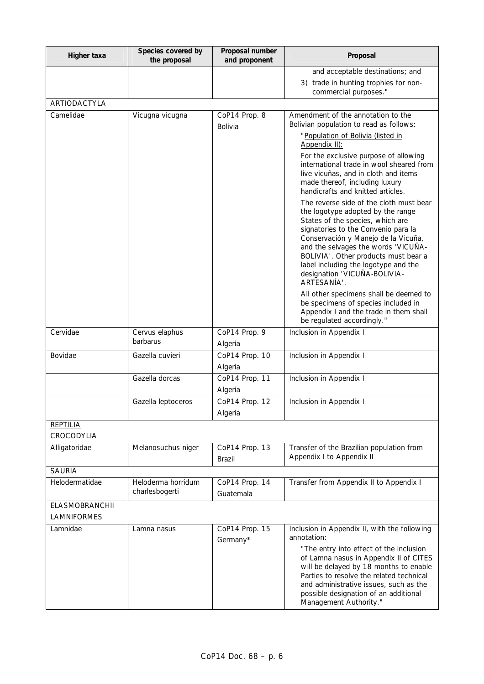| Higher taxa                   | Species covered by<br>the proposal   | Proposal number<br>and proponent | Proposal                                                                                                                                                                                                                                                                                                                                                             |
|-------------------------------|--------------------------------------|----------------------------------|----------------------------------------------------------------------------------------------------------------------------------------------------------------------------------------------------------------------------------------------------------------------------------------------------------------------------------------------------------------------|
|                               |                                      |                                  | and acceptable destinations; and                                                                                                                                                                                                                                                                                                                                     |
|                               |                                      |                                  | 3) trade in hunting trophies for non-<br>commercial purposes."                                                                                                                                                                                                                                                                                                       |
| <b>ARTIODACTYLA</b>           |                                      |                                  |                                                                                                                                                                                                                                                                                                                                                                      |
| Camelidae                     | Vicugna vicugna                      | CoP14 Prop. 8<br>Bolivia         | Amendment of the annotation to the<br>Bolivian population to read as follows:                                                                                                                                                                                                                                                                                        |
|                               |                                      |                                  | "Population of Bolivia (listed in<br>Appendix II):                                                                                                                                                                                                                                                                                                                   |
|                               |                                      |                                  | For the exclusive purpose of allowing<br>international trade in wool sheared from<br>live vicuñas, and in cloth and items<br>made thereof, including luxury<br>handicrafts and knitted articles.                                                                                                                                                                     |
|                               |                                      |                                  | The reverse side of the cloth must bear<br>the logotype adopted by the range<br>States of the species, which are<br>signatories to the Convenio para la<br>Conservación y Manejo de la Vicuña,<br>and the selvages the words 'VICUÑA-<br>BOLIVIA'. Other products must bear a<br>label including the logotype and the<br>designation 'VICUÑA-BOLIVIA-<br>ARTESANÍA'. |
|                               |                                      |                                  | All other specimens shall be deemed to<br>be specimens of species included in<br>Appendix I and the trade in them shall<br>be regulated accordingly."                                                                                                                                                                                                                |
| Cervidae                      | Cervus elaphus<br>barbarus           | CoP14 Prop. 9<br>Algeria         | Inclusion in Appendix I                                                                                                                                                                                                                                                                                                                                              |
| Bovidae                       | Gazella cuvieri                      | CoP14 Prop. 10<br>Algeria        | Inclusion in Appendix I                                                                                                                                                                                                                                                                                                                                              |
|                               | Gazella dorcas                       | CoP14 Prop. 11<br>Algeria        | Inclusion in Appendix I                                                                                                                                                                                                                                                                                                                                              |
|                               | Gazella leptoceros                   | CoP14 Prop. 12<br>Algeria        | Inclusion in Appendix I                                                                                                                                                                                                                                                                                                                                              |
| <b>REPTILIA</b><br>CROCODYLIA |                                      |                                  |                                                                                                                                                                                                                                                                                                                                                                      |
| Alligatoridae                 | Melanosuchus niger                   | CoP14 Prop. 13<br>Brazil         | Transfer of the Brazilian population from<br>Appendix I to Appendix II                                                                                                                                                                                                                                                                                               |
| <b>SAURIA</b>                 |                                      |                                  |                                                                                                                                                                                                                                                                                                                                                                      |
| Helodermatidae                | Heloderma horridum<br>charlesbogerti | CoP14 Prop. 14<br>Guatemala      | Transfer from Appendix II to Appendix I                                                                                                                                                                                                                                                                                                                              |
| <b>ELASMOBRANCHII</b>         |                                      |                                  |                                                                                                                                                                                                                                                                                                                                                                      |
| <b>LAMNIFORMES</b>            |                                      |                                  |                                                                                                                                                                                                                                                                                                                                                                      |
| Lamnidae                      | Lamna nasus                          | CoP14 Prop. 15<br>Germany*       | Inclusion in Appendix II, with the following<br>annotation:                                                                                                                                                                                                                                                                                                          |
|                               |                                      |                                  | "The entry into effect of the inclusion<br>of Lamna nasus in Appendix II of CITES<br>will be delayed by 18 months to enable<br>Parties to resolve the related technical<br>and administrative issues, such as the<br>possible designation of an additional<br>Management Authority."                                                                                 |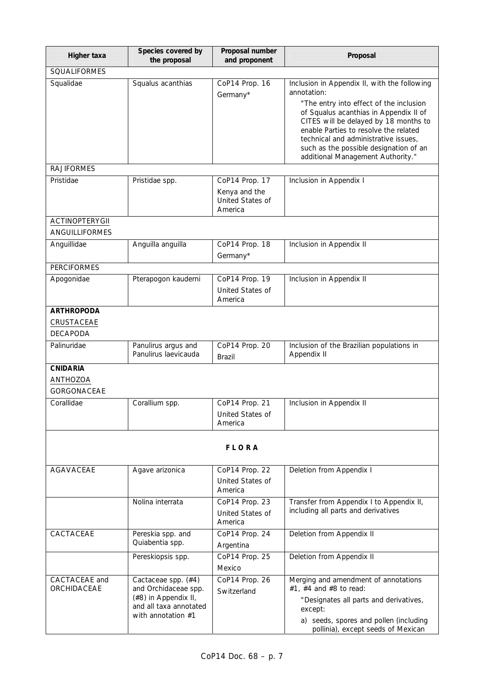| Squalus acanthias                                                                                                     | CoP14 Prop. 16<br>Germany*                           | Inclusion in Appendix II, with the following<br>annotation:                                                                                                                                         |
|-----------------------------------------------------------------------------------------------------------------------|------------------------------------------------------|-----------------------------------------------------------------------------------------------------------------------------------------------------------------------------------------------------|
|                                                                                                                       |                                                      |                                                                                                                                                                                                     |
|                                                                                                                       |                                                      | "The entry into effect of the inclusion<br>of Squalus acanthias in Appendix II of<br>CITES will be delayed by 18 months to<br>enable Parties to resolve the related                                 |
|                                                                                                                       |                                                      | technical and administrative issues.<br>such as the possible designation of an<br>additional Management Authority."                                                                                 |
|                                                                                                                       |                                                      |                                                                                                                                                                                                     |
| Pristidae spp.                                                                                                        | Kenya and the<br>United States of<br>America         | Inclusion in Appendix I                                                                                                                                                                             |
|                                                                                                                       |                                                      |                                                                                                                                                                                                     |
|                                                                                                                       |                                                      |                                                                                                                                                                                                     |
|                                                                                                                       | Germany*                                             | Inclusion in Appendix II                                                                                                                                                                            |
|                                                                                                                       |                                                      |                                                                                                                                                                                                     |
| Pterapogon kauderni                                                                                                   | CoP14 Prop. 19<br>United States of<br>America        | Inclusion in Appendix II                                                                                                                                                                            |
|                                                                                                                       |                                                      |                                                                                                                                                                                                     |
| Panulirus argus and<br>Panulirus laevicauda                                                                           | CoP14 Prop. 20<br>Brazil                             | Inclusion of the Brazilian populations in<br>Appendix II                                                                                                                                            |
|                                                                                                                       |                                                      |                                                                                                                                                                                                     |
| Corallium spp.                                                                                                        | CoP14 Prop. 21<br>United States of<br>America        | Inclusion in Appendix II                                                                                                                                                                            |
|                                                                                                                       | <b>FLORA</b>                                         |                                                                                                                                                                                                     |
| Agave arizonica                                                                                                       | CoP14 Prop. 22<br>United States of<br>America        | Deletion from Appendix I                                                                                                                                                                            |
| Nolina interrata                                                                                                      | CoP14 Prop. 23<br><b>United States of</b><br>America | Transfer from Appendix I to Appendix II,<br>including all parts and derivatives                                                                                                                     |
| Pereskia spp. and<br>Quiabentia spp.                                                                                  | CoP14 Prop. 24<br>Argentina                          | Deletion from Appendix II                                                                                                                                                                           |
| Pereskiopsis spp.                                                                                                     | CoP14 Prop. 25<br>Mexico                             | Deletion from Appendix II                                                                                                                                                                           |
| Cactaceae spp. (#4)<br>and Orchidaceae spp.<br>(#8) in Appendix II,<br>and all taxa annotated<br>with annotation $#1$ | CoP14 Prop. 26<br>Switzerland                        | Merging and amendment of annotations<br>#1, #4 and #8 to read:<br>"Designates all parts and derivatives,<br>except:<br>a) seeds, spores and pollen (including<br>pollinia), except seeds of Mexican |
|                                                                                                                       | Anguilla anguilla                                    | CoP14 Prop. 17<br>CoP14 Prop. 18                                                                                                                                                                    |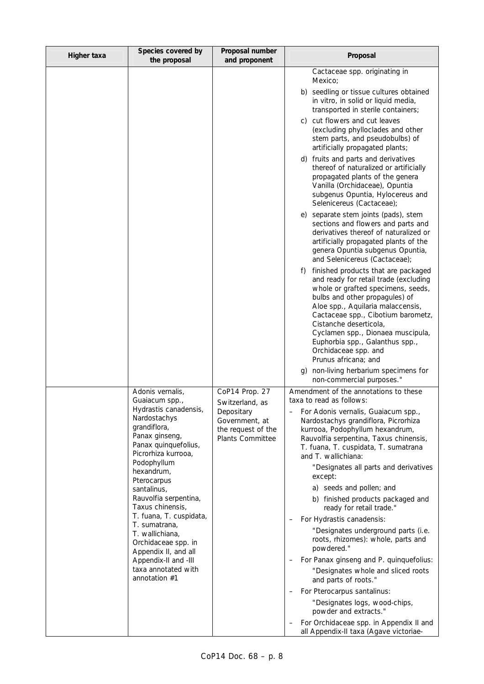| Higher taxa | Species covered by<br>the proposal                                                            | Proposal number<br>and proponent                                       | Proposal                                                                                                                                                                                                                                                                                                                                                                                |
|-------------|-----------------------------------------------------------------------------------------------|------------------------------------------------------------------------|-----------------------------------------------------------------------------------------------------------------------------------------------------------------------------------------------------------------------------------------------------------------------------------------------------------------------------------------------------------------------------------------|
|             |                                                                                               |                                                                        | Cactaceae spp. originating in<br>Mexico;                                                                                                                                                                                                                                                                                                                                                |
|             |                                                                                               |                                                                        | b) seedling or tissue cultures obtained<br>in vitro, in solid or liquid media,<br>transported in sterile containers;                                                                                                                                                                                                                                                                    |
|             |                                                                                               |                                                                        | c) cut flowers and cut leaves<br>(excluding phylloclades and other<br>stem parts, and pseudobulbs) of<br>artificially propagated plants;                                                                                                                                                                                                                                                |
|             |                                                                                               |                                                                        | d) fruits and parts and derivatives<br>thereof of naturalized or artificially<br>propagated plants of the genera<br>Vanilla (Orchidaceae), Opuntia<br>subgenus Opuntia, Hylocereus and<br>Selenicereus (Cactaceae);                                                                                                                                                                     |
|             |                                                                                               |                                                                        | e) separate stem joints (pads), stem<br>sections and flowers and parts and<br>derivatives thereof of naturalized or<br>artificially propagated plants of the<br>genera Opuntia subgenus Opuntia,<br>and Selenicereus (Cactaceae);                                                                                                                                                       |
|             |                                                                                               |                                                                        | finished products that are packaged<br>f)<br>and ready for retail trade (excluding<br>whole or grafted specimens, seeds,<br>bulbs and other propagules) of<br>Aloe spp., Aquilaria malaccensis,<br>Cactaceae spp., Cibotium barometz,<br>Cistanche deserticola,<br>Cyclamen spp., Dionaea muscipula,<br>Euphorbia spp., Galanthus spp.,<br>Orchidaceae spp. and<br>Prunus africana; and |
|             |                                                                                               |                                                                        | non-living herbarium specimens for<br>g)<br>non-commercial purposes."                                                                                                                                                                                                                                                                                                                   |
|             | Adonis vernalis,<br>Guaiacum spp.,<br>Hydrastis canadensis,                                   | CoP14 Prop. 27<br>Switzerland, as                                      | Amendment of the annotations to these<br>taxa to read as follows:                                                                                                                                                                                                                                                                                                                       |
|             | Nardostachys<br>grandiflora,<br>Panax ginseng,<br>Panax quinquefolius,<br>Picrorhiza kurrooa, | Depositary<br>Government, at<br>the request of the<br>Plants Committee | For Adonis vernalis, Guaiacum spp.,<br>Nardostachys grandiflora, Picrorhiza<br>kurrooa, Podophyllum hexandrum,<br>Rauvolfia serpentina, Taxus chinensis,<br>T. fuana, T. cuspidata, T. sumatrana<br>and T. wallichiana:                                                                                                                                                                 |
|             | Podophyllum<br>hexandrum,<br>Pterocarpus                                                      |                                                                        | "Designates all parts and derivatives<br>except:                                                                                                                                                                                                                                                                                                                                        |
|             | santalinus,<br>Rauvolfia serpentina,                                                          |                                                                        | a) seeds and pollen; and<br>b) finished products packaged and                                                                                                                                                                                                                                                                                                                           |
|             | Taxus chinensis,<br>T. fuana, T. cuspidata,                                                   |                                                                        | ready for retail trade."<br>For Hydrastis canadensis:                                                                                                                                                                                                                                                                                                                                   |
|             | T. sumatrana,<br>T. wallichiana,<br>Orchidaceae spp. in                                       |                                                                        | "Designates underground parts (i.e.<br>roots, rhizomes): whole, parts and<br>powdered."                                                                                                                                                                                                                                                                                                 |
|             | Appendix II, and all<br>Appendix-II and -III                                                  |                                                                        | For Panax ginseng and P. quinquefolius:                                                                                                                                                                                                                                                                                                                                                 |
|             | taxa annotated with<br>annotation #1                                                          |                                                                        | "Designates whole and sliced roots<br>and parts of roots."                                                                                                                                                                                                                                                                                                                              |
|             |                                                                                               |                                                                        | For Pterocarpus santalinus:<br>"Designates logs, wood-chips,                                                                                                                                                                                                                                                                                                                            |
|             |                                                                                               |                                                                        | powder and extracts."<br>For Orchidaceae spp. in Appendix II and                                                                                                                                                                                                                                                                                                                        |
|             |                                                                                               |                                                                        | all Appendix-II taxa (Agave victoriae-                                                                                                                                                                                                                                                                                                                                                  |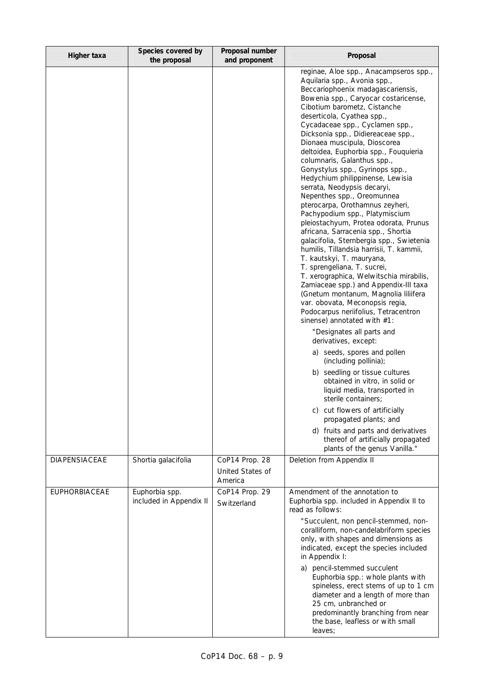| Higher taxa          | Species covered by<br>the proposal        | Proposal number<br>and proponent              | Proposal                                                                                                                                                                                                                                                                                                                                                                                                                                                                                                                                                                                                                                                                                                                                                                                                                                                                                                                                                                                                                                                                                                                                                                                                                                                                                                                                                                                                                                                                                               |
|----------------------|-------------------------------------------|-----------------------------------------------|--------------------------------------------------------------------------------------------------------------------------------------------------------------------------------------------------------------------------------------------------------------------------------------------------------------------------------------------------------------------------------------------------------------------------------------------------------------------------------------------------------------------------------------------------------------------------------------------------------------------------------------------------------------------------------------------------------------------------------------------------------------------------------------------------------------------------------------------------------------------------------------------------------------------------------------------------------------------------------------------------------------------------------------------------------------------------------------------------------------------------------------------------------------------------------------------------------------------------------------------------------------------------------------------------------------------------------------------------------------------------------------------------------------------------------------------------------------------------------------------------------|
|                      |                                           |                                               | reginae, Aloe spp., Anacampseros spp.,<br>Aquilaria spp., Avonia spp.,<br>Beccariophoenix madagascariensis,<br>Bowenia spp., Caryocar costaricense,<br>Cibotium barometz, Cistanche<br>deserticola, Cyathea spp.,<br>Cycadaceae spp., Cyclamen spp.,<br>Dicksonia spp., Didiereaceae spp.,<br>Dionaea muscipula, Dioscorea<br>deltoidea, Euphorbia spp., Fouquieria<br>columnaris, Galanthus spp.,<br>Gonystylus spp., Gyrinops spp.,<br>Hedychium philippinense, Lewisia<br>serrata, Neodypsis decaryi,<br>Nepenthes spp., Oreomunnea<br>pterocarpa, Orothamnus zeyheri,<br>Pachypodium spp., Platymiscium<br>pleiostachyum, Protea odorata, Prunus<br>africana, Sarracenia spp., Shortia<br>galacifolia, Sternbergia spp., Swietenia<br>humilis, Tillandsia harrisii, T. kammii,<br>T. kautskyi, T. mauryana,<br>T. sprengeliana, T. sucrei,<br>T. xerographica, Welwitschia mirabilis,<br>Zamiaceae spp.) and Appendix-III taxa<br>(Gnetum montanum, Magnolia liliifera<br>var. obovata, Meconopsis regia,<br>Podocarpus neriifolius, Tetracentron<br>sinense) annotated with #1:<br>"Designates all parts and<br>derivatives, except:<br>a) seeds, spores and pollen<br>(including pollinia);<br>b) seedling or tissue cultures<br>obtained in vitro, in solid or<br>liquid media, transported in<br>sterile containers;<br>c) cut flowers of artificially<br>propagated plants; and<br>d) fruits and parts and derivatives<br>thereof of artificially propagated<br>plants of the genus Vanilla." |
| <b>DIAPENSIACEAE</b> | Shortia galacifolia                       | CoP14 Prop. 28<br>United States of<br>America | Deletion from Appendix II                                                                                                                                                                                                                                                                                                                                                                                                                                                                                                                                                                                                                                                                                                                                                                                                                                                                                                                                                                                                                                                                                                                                                                                                                                                                                                                                                                                                                                                                              |
| <b>EUPHORBIACEAE</b> | Euphorbia spp.<br>included in Appendix II | CoP14 Prop. 29<br>Switzerland                 | Amendment of the annotation to<br>Euphorbia spp. included in Appendix II to<br>read as follows:<br>"Succulent, non pencil-stemmed, non-<br>coralliform, non-candelabriform species<br>only, with shapes and dimensions as<br>indicated, except the species included<br>in Appendix I:<br>pencil-stemmed succulent<br>a)<br>Euphorbia spp.: whole plants with<br>spineless, erect stems of up to 1 cm<br>diameter and a length of more than<br>25 cm, unbranched or<br>predominantly branching from near<br>the base, leafless or with small<br>leaves;                                                                                                                                                                                                                                                                                                                                                                                                                                                                                                                                                                                                                                                                                                                                                                                                                                                                                                                                                 |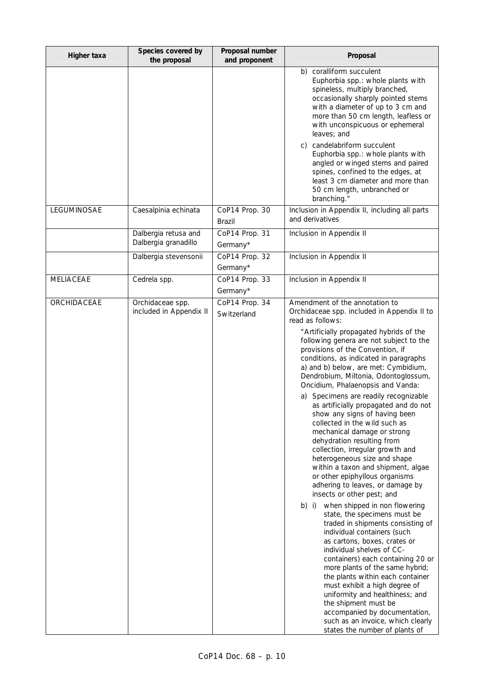| Higher taxa      | Species covered by<br>the proposal           | Proposal number<br>and proponent | Proposal                                                                                                                                                                                                                                                                                                                                                                                                                                                                                                                                                                                                                                                                                                                                                                                                                                                                                                                                                                                                                                                                                                                                                                                                                                                                                                                                             |
|------------------|----------------------------------------------|----------------------------------|------------------------------------------------------------------------------------------------------------------------------------------------------------------------------------------------------------------------------------------------------------------------------------------------------------------------------------------------------------------------------------------------------------------------------------------------------------------------------------------------------------------------------------------------------------------------------------------------------------------------------------------------------------------------------------------------------------------------------------------------------------------------------------------------------------------------------------------------------------------------------------------------------------------------------------------------------------------------------------------------------------------------------------------------------------------------------------------------------------------------------------------------------------------------------------------------------------------------------------------------------------------------------------------------------------------------------------------------------|
|                  |                                              |                                  | b) coralliform succulent<br>Euphorbia spp.: whole plants with<br>spineless, multiply branched,<br>occasionally sharply pointed stems<br>with a diameter of up to 3 cm and<br>more than 50 cm length, leafless or<br>with unconspicuous or ephemeral<br>leaves; and<br>c) candelabriform succulent<br>Euphorbia spp.: whole plants with<br>angled or winged stems and paired<br>spines, confined to the edges, at<br>least 3 cm diameter and more than<br>50 cm length, unbranched or<br>branching."                                                                                                                                                                                                                                                                                                                                                                                                                                                                                                                                                                                                                                                                                                                                                                                                                                                  |
| LEGUMINOSAE      | Caesalpinia echinata                         | CoP14 Prop. 30<br>Brazil         | Inclusion in Appendix II, including all parts<br>and derivatives                                                                                                                                                                                                                                                                                                                                                                                                                                                                                                                                                                                                                                                                                                                                                                                                                                                                                                                                                                                                                                                                                                                                                                                                                                                                                     |
|                  | Dalbergia retusa and<br>Dalbergia granadillo | CoP14 Prop. 31<br>Germany*       | Inclusion in Appendix II                                                                                                                                                                                                                                                                                                                                                                                                                                                                                                                                                                                                                                                                                                                                                                                                                                                                                                                                                                                                                                                                                                                                                                                                                                                                                                                             |
|                  | Dalbergia stevensonii                        | CoP14 Prop. 32<br>Germany*       | Inclusion in Appendix II                                                                                                                                                                                                                                                                                                                                                                                                                                                                                                                                                                                                                                                                                                                                                                                                                                                                                                                                                                                                                                                                                                                                                                                                                                                                                                                             |
| <b>MELIACEAE</b> | Cedrela spp.                                 | CoP14 Prop. 33<br>Germany*       | Inclusion in Appendix II                                                                                                                                                                                                                                                                                                                                                                                                                                                                                                                                                                                                                                                                                                                                                                                                                                                                                                                                                                                                                                                                                                                                                                                                                                                                                                                             |
| ORCHIDACEAE      | Orchidaceae spp.<br>included in Appendix II  | CoP14 Prop. 34<br>Switzerland    | Amendment of the annotation to<br>Orchidaceae spp. included in Appendix II to<br>read as follows:<br>"Artificially propagated hybrids of the<br>following genera are not subject to the<br>provisions of the Convention, if<br>conditions, as indicated in paragraphs<br>a) and b) below, are met: Cymbidium,<br>Dendrobium, Miltonia, Odontoglossum,<br>Oncidium, Phalaenopsis and Vanda:<br>Specimens are readily recognizable<br>a)<br>as artificially propagated and do not<br>show any signs of having been<br>collected in the wild such as<br>mechanical damage or strong<br>dehydration resulting from<br>collection, irregular growth and<br>heterogeneous size and shape<br>within a taxon and shipment, algae<br>or other epiphyllous organisms<br>adhering to leaves, or damage by<br>insects or other pest; and<br>b) i) when shipped in non flowering<br>state, the specimens must be<br>traded in shipments consisting of<br>individual containers (such<br>as cartons, boxes, crates or<br>individual shelves of CC-<br>containers) each containing 20 or<br>more plants of the same hybrid;<br>the plants within each container<br>must exhibit a high degree of<br>uniformity and healthiness; and<br>the shipment must be<br>accompanied by documentation,<br>such as an invoice, which clearly<br>states the number of plants of |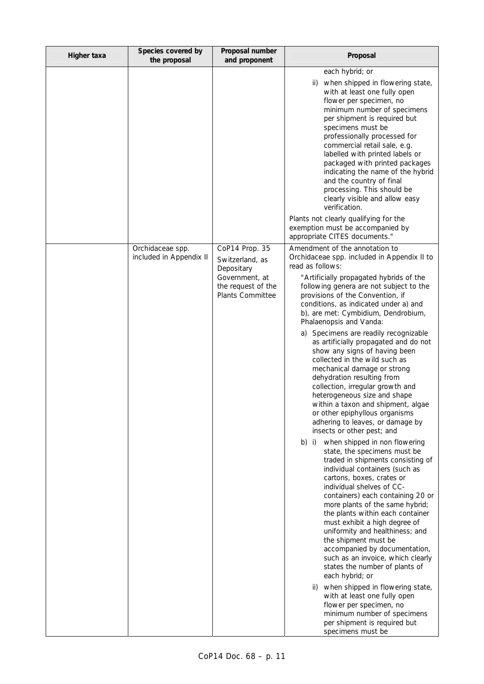| Higher taxa | Species covered by<br>the proposal          | Proposal number<br>and proponent                                                                                   | Proposal                                                                                                                                                                                                                                                                                                                                                                                                                                                                                                                                                                                                                                                                                                                                                                                                                                                                                                                                                                                                                                                                                                                                                                                                                                                                                                                                                                                                                                                                                                      |
|-------------|---------------------------------------------|--------------------------------------------------------------------------------------------------------------------|---------------------------------------------------------------------------------------------------------------------------------------------------------------------------------------------------------------------------------------------------------------------------------------------------------------------------------------------------------------------------------------------------------------------------------------------------------------------------------------------------------------------------------------------------------------------------------------------------------------------------------------------------------------------------------------------------------------------------------------------------------------------------------------------------------------------------------------------------------------------------------------------------------------------------------------------------------------------------------------------------------------------------------------------------------------------------------------------------------------------------------------------------------------------------------------------------------------------------------------------------------------------------------------------------------------------------------------------------------------------------------------------------------------------------------------------------------------------------------------------------------------|
|             |                                             |                                                                                                                    | each hybrid; or<br>when shipped in flowering state,<br>ii)<br>with at least one fully open<br>flower per specimen, no<br>minimum number of specimens<br>per shipment is required but<br>specimens must be<br>professionally processed for<br>commercial retail sale, e.g.<br>labelled with printed labels or<br>packaged with printed packages<br>indicating the name of the hybrid<br>and the country of final<br>processing. This should be<br>clearly visible and allow easy<br>verification.<br>Plants not clearly qualifying for the<br>exemption must be accompanied by<br>appropriate CITES documents."                                                                                                                                                                                                                                                                                                                                                                                                                                                                                                                                                                                                                                                                                                                                                                                                                                                                                                |
|             | Orchidaceae spp.<br>included in Appendix II | CoP14 Prop. 35<br>Switzerland, as<br>Depositary<br>Government, at<br>the request of the<br><b>Plants Committee</b> | Amendment of the annotation to<br>Orchidaceae spp. included in Appendix II to<br>read as follows:<br>"Artificially propagated hybrids of the<br>following genera are not subject to the<br>provisions of the Convention, if<br>conditions, as indicated under a) and<br>b), are met: Cymbidium, Dendrobium,<br>Phalaenopsis and Vanda:<br>Specimens are readily recognizable<br>a)<br>as artificially propagated and do not<br>show any signs of having been<br>collected in the wild such as<br>mechanical damage or strong<br>dehydration resulting from<br>collection, irregular growth and<br>heterogeneous size and shape<br>within a taxon and shipment, algae<br>or other epiphyllous organisms<br>adhering to leaves, or damage by<br>insects or other pest; and<br>b) i) when shipped in non flowering<br>state, the specimens must be<br>traded in shipments consisting of<br>individual containers (such as<br>cartons, boxes, crates or<br>individual shelves of CC-<br>containers) each containing 20 or<br>more plants of the same hybrid;<br>the plants within each container<br>must exhibit a high degree of<br>uniformity and healthiness; and<br>the shipment must be<br>accompanied by documentation,<br>such as an invoice, which clearly<br>states the number of plants of<br>each hybrid; or<br>when shipped in flowering state,<br>ii)<br>with at least one fully open<br>flower per specimen, no<br>minimum number of specimens<br>per shipment is required but<br>specimens must be |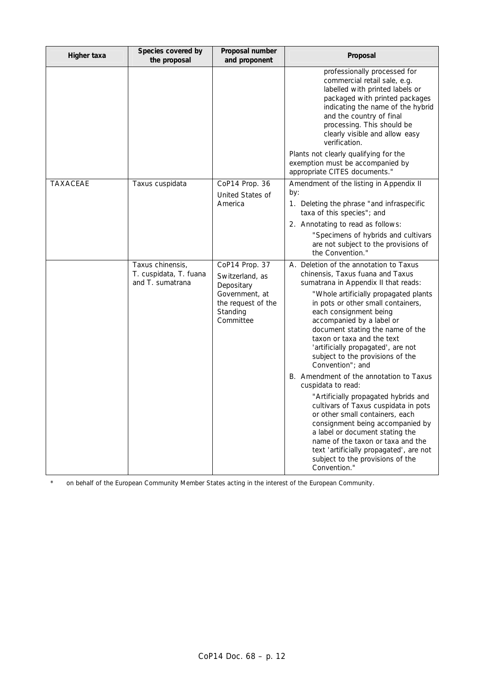| Higher taxa     | Species covered by<br>the proposal                             | Proposal number<br>and proponent                                                                                 | Proposal                                                                                                                                                                                                                                                                                                                                                                                                                                                                                                                                                                                                                                                                                                                                                                                                                |
|-----------------|----------------------------------------------------------------|------------------------------------------------------------------------------------------------------------------|-------------------------------------------------------------------------------------------------------------------------------------------------------------------------------------------------------------------------------------------------------------------------------------------------------------------------------------------------------------------------------------------------------------------------------------------------------------------------------------------------------------------------------------------------------------------------------------------------------------------------------------------------------------------------------------------------------------------------------------------------------------------------------------------------------------------------|
|                 |                                                                |                                                                                                                  | professionally processed for<br>commercial retail sale, e.g.<br>labelled with printed labels or<br>packaged with printed packages<br>indicating the name of the hybrid<br>and the country of final<br>processing. This should be<br>clearly visible and allow easy<br>verification.<br>Plants not clearly qualifying for the<br>exemption must be accompanied by<br>appropriate CITES documents."                                                                                                                                                                                                                                                                                                                                                                                                                       |
| <b>TAXACEAE</b> | Taxus cuspidata                                                | CoP14 Prop. 36<br>United States of<br>America                                                                    | Amendment of the listing in Appendix II<br>by:<br>1. Deleting the phrase "and infraspecific<br>taxa of this species"; and<br>2. Annotating to read as follows:<br>"Specimens of hybrids and cultivars<br>are not subject to the provisions of<br>the Convention."                                                                                                                                                                                                                                                                                                                                                                                                                                                                                                                                                       |
|                 | Taxus chinensis,<br>T. cuspidata, T. fuana<br>and T. sumatrana | CoP14 Prop. 37<br>Switzerland, as<br>Depositary<br>Government, at<br>the request of the<br>Standing<br>Committee | A. Deletion of the annotation to Taxus<br>chinensis, Taxus fuana and Taxus<br>sumatrana in Appendix II that reads:<br>"Whole artificially propagated plants<br>in pots or other small containers,<br>each consignment being<br>accompanied by a label or<br>document stating the name of the<br>taxon or taxa and the text<br>'artificially propagated', are not<br>subject to the provisions of the<br>Convention"; and<br>B. Amendment of the annotation to Taxus<br>cuspidata to read:<br>"Artificially propagated hybrids and<br>cultivars of Taxus cuspidata in pots<br>or other small containers, each<br>consignment being accompanied by<br>a label or document stating the<br>name of the taxon or taxa and the<br>text 'artificially propagated', are not<br>subject to the provisions of the<br>Convention." |

*\* on behalf of the European Community Member States acting in the interest of the European Community.*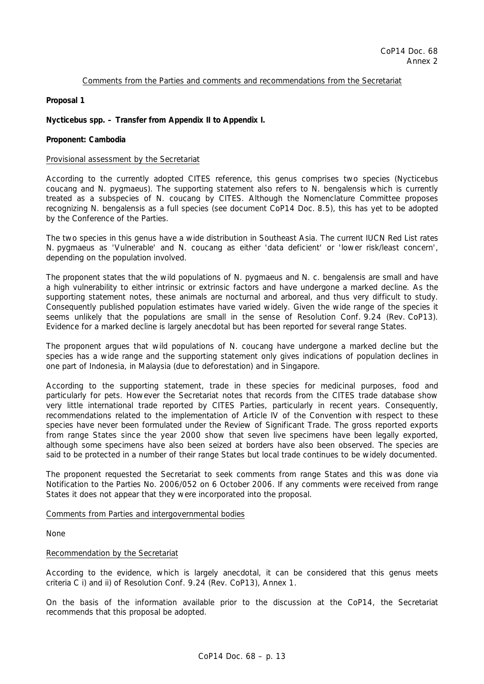## Comments from the Parties and comments and recommendations from the Secretariat

**Proposal 1** 

*Nycticebus* **spp. – Transfer from Appendix II to Appendix I.** 

### **Proponent: Cambodia**

#### Provisional assessment by the Secretariat

According to the currently adopted CITES reference, this genus comprises two species (*Nycticebus coucang* and *N. pygmaeus*). The supporting statement also refers to *N. bengalensis* which is currently treated as a subspecies of *N. coucang* by CITES*.* Although the Nomenclature Committee proposes recognizing *N. bengalensis* as a full species (see document CoP14 Doc. 8.5), this has yet to be adopted by the Conference of the Parties.

The two species in this genus have a wide distribution in Southeast Asia. The current IUCN Red List rates *N. pygmaeus* as 'Vulnerable' and *N. coucang* as either 'data deficient' or 'lower risk/least concern', depending on the population involved.

The proponent states that the wild populations of *N. pygmaeus* and *N. c. bengalensis* are small and have a high vulnerability to either intrinsic or extrinsic factors and have undergone a marked decline. As the supporting statement notes, these animals are nocturnal and arboreal, and thus very difficult to study. Consequently published population estimates have varied widely. Given the wide range of the species it seems unlikely that the populations are small in the sense of Resolution Conf. 9.24 (Rev. CoP13). Evidence for a marked decline is largely anecdotal but has been reported for several range States.

The proponent argues that wild populations of *N. coucang* have undergone a marked decline but the species has a wide range and the supporting statement only gives indications of population declines in one part of Indonesia, in Malaysia (due to deforestation) and in Singapore.

According to the supporting statement, trade in these species for medicinal purposes, food and particularly for pets. However the Secretariat notes that records from the CITES trade database show very little international trade reported by CITES Parties, particularly in recent years. Consequently, recommendations related to the implementation of Article IV of the Convention with respect to these species have never been formulated under the Review of Significant Trade. The gross reported exports from range States since the year 2000 show that seven live specimens have been legally exported, although some specimens have also been seized at borders have also been observed. The species are said to be protected in a number of their range States but local trade continues to be widely documented.

The proponent requested the Secretariat to seek comments from range States and this was done via Notification to the Parties No. 2006/052 on 6 October 2006. If any comments were received from range States it does not appear that they were incorporated into the proposal.

Comments from Parties and intergovernmental bodies

None

## Recommendation by the Secretariat

According to the evidence, which is largely anecdotal, it can be considered that this genus meets criteria C i) and ii) of Resolution Conf. 9.24 (Rev. CoP13), Annex 1.

On the basis of the information available prior to the discussion at the CoP14, the Secretariat recommends that this proposal be adopted.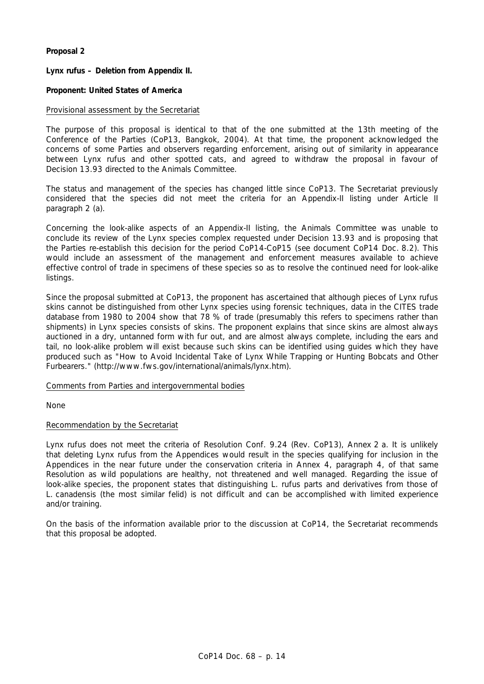## **Proposal 2**

## *Lynx rufus* **– Deletion from Appendix II.**

## **Proponent: United States of America**

## Provisional assessment by the Secretariat

The purpose of this proposal is identical to that of the one submitted at the 13th meeting of the Conference of the Parties (CoP13, Bangkok, 2004). At that time, the proponent acknowledged the concerns of some Parties and observers regarding enforcement, arising out of similarity in appearance between *Lynx rufus* and other spotted cats, and agreed to withdraw the proposal in favour of Decision 13.93 directed to the Animals Committee.

The status and management of the species has changed little since CoP13. The Secretariat previously considered that the species did not meet the criteria for an Appendix-II listing under Article II paragraph 2 (a).

Concerning the look-alike aspects of an Appendix-II listing, the Animals Committee was unable to conclude its review of the *Lynx* species complex requested under Decision 13.93 and is proposing that the Parties re-establish this decision for the period CoP14-CoP15 (see document CoP14 Doc. 8.2). This would include an assessment of the management and enforcement measures available to achieve effective control of trade in specimens of these species so as to resolve the continued need for look-alike listings.

Since the proposal submitted at CoP13, the proponent has ascertained that although pieces of *Lynx rufus*  skins cannot be distinguished from other *Lynx* species using forensic techniques, data in the CITES trade database from 1980 to 2004 show that 78 % of trade (presumably this refers to specimens rather than shipments) in *Lynx* species consists of skins. The proponent explains that since skins are almost always auctioned in a dry, untanned form with fur out, and are almost always complete, including the ears and tail, no look-alike problem will exist because such skins can be identified using guides which they have produced such as "How to Avoid Incidental Take of Lynx While Trapping or Hunting Bobcats and Other Furbearers." (http://www.fws.gov/international/animals/lynx.htm).

### Comments from Parties and intergovernmental bodies

None

### Recommendation by the Secretariat

*Lynx rufus* does not meet the criteria of Resolution Conf. 9.24 (Rev. CoP13), Annex 2 a. It is unlikely that deleting *Lynx rufus* from the Appendices would result in the species qualifying for inclusion in the Appendices in the near future under the conservation criteria in Annex 4, paragraph 4, of that same Resolution as wild populations are healthy, not threatened and well managed. Regarding the issue of look-alike species, the proponent states that distinguishing *L. rufus* parts and derivatives from those of *L. canadensis* (the most similar felid) is not difficult and can be accomplished with limited experience and/or training.

On the basis of the information available prior to the discussion at CoP14, the Secretariat recommends that this proposal be adopted.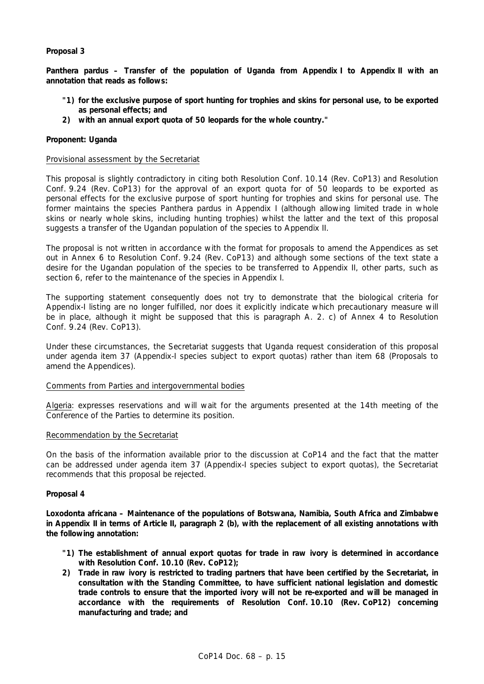## **Proposal 3**

*Panthera pardus –* **Transfer of the population of Uganda from Appendix I to Appendix II with an annotation that reads as follows:** 

- **"1) for the exclusive purpose of sport hunting for trophies and skins for personal use, to be exported as personal effects; and**
- **2) with an annual export quota of 50 leopards for the whole country."**

### **Proponent: Uganda**

#### Provisional assessment by the Secretariat

This proposal is slightly contradictory in citing both Resolution Conf. 10.14 (Rev. CoP13) and Resolution Conf. 9.24 (Rev. CoP13) for the approval of an export quota for of 50 leopards to be exported as personal effects for the exclusive purpose of sport hunting for trophies and skins for personal use. The former maintains the species *Panthera pardus* in Appendix I (although allowing limited trade in whole skins or nearly whole skins, including hunting trophies) whilst the latter and the text of this proposal suggests a transfer of the Ugandan population of the species to Appendix II.

The proposal is not written in accordance with the format for proposals to amend the Appendices as set out in Annex 6 to Resolution Conf. 9.24 (Rev. CoP13) and although some sections of the text state a desire for the Ugandan population of the species to be transferred to Appendix II, other parts, such as section 6, refer to the maintenance of the species in Appendix I.

The supporting statement consequently does not try to demonstrate that the biological criteria for Appendix-I listing are no longer fulfilled, nor does it explicitly indicate which precautionary measure will be in place, although it might be supposed that this is paragraph A. 2. c) of Annex 4 to Resolution Conf. 9.24 (Rev. CoP13).

Under these circumstances, the Secretariat suggests that Uganda request consideration of this proposal under agenda item 37 (Appendix-I species subject to export quotas) rather than item 68 (Proposals to amend the Appendices).

### Comments from Parties and intergovernmental bodies

Algeria: expresses reservations and will wait for the arguments presented at the 14th meeting of the Conference of the Parties to determine its position.

#### Recommendation by the Secretariat

On the basis of the information available prior to the discussion at CoP14 and the fact that the matter can be addressed under agenda item 37 (Appendix-I species subject to export quotas), the Secretariat recommends that this proposal be rejected.

### **Proposal 4**

*Loxodonta africana –* **Maintenance of the populations of Botswana, Namibia, South Africa and Zimbabwe in Appendix II in terms of Article II, paragraph 2 (b), with the replacement of all existing annotations with the following annotation:** 

- **"1) The establishment of annual export quotas for trade in raw ivory is determined in accordance with Resolution Conf. 10.10 (Rev. CoP12);**
- **2) Trade in raw ivory is restricted to trading partners that have been certified by the Secretariat, in consultation with the Standing Committee, to have sufficient national legislation and domestic trade controls to ensure that the imported ivory will not be re-exported and will be managed in accordance with the requirements of Resolution Conf. 10.10 (Rev. CoP12) concerning manufacturing and trade; and**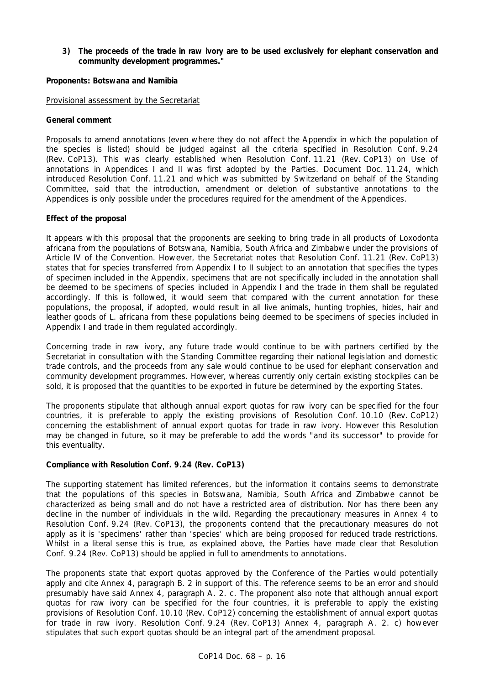## **3) The proceeds of the trade in raw ivory are to be used exclusively for elephant conservation and community development programmes."**

## **Proponents: Botswana and Namibia**

### Provisional assessment by the Secretariat

## **General comment**

Proposals to amend annotations (even where they do not affect the Appendix in which the population of the species is listed) should be judged against all the criteria specified in Resolution Conf. 9.24 (Rev. CoP13). This was clearly established when Resolution Conf. 11.21 (Rev. CoP13) on Use of annotations in Appendices I and II was first adopted by the Parties. Document Doc. 11.24, which introduced Resolution Conf. 11.21 and which was submitted by Switzerland on behalf of the Standing Committee, said that the introduction, amendment or deletion of substantive annotations to the Appendices is only possible under the procedures required for the amendment of the Appendices.

## **Effect of the proposal**

It appears with this proposal that the proponents are seeking to bring trade in all products of *Loxodonta africana* from the populations of Botswana, Namibia, South Africa and Zimbabwe under the provisions of Article IV of the Convention. However, the Secretariat notes that Resolution Conf. 11.21 (Rev. CoP13) states that for species transferred from Appendix I to II subject to an annotation that specifies the types of specimen included in the Appendix, specimens that are not specifically included in the annotation shall be deemed to be specimens of species included in Appendix I and the trade in them shall be regulated accordingly. If this is followed, it would seem that compared with the current annotation for these populations, the proposal, if adopted, would result in all live animals, hunting trophies, hides, hair and leather goods of *L. africana* from these populations being deemed to be specimens of species included in Appendix I and trade in them regulated accordingly.

Concerning trade in raw ivory, any future trade would continue to be with partners certified by the Secretariat in consultation with the Standing Committee regarding their national legislation and domestic trade controls, and the proceeds from any sale would continue to be used for elephant conservation and community development programmes. However, whereas currently only certain existing stockpiles can be sold, it is proposed that the quantities to be exported in future be determined by the exporting States.

The proponents stipulate that although annual export quotas for raw ivory can be specified for the four countries, it is preferable to apply the existing provisions of Resolution Conf. 10.10 (Rev. CoP12) concerning the establishment of annual export quotas for trade in raw ivory. However this Resolution may be changed in future, so it may be preferable to add the words "and its successor" to provide for this eventuality.

## **Compliance with Resolution Conf. 9.24 (Rev. CoP13)**

The supporting statement has limited references, but the information it contains seems to demonstrate that the populations of this species in Botswana, Namibia, South Africa and Zimbabwe cannot be characterized as being small and do not have a restricted area of distribution. Nor has there been any decline in the number of individuals in the wild. Regarding the precautionary measures in Annex 4 to Resolution Conf. 9.24 (Rev. CoP13), the proponents contend that the precautionary measures do not apply as it is 'specimens' rather than 'species' which are being proposed for reduced trade restrictions. Whilst in a literal sense this is true, as explained above, the Parties have made clear that Resolution Conf. 9.24 (Rev. CoP13) should be applied in full to amendments to annotations.

The proponents state that export quotas approved by the Conference of the Parties would potentially apply and cite Annex 4, paragraph B. 2 in support of this. The reference seems to be an error and should presumably have said Annex 4, paragraph A. 2. c. The proponent also note that although annual export quotas for raw ivory can be specified for the four countries, it is preferable to apply the existing provisions of Resolution Conf. 10.10 (Rev. CoP12) concerning the establishment of annual export quotas for trade in raw ivory. Resolution Conf. 9.24 (Rev. CoP13) Annex 4, paragraph A. 2. c) however stipulates that such export quotas should be an integral part of the amendment proposal.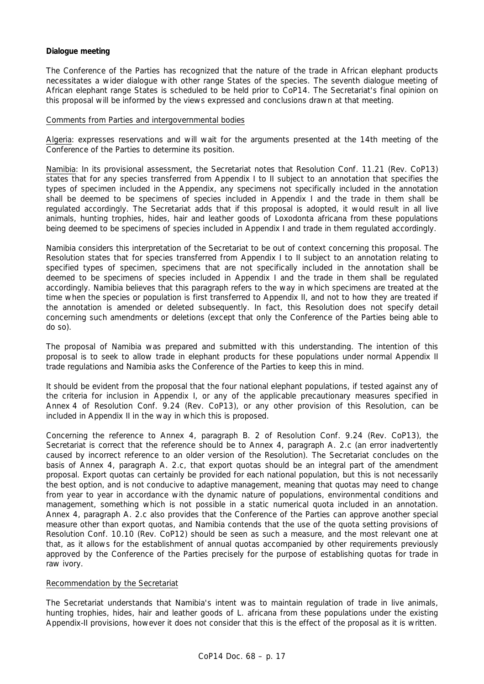## **Dialogue meeting**

The Conference of the Parties has recognized that the nature of the trade in African elephant products necessitates a wider dialogue with other range States of the species. The seventh dialogue meeting of African elephant range States is scheduled to be held prior to CoP14. The Secretariat's final opinion on this proposal will be informed by the views expressed and conclusions drawn at that meeting.

### Comments from Parties and intergovernmental bodies

Algeria: expresses reservations and will wait for the arguments presented at the 14th meeting of the Conference of the Parties to determine its position.

Namibia: In its provisional assessment, the Secretariat notes that Resolution Conf. 11.21 (Rev. CoP13) states that for any species transferred from Appendix I to II subject to an annotation that specifies the types of specimen included in the Appendix, any specimens not specifically included in the annotation shall be deemed to be specimens of species included in Appendix I and the trade in them shall be regulated accordingly. The Secretariat adds that if this proposal is adopted, it would result in all live animals, hunting trophies, hides, hair and leather goods of *Loxodonta africana* from these populations being deemed to be specimens of species included in Appendix I and trade in them regulated accordingly.

Namibia considers this interpretation of the Secretariat to be out of context concerning this proposal. The Resolution states that for species transferred from Appendix I to II subject to an annotation relating to specified types of specimen, specimens that are not specifically included in the annotation shall be deemed to be specimens of species included in Appendix I and the trade in them shall be regulated accordingly. Namibia believes that this paragraph refers to the way in which specimens are treated at the time when the species or population is first transferred to Appendix II, and not to how they are treated if the annotation is amended or deleted subsequently. In fact, this Resolution does not specify detail concerning such amendments or deletions (except that only the Conference of the Parties being able to do so).

The proposal of Namibia was prepared and submitted with this understanding. The intention of this proposal is to seek to allow trade in elephant products for these populations under normal Appendix II trade regulations and Namibia asks the Conference of the Parties to keep this in mind.

It should be evident from the proposal that the four national elephant populations, if tested against any of the criteria for inclusion in Appendix I, or any of the applicable precautionary measures specified in Annex 4 of Resolution Conf. 9.24 (Rev. CoP13), or any other provision of this Resolution, can be included in Appendix II in the way in which this is proposed.

Concerning the reference to Annex 4, paragraph B. 2 of Resolution Conf. 9.24 (Rev. CoP13), the Secretariat is correct that the reference should be to Annex 4, paragraph A. 2.c (an error inadvertently caused by incorrect reference to an older version of the Resolution). The Secretariat concludes on the basis of Annex 4, paragraph A. 2.c, that export quotas should be an integral part of the amendment proposal. Export quotas can certainly be provided for each national population, but this is not necessarily the best option, and is not conducive to adaptive management, meaning that quotas may need to change from year to year in accordance with the dynamic nature of populations, environmental conditions and management, something which is not possible in a static numerical quota included in an annotation. Annex 4, paragraph A. 2.c also provides that the Conference of the Parties can approve another special measure other than export quotas, and Namibia contends that the use of the quota setting provisions of Resolution Conf. 10.10 (Rev. CoP12) should be seen as such a measure, and the most relevant one at that, as it allows for the establishment of annual quotas accompanied by other requirements previously approved by the Conference of the Parties precisely for the purpose of establishing quotas for trade in raw ivory.

## Recommendation by the Secretariat

The Secretariat understands that Namibia's intent was to maintain regulation of trade in live animals, hunting trophies, hides, hair and leather goods of *L. africana* from these populations under the existing Appendix-II provisions, however it does not consider that this is the effect of the proposal as it is written.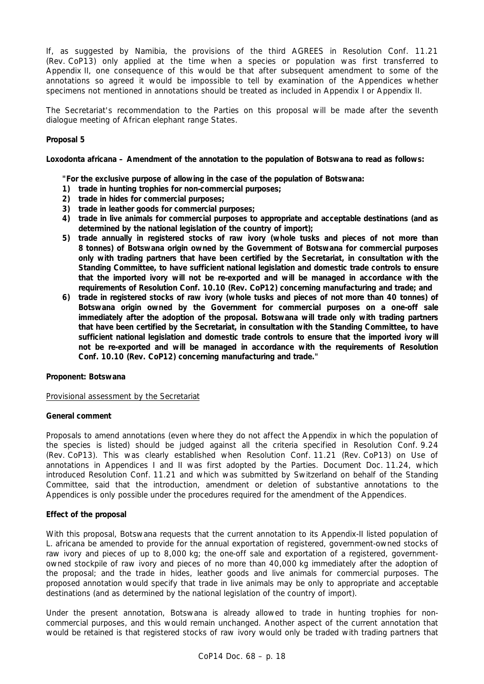If, as suggested by Namibia, the provisions of the third AGREES in Resolution Conf. 11.21 (Rev. CoP13) only applied at the time when a species or population was first transferred to Appendix II, one consequence of this would be that after subsequent amendment to some of the annotations so agreed it would be impossible to tell by examination of the Appendices whether specimens not mentioned in annotations should be treated as included in Appendix I or Appendix II.

The Secretariat's recommendation to the Parties on this proposal will be made after the seventh dialogue meeting of African elephant range States.

## **Proposal 5**

## *Loxodonta africana* **– Amendment of the annotation to the population of Botswana to read as follows:**

 **"For the exclusive purpose of allowing in the case of the population of Botswana:** 

- **1) trade in hunting trophies for non-commercial purposes;**
- **2) trade in hides for commercial purposes;**
- **3) trade in leather goods for commercial purposes;**
- **4) trade in live animals for commercial purposes to appropriate and acceptable destinations (and as determined by the national legislation of the country of import);**
- **5) trade annually in registered stocks of raw ivory (whole tusks and pieces of not more than 8 tonnes) of Botswana origin owned by the Government of Botswana for commercial purposes only with trading partners that have been certified by the Secretariat, in consultation with the Standing Committee, to have sufficient national legislation and domestic trade controls to ensure that the imported ivory will not be re-exported and will be managed in accordance with the requirements of Resolution Conf. 10.10 (Rev. CoP12) concerning manufacturing and trade; and**
- **6) trade in registered stocks of raw ivory (whole tusks and pieces of not more than 40 tonnes) of Botswana origin owned by the Government for commercial purposes on a one-off sale immediately after the adoption of the proposal. Botswana will trade only with trading partners that have been certified by the Secretariat, in consultation with the Standing Committee, to have sufficient national legislation and domestic trade controls to ensure that the imported ivory will not be re-exported and will be managed in accordance with the requirements of Resolution Conf. 10.10 (Rev. CoP12) concerning manufacturing and trade."**

### **Proponent: Botswana**

Provisional assessment by the Secretariat

### **General comment**

Proposals to amend annotations (even where they do not affect the Appendix in which the population of the species is listed) should be judged against all the criteria specified in Resolution Conf. 9.24 (Rev. CoP13). This was clearly established when Resolution Conf. 11.21 (Rev. CoP13) on Use of annotations in Appendices I and II was first adopted by the Parties. Document Doc. 11.24, which introduced Resolution Conf. 11.21 and which was submitted by Switzerland on behalf of the Standing Committee, said that the introduction, amendment or deletion of substantive annotations to the Appendices is only possible under the procedures required for the amendment of the Appendices.

### **Effect of the proposal**

With this proposal, Botswana requests that the current annotation to its Appendix-II listed population of *L. africana* be amended to provide for the annual exportation of registered, government-owned stocks of raw ivory and pieces of up to 8,000 kg; the one-off sale and exportation of a registered, governmentowned stockpile of raw ivory and pieces of no more than 40,000 kg immediately after the adoption of the proposal; and the trade in hides, leather goods and live animals for commercial purposes. The proposed annotation would specify that trade in live animals may be only to appropriate and acceptable destinations (and as determined by the national legislation of the country of import).

Under the present annotation, Botswana is already allowed to trade in hunting trophies for noncommercial purposes, and this would remain unchanged. Another aspect of the current annotation that would be retained is that registered stocks of raw ivory would only be traded with trading partners that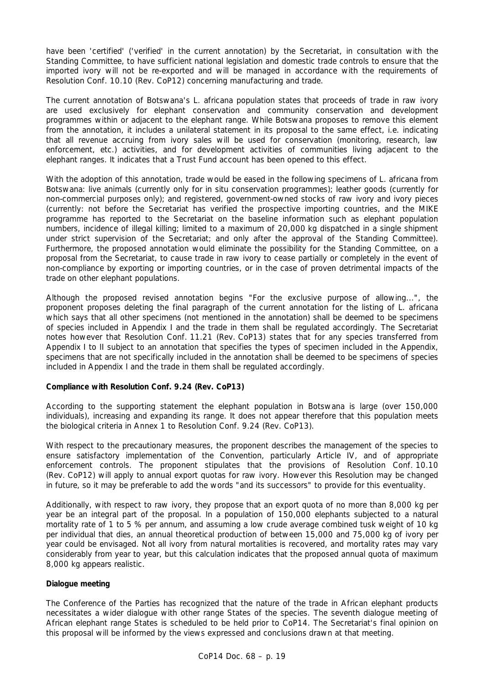have been 'certified' ('verified' in the current annotation) by the Secretariat, in consultation with the Standing Committee, to have sufficient national legislation and domestic trade controls to ensure that the imported ivory will not be re-exported and will be managed in accordance with the requirements of Resolution Conf. 10.10 (Rev. CoP12) concerning manufacturing and trade.

The current annotation of Botswana's *L. africana* population states that proceeds of trade in raw ivory are used exclusively for elephant conservation and community conservation and development programmes within or adjacent to the elephant range. While Botswana proposes to remove this element from the annotation, it includes a unilateral statement in its proposal to the same effect, i.e. indicating that all revenue accruing from ivory sales will be used for conservation (monitoring, research, law enforcement, etc.) activities, and for development activities of communities living adjacent to the elephant ranges. It indicates that a Trust Fund account has been opened to this effect.

With the adoption of this annotation, trade would be eased in the following specimens of *L. africana* from Botswana: live animals (currently only for *in situ* conservation programmes); leather goods (currently for non-commercial purposes only); and registered, government-owned stocks of raw ivory and ivory pieces (currently: not before the Secretariat has verified the prospective importing countries, and the MIKE programme has reported to the Secretariat on the baseline information such as elephant population numbers, incidence of illegal killing; limited to a maximum of 20,000 kg dispatched in a single shipment under strict supervision of the Secretariat; and only after the approval of the Standing Committee). Furthermore, the proposed annotation would eliminate the possibility for the Standing Committee, on a proposal from the Secretariat, to cause trade in raw ivory to cease partially or completely in the event of non-compliance by exporting or importing countries, or in the case of proven detrimental impacts of the trade on other elephant populations.

Although the proposed revised annotation begins "For the exclusive purpose of allowing...", the proponent proposes deleting the final paragraph of the current annotation for the listing of *L. africana* which says that all other specimens (not mentioned in the annotation) shall be deemed to be specimens of species included in Appendix I and the trade in them shall be regulated accordingly. The Secretariat notes however that Resolution Conf. 11.21 (Rev. CoP13) states that for any species transferred from Appendix I to II subject to an annotation that specifies the types of specimen included in the Appendix, specimens that are not specifically included in the annotation shall be deemed to be specimens of species included in Appendix I and the trade in them shall be regulated accordingly.

## **Compliance with Resolution Conf. 9.24 (Rev. CoP13)**

According to the supporting statement the elephant population in Botswana is large (over 150,000 individuals), increasing and expanding its range. It does not appear therefore that this population meets the biological criteria in Annex 1 to Resolution Conf. 9.24 (Rev. CoP13).

With respect to the precautionary measures, the proponent describes the management of the species to ensure satisfactory implementation of the Convention, particularly Article IV, and of appropriate enforcement controls. The proponent stipulates that the provisions of Resolution Conf. 10.10 (Rev. CoP12) will apply to annual export quotas for raw ivory. However this Resolution may be changed in future, so it may be preferable to add the words "and its successors" to provide for this eventuality.

Additionally, with respect to raw ivory, they propose that an export quota of no more than 8,000 kg per year be an integral part of the proposal. In a population of 150,000 elephants subjected to a natural mortality rate of 1 to 5 % per annum, and assuming a low crude average combined tusk weight of 10 kg per individual that dies, an annual theoretical production of between 15,000 and 75,000 kg of ivory per year could be envisaged. Not all ivory from natural mortalities is recovered, and mortality rates may vary considerably from year to year, but this calculation indicates that the proposed annual quota of maximum 8,000 kg appears realistic.

## **Dialogue meeting**

The Conference of the Parties has recognized that the nature of the trade in African elephant products necessitates a wider dialogue with other range States of the species. The seventh dialogue meeting of African elephant range States is scheduled to be held prior to CoP14. The Secretariat's final opinion on this proposal will be informed by the views expressed and conclusions drawn at that meeting.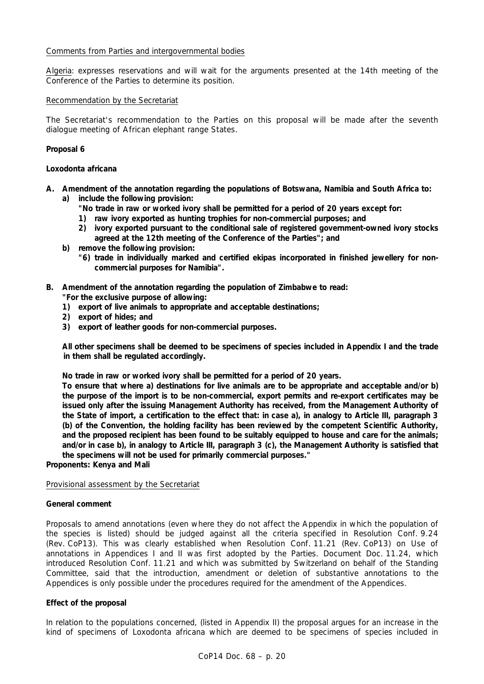## Comments from Parties and intergovernmental bodies

Algeria: expresses reservations and will wait for the arguments presented at the 14th meeting of the Conference of the Parties to determine its position.

### Recommendation by the Secretariat

The Secretariat's recommendation to the Parties on this proposal will be made after the seventh dialogue meeting of African elephant range States.

## **Proposal 6**

### *Loxodonta africana*

- **A. Amendment of the annotation regarding the populations of Botswana, Namibia and South Africa to: a) include the following provision:** 
	- **"No trade in raw or worked ivory shall be permitted for a period of 20 years except for:**
	- **1) raw ivory exported as hunting trophies for non-commercial purposes; and**
	- **2) ivory exported pursuant to the conditional sale of registered government-owned ivory stocks agreed at the 12th meeting of the Conference of the Parties"; and**
	- **b) remove the following provision:** 
		- **"6) trade in individually marked and certified ekipas incorporated in finished jewellery for noncommercial purposes for Namibia".**
- **B. Amendment of the annotation regarding the population of Zimbabwe to read:** 
	- **"For the exclusive purpose of allowing:**
	- **1) export of live animals to appropriate and acceptable destinations;**
	- **2) export of hides; and**
	- **3) export of leather goods for non-commercial purposes.**

 **All other specimens shall be deemed to be specimens of species included in Appendix I and the trade in them shall be regulated accordingly.** 

 **No trade in raw or worked ivory shall be permitted for a period of 20 years.** 

 **To ensure that where a) destinations for live animals are to be appropriate and acceptable and/or b) the purpose of the import is to be non-commercial, export permits and re-export certificates may be issued only after the issuing Management Authority has received, from the Management Authority of the State of import, a certification to the effect that: in case a), in analogy to Article III, paragraph 3 (b) of the Convention, the holding facility has been reviewed by the competent Scientific Authority, and the proposed recipient has been found to be suitably equipped to house and care for the animals; and/or in case b), in analogy to Article III, paragraph 3 (c), the Management Authority is satisfied that the specimens will not be used for primarily commercial purposes."** 

**Proponents: Kenya and Mali** 

## Provisional assessment by the Secretariat

### **General comment**

Proposals to amend annotations (even where they do not affect the Appendix in which the population of the species is listed) should be judged against all the criteria specified in Resolution Conf. 9.24 (Rev. CoP13). This was clearly established when Resolution Conf. 11.21 (Rev. CoP13) on Use of annotations in Appendices I and II was first adopted by the Parties. Document Doc. 11.24, which introduced Resolution Conf. 11.21 and which was submitted by Switzerland on behalf of the Standing Committee, said that the introduction, amendment or deletion of substantive annotations to the Appendices is only possible under the procedures required for the amendment of the Appendices.

### **Effect of the proposal**

In relation to the populations concerned, (listed in Appendix II) the proposal argues for an increase in the kind of specimens of *Loxodonta africana* which are deemed to be specimens of species included in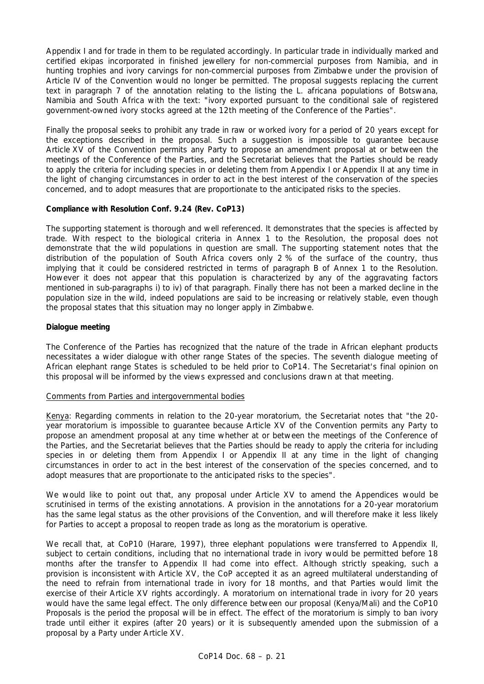Appendix I and for trade in them to be regulated accordingly. In particular trade in individually marked and certified ekipas incorporated in finished jewellery for non-commercial purposes from Namibia, and in hunting trophies and ivory carvings for non-commercial purposes from Zimbabwe under the provision of Article IV of the Convention would no longer be permitted. The proposal suggests replacing the current text in paragraph 7 of the annotation relating to the listing the *L. africana* populations of Botswana, Namibia and South Africa with the text: "ivory exported pursuant to the conditional sale of registered government-owned ivory stocks agreed at the 12th meeting of the Conference of the Parties".

Finally the proposal seeks to prohibit any trade in raw or worked ivory for a period of 20 years except for the exceptions described in the proposal. Such a suggestion is impossible to guarantee because Article XV of the Convention permits any Party to propose an amendment proposal at or between the meetings of the Conference of the Parties, and the Secretariat believes that the Parties should be ready to apply the criteria for including species in or deleting them from Appendix I or Appendix II at any time in the light of changing circumstances in order to act in the best interest of the conservation of the species concerned, and to adopt measures that are proportionate to the anticipated risks to the species.

## **Compliance with Resolution Conf. 9.24 (Rev. CoP13)**

The supporting statement is thorough and well referenced. It demonstrates that the species is affected by trade. With respect to the biological criteria in Annex 1 to the Resolution, the proposal does not demonstrate that the wild populations in question are small. The supporting statement notes that the distribution of the population of South Africa covers only 2 % of the surface of the country, thus implying that it could be considered restricted in terms of paragraph B of Annex 1 to the Resolution. However it does not appear that this population is characterized by any of the aggravating factors mentioned in sub-paragraphs i) to iv) of that paragraph. Finally there has not been a marked decline in the population size in the wild, indeed populations are said to be increasing or relatively stable, even though the proposal states that this situation may no longer apply in Zimbabwe.

## **Dialogue meeting**

The Conference of the Parties has recognized that the nature of the trade in African elephant products necessitates a wider dialogue with other range States of the species. The seventh dialogue meeting of African elephant range States is scheduled to be held prior to CoP14. The Secretariat's final opinion on this proposal will be informed by the views expressed and conclusions drawn at that meeting.

## Comments from Parties and intergovernmental bodies

Kenya: Regarding comments in relation to the 20-year moratorium*,* the Secretariat notes that "*the 20 year moratorium is impossible to guarantee because Article XV of the Convention permits any Party to propose an amendment proposal at any time whether at or between the meetings of the Conference of the Parties, and the Secretariat believes that the Parties should be ready to apply the criteria for including species in or deleting them from Appendix I or Appendix II at any time in the light of changing circumstances in order to act in the best interest of the conservation of the species concerned, and to adopt measures that are proportionate to the anticipated risks to the species".*

We would like to point out that, any proposal under Article XV to amend the Appendices would be scrutinised in terms of the existing annotations. A provision in the annotations for a 20-year moratorium has the same legal status as the other provisions of the Convention, and will therefore make it less likely for Parties to accept a proposal to reopen trade as long as the moratorium is operative.

We recall that, at CoP10 (Harare, 1997), three elephant populations were transferred to Appendix II, subject to certain conditions, including that no international trade in ivory would be permitted before 18 months after the transfer to Appendix II had come into effect. Although strictly speaking, such a provision is inconsistent with Article XV, the CoP accepted it as an agreed multilateral understanding of the need to refrain from international trade in ivory for 18 months, and that Parties would limit the exercise of their Article XV rights accordingly. A moratorium on international trade in ivory for 20 years would have the same legal effect. The only difference between our proposal (Kenya/Mali) and the CoP10 Proposals is the period the proposal will be in effect. The effect of the moratorium is simply to ban ivory trade until *either* it expires (after 20 years) *or* it is subsequently amended upon the submission of a proposal by a Party under Article XV.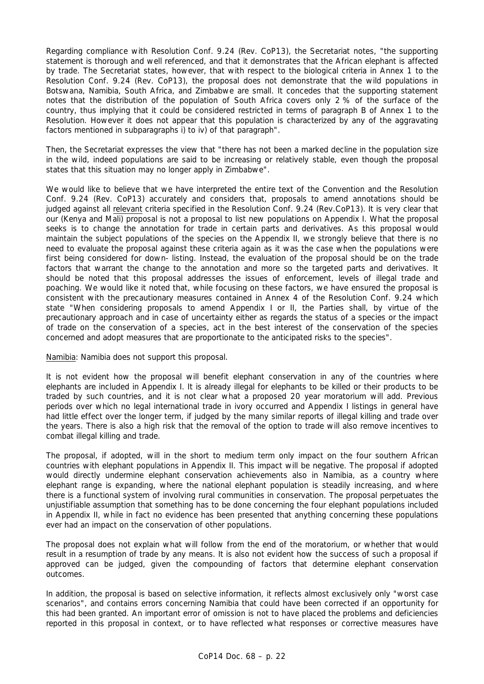Regarding compliance with Resolution Conf. 9.24 (Rev. CoP13), the Secretariat notes, "*the supporting statement is thorough and well referenced, and that it demonstrates that the African elephant is affected by trade. The Secretariat states, however, that with respect to the biological criteria in Annex 1 to the Resolution Conf. 9.24 (Rev. CoP13), the proposal does not demonstrate that the wild populations in Botswana, Namibia, South Africa, and Zimbabwe are small. It concedes that the supporting statement notes that the distribution of the population of South Africa covers only 2 % of the surface of the country, thus implying that it could be considered restricted in terms of paragraph B of Annex 1 to the Resolution. However it does not appear that this population is characterized by any of the aggravating factors mentioned in subparagraphs i) to iv) of that paragraph".* 

Then*,* the Secretariat expresses the view that *"there has not been a marked decline in the population size in the wild, indeed populations are said to be increasing or relatively stable, even though the proposal states that this situation may no longer apply in Zimbabwe".* 

We would like to believe that we have interpreted the entire text of the Convention and the Resolution Conf. 9.24 (Rev. CoP13) accurately and considers that, proposals to amend annotations should be judged against all relevant criteria specified in the Resolution Conf. 9.24 (Rev.CoP13). It is very clear that our (Kenya and Mali) proposal is not a proposal to list new populations on Appendix I. What the proposal seeks is to change the annotation for trade in certain parts and derivatives. As this proposal would maintain the subject populations of the species on the Appendix II, we strongly believe that there is no need to evaluate the proposal against these criteria again as it was the case when the populations were first being considered for down- listing. Instead, the evaluation of the proposal should be on the trade factors that warrant the change to the annotation and more so the targeted parts and derivatives. It should be noted that this proposal addresses the issues of enforcement, levels of illegal trade and poaching. We would like it noted that, while focusing on these factors, we have ensured the proposal is consistent with the precautionary measures contained in Annex 4 of the Resolution Conf. 9.24 which state "When considering proposals to amend Appendix I or II, the Parties shall, by virtue of the precautionary approach and in case of uncertainty either as regards the status of a species or the impact of trade on the conservation of a species, act in the best interest of the conservation of the species concerned and adopt measures that are proportionate to the anticipated risks to the species".

Namibia: Namibia does not support this proposal.

It is not evident how the proposal will benefit elephant conservation in any of the countries where elephants are included in Appendix I. It is already illegal for elephants to be killed or their products to be traded by such countries, and it is not clear what a proposed 20 year moratorium will add. Previous periods over which no legal international trade in ivory occurred and Appendix I listings in general have had little effect over the longer term, if judged by the many similar reports of illegal killing and trade over the years. There is also a high risk that the removal of the option to trade will also remove incentives to combat illegal killing and trade.

The proposal, if adopted, will in the short to medium term only impact on the four southern African countries with elephant populations in Appendix II. This impact will be negative. The proposal if adopted would directly undermine elephant conservation achievements also in Namibia, as a country where elephant range is expanding, where the national elephant population is steadily increasing, and where there is a functional system of involving rural communities in conservation. The proposal perpetuates the unjustifiable assumption that something has to be done concerning the four elephant populations included in Appendix II, while in fact no evidence has been presented that anything concerning these populations ever had an impact on the conservation of other populations.

The proposal does not explain what will follow from the end of the moratorium, or whether that would result in a resumption of trade by any means. It is also not evident how the success of such a proposal if approved can be judged, given the compounding of factors that determine elephant conservation outcomes.

In addition, the proposal is based on selective information, it reflects almost exclusively only "worst case scenarios", and contains errors concerning Namibia that could have been corrected if an opportunity for this had been granted. An important error of omission is not to have placed the problems and deficiencies reported in this proposal in context, or to have reflected what responses or corrective measures have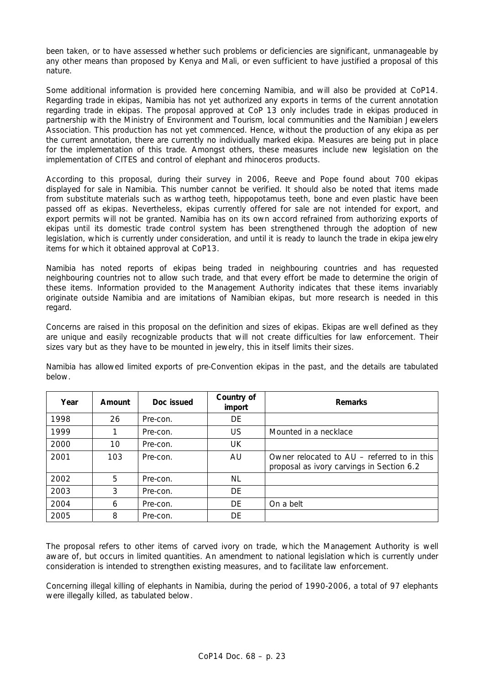been taken, or to have assessed whether such problems or deficiencies are significant, unmanageable by any other means than proposed by Kenya and Mali, or even sufficient to have justified a proposal of this nature.

Some additional information is provided here concerning Namibia, and will also be provided at CoP14. Regarding trade in ekipas, Namibia has not yet authorized any exports in terms of the current annotation regarding trade in ekipas. The proposal approved at CoP 13 only includes trade in ekipas produced in partnership with the Ministry of Environment and Tourism, local communities and the Namibian Jewelers Association. This production has not yet commenced. Hence, without the production of any ekipa as per the current annotation, there are currently no individually marked ekipa. Measures are being put in place for the implementation of this trade. Amongst others, these measures include new legislation on the implementation of CITES and control of elephant and rhinoceros products.

According to this proposal, during their survey in 2006, Reeve and Pope found about 700 ekipas displayed for sale in Namibia. This number cannot be verified. It should also be noted that items made from substitute materials such as warthog teeth, hippopotamus teeth, bone and even plastic have been passed off as ekipas. Nevertheless, ekipas currently offered for sale are not intended for export, and export permits will not be granted. Namibia has on its own accord refrained from authorizing exports of ekipas until its domestic trade control system has been strengthened through the adoption of new legislation, which is currently under consideration, and until it is ready to launch the trade in ekipa jewelry items for which it obtained approval at CoP13.

Namibia has noted reports of ekipas being traded in neighbouring countries and has requested neighbouring countries not to allow such trade, and that every effort be made to determine the origin of these items. Information provided to the Management Authority indicates that these items invariably originate outside Namibia and are imitations of Namibian ekipas, but more research is needed in this regard.

Concerns are raised in this proposal on the definition and sizes of ekipas. Ekipas are well defined as they are unique and easily recognizable products that will not create difficulties for law enforcement. Their sizes vary but as they have to be mounted in jewelry, this in itself limits their sizes.

| Year | Amount | Doc issued | Country of<br>import | <b>Remarks</b>                                                                           |
|------|--------|------------|----------------------|------------------------------------------------------------------------------------------|
| 1998 | 26     | Pre-con.   | DE                   |                                                                                          |
| 1999 |        | Pre-con.   | US                   | Mounted in a necklace                                                                    |
| 2000 | 10     | Pre-con.   | UK                   |                                                                                          |
| 2001 | 103    | Pre-con.   | AU                   | Owner relocated to AU – referred to in this<br>proposal as ivory carvings in Section 6.2 |
| 2002 | 5      | Pre-con.   | NL                   |                                                                                          |
| 2003 | 3      | Pre-con.   | DE                   |                                                                                          |
| 2004 | 6      | Pre-con.   | DE                   | On a belt                                                                                |
| 2005 | 8      | Pre-con.   | DE                   |                                                                                          |

Namibia has allowed limited exports of pre-Convention ekipas in the past, and the details are tabulated below.

The proposal refers to other items of carved ivory on trade, which the Management Authority is well aware of, but occurs in limited quantities. An amendment to national legislation which is currently under consideration is intended to strengthen existing measures, and to facilitate law enforcement.

Concerning illegal killing of elephants in Namibia, during the period of 1990-2006, a total of 97 elephants were illegally killed, as tabulated below.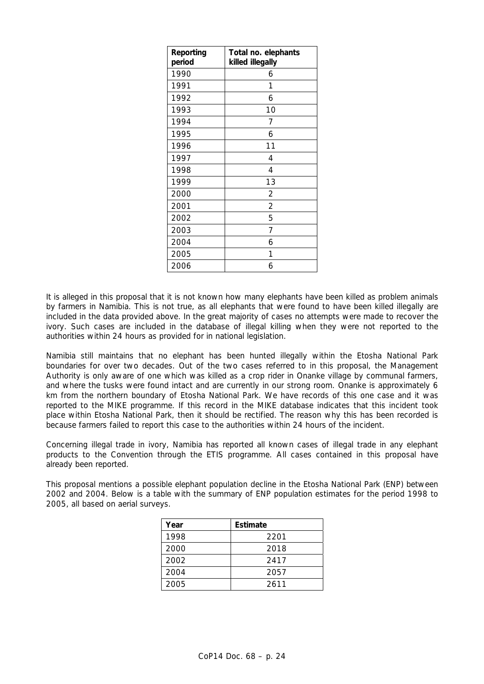| Reporting | Total no. elephants |
|-----------|---------------------|
| period    | killed illegally    |
| 1990      | 6                   |
| 1991      | 1                   |
| 1992      | 6                   |
| 1993      | 10                  |
| 1994      | 7                   |
| 1995      | 6                   |
| 1996      | 11                  |
| 1997      | 4                   |
| 1998      | 4                   |
| 1999      | 13                  |
| 2000      | $\overline{c}$      |
| 2001      | $\overline{2}$      |
| 2002      | 5                   |
| 2003      | 7                   |
| 2004      | 6                   |
| 2005      | 1                   |
| 2006      | 6                   |

It is alleged in this proposal that it is not known how many elephants have been killed as problem animals by farmers in Namibia. This is not true, as all elephants that were found to have been killed illegally are included in the data provided above. In the great majority of cases no attempts were made to recover the ivory. Such cases are included in the database of illegal killing when they were not reported to the authorities within 24 hours as provided for in national legislation.

Namibia still maintains that no elephant has been hunted illegally within the Etosha National Park boundaries for over two decades. Out of the two cases referred to in this proposal, the Management Authority is only aware of one which was killed as a crop rider in Onanke village by communal farmers, and where the tusks were found intact and are currently in our strong room. Onanke is approximately 6 km from the northern boundary of Etosha National Park. We have records of this one case and it was reported to the MIKE programme. If this record in the MIKE database indicates that this incident took place within Etosha National Park, then it should be rectified. The reason why this has been recorded is because farmers failed to report this case to the authorities within 24 hours of the incident.

Concerning illegal trade in ivory, Namibia has reported all known cases of illegal trade in any elephant products to the Convention through the ETIS programme. All cases contained in this proposal have already been reported.

This proposal mentions a possible elephant population decline in the Etosha National Park (ENP) between 2002 and 2004. Below is a table with the summary of ENP population estimates for the period 1998 to 2005, all based on aerial surveys.

| Year | Estimate |
|------|----------|
| 1998 | 2201     |
| 2000 | 2018     |
| 2002 | 2417     |
| 2004 | 2057     |
| 2005 | 2611     |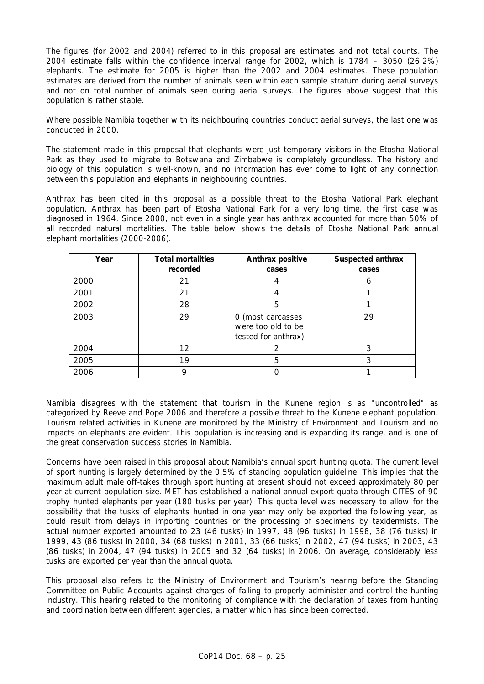The figures (for 2002 and 2004) referred to in this proposal are estimates and not total counts. The 2004 estimate falls within the confidence interval range for 2002, which is 1784 – 3050 (26.2%) elephants. The estimate for 2005 is higher than the 2002 and 2004 estimates. These population estimates are derived from the number of animals seen within each sample stratum during aerial surveys and not on total number of animals seen during aerial surveys. The figures above suggest that this population is rather stable.

Where possible Namibia together with its neighbouring countries conduct aerial surveys, the last one was conducted in 2000.

The statement made in this proposal that elephants were just temporary visitors in the Etosha National Park as they used to migrate to Botswana and Zimbabwe is completely groundless. The history and biology of this population is well-known, and no information has ever come to light of any connection between this population and elephants in neighbouring countries.

Anthrax has been cited in this proposal as a possible threat to the Etosha National Park elephant population. Anthrax has been part of Etosha National Park for a very long time, the first case was diagnosed in 1964. Since 2000, not even in a single year has anthrax accounted for more than 50% of all recorded natural mortalities. The table below shows the details of Etosha National Park annual elephant mortalities (2000-2006).

| Year | <b>Total mortalities</b><br>recorded | Anthrax positive<br>cases                                      | Suspected anthrax<br>cases |
|------|--------------------------------------|----------------------------------------------------------------|----------------------------|
| 2000 | 21                                   |                                                                | 6                          |
| 2001 | 21                                   |                                                                |                            |
| 2002 | 28                                   | 5                                                              |                            |
| 2003 | 29                                   | 0 (most carcasses<br>were too old to be<br>tested for anthrax) | 29                         |
| 2004 | $12 \overline{ }$                    |                                                                | 3                          |
| 2005 | 19                                   | 5                                                              | 3                          |
| 2006 |                                      |                                                                |                            |

Namibia disagrees with the statement that tourism in the Kunene region is as "uncontrolled" as categorized by Reeve and Pope 2006 and therefore a possible threat to the Kunene elephant population. Tourism related activities in Kunene are monitored by the Ministry of Environment and Tourism and no impacts on elephants are evident. This population is increasing and is expanding its range, and is one of the great conservation success stories in Namibia.

Concerns have been raised in this proposal about Namibia's annual sport hunting quota. The current level of sport hunting is largely determined by the 0.5% of standing population guideline. This implies that the maximum adult male off-takes through sport hunting at present should not exceed approximately 80 per year at current population size. MET has established a national annual export quota through CITES of 90 trophy hunted elephants per year (180 tusks per year). This quota level was necessary to allow for the possibility that the tusks of elephants hunted in one year may only be exported the following year, as could result from delays in importing countries or the processing of specimens by taxidermists. The actual number exported amounted to 23 (46 tusks) in 1997, 48 (96 tusks) in 1998, 38 (76 tusks) in 1999, 43 (86 tusks) in 2000, 34 (68 tusks) in 2001, 33 (66 tusks) in 2002, 47 (94 tusks) in 2003, 43 (86 tusks) in 2004, 47 (94 tusks) in 2005 and 32 (64 tusks) in 2006. On average, considerably less tusks are exported per year than the annual quota.

This proposal also refers to the Ministry of Environment and Tourism's hearing before the Standing Committee on Public Accounts against charges of failing to properly administer and control the hunting industry. This hearing related to the monitoring of compliance with the declaration of taxes from hunting and coordination between different agencies, a matter which has since been corrected.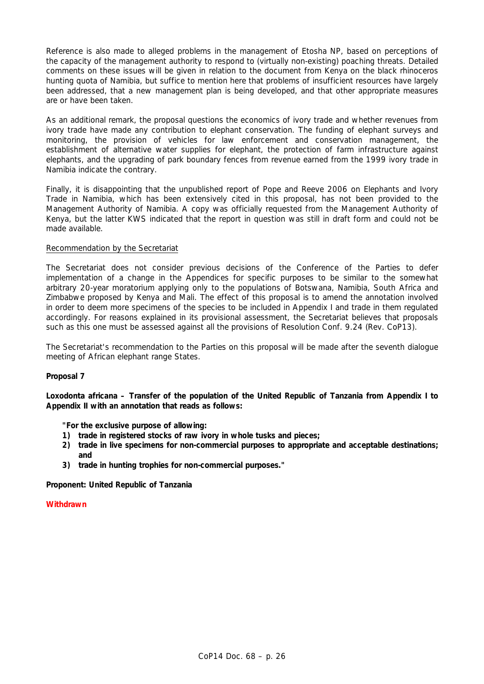Reference is also made to alleged problems in the management of Etosha NP, based on perceptions of the capacity of the management authority to respond to (virtually non-existing) poaching threats. Detailed comments on these issues will be given in relation to the document from Kenya on the black rhinoceros hunting quota of Namibia, but suffice to mention here that problems of insufficient resources have largely been addressed, that a new management plan is being developed, and that other appropriate measures are or have been taken.

As an additional remark, the proposal questions the economics of ivory trade and whether revenues from ivory trade have made any contribution to elephant conservation. The funding of elephant surveys and monitoring, the provision of vehicles for law enforcement and conservation management, the establishment of alternative water supplies for elephant, the protection of farm infrastructure against elephants, and the upgrading of park boundary fences from revenue earned from the 1999 ivory trade in Namibia indicate the contrary.

Finally, it is disappointing that the unpublished report of Pope and Reeve 2006 on Elephants and Ivory Trade in Namibia, which has been extensively cited in this proposal, has not been provided to the Management Authority of Namibia. A copy was officially requested from the Management Authority of Kenya, but the latter KWS indicated that the report in question was still in draft form and could not be made available.

## Recommendation by the Secretariat

The Secretariat does not consider previous decisions of the Conference of the Parties to defer implementation of a change in the Appendices for specific purposes to be similar to the somewhat arbitrary 20-year moratorium applying only to the populations of Botswana, Namibia, South Africa and Zimbabwe proposed by Kenya and Mali. The effect of this proposal is to amend the annotation involved in order to deem more specimens of the species to be included in Appendix I and trade in them regulated accordingly. For reasons explained in its provisional assessment, the Secretariat believes that proposals such as this one must be assessed against all the provisions of Resolution Conf. 9.24 (Rev. CoP13).

The Secretariat's recommendation to the Parties on this proposal will be made after the seventh dialogue meeting of African elephant range States.

## **Proposal 7**

*Loxodonta africana* **– Transfer of the population of the United Republic of Tanzania from Appendix I to Appendix II with an annotation that reads as follows:** 

 **"For the exclusive purpose of allowing:** 

- **1) trade in registered stocks of raw ivory in whole tusks and pieces;**
- **2) trade in live specimens for non-commercial purposes to appropriate and acceptable destinations; and**
- **3) trade in hunting trophies for non-commercial purposes."**

**Proponent: United Republic of Tanzania** 

**Withdrawn**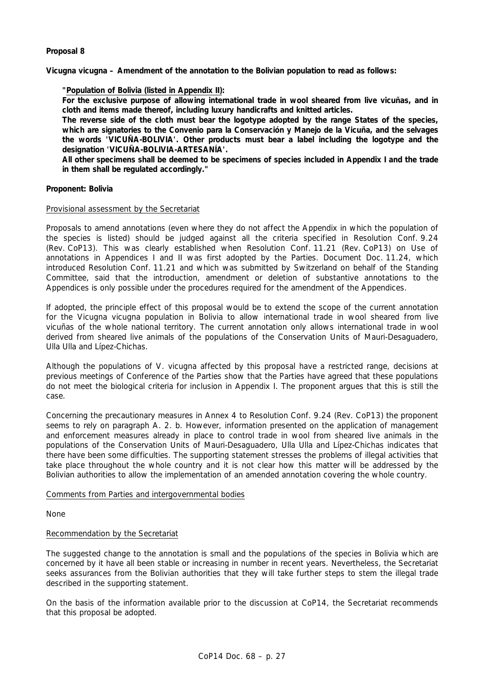## **Proposal 8**

*Vicugna vicugna* **– Amendment of the annotation to the Bolivian population to read as follows:** 

## **"Population of Bolivia (listed in Appendix II):**

 **For the exclusive purpose of allowing international trade in wool sheared from live vicuñas, and in cloth and items made thereof, including luxury handicrafts and knitted articles.** 

 **The reverse side of the cloth must bear the logotype adopted by the range States of the species, which are signatories to the** *Convenio para la Conservación y Manejo de la Vicuña***, and the selvages the words 'VICUÑA-BOLIVIA'. Other products must bear a label including the logotype and the designation 'VICUÑA-BOLIVIA-ARTESANÍA'.** 

 **All other specimens shall be deemed to be specimens of species included in Appendix I and the trade in them shall be regulated accordingly."** 

### **Proponent: Bolivia**

### Provisional assessment by the Secretariat

Proposals to amend annotations (even where they do not affect the Appendix in which the population of the species is listed) should be judged against all the criteria specified in Resolution Conf. 9.24 (Rev. CoP13). This was clearly established when Resolution Conf. 11.21 (Rev. CoP13) on Use of annotations in Appendices I and II was first adopted by the Parties. Document Doc. 11.24, which introduced Resolution Conf. 11.21 and which was submitted by Switzerland on behalf of the Standing Committee, said that the introduction, amendment or deletion of substantive annotations to the Appendices is only possible under the procedures required for the amendment of the Appendices.

If adopted, the principle effect of this proposal would be to extend the scope of the current annotation for the *Vicugna vicugna* population in Bolivia to allow international trade in wool sheared from live vicuñas of the whole national territory. The current annotation only allows international trade in wool derived from sheared live animals of the populations of the Conservation Units of Mauri-Desaguadero, Ulla Ulla and Lípez-Chichas.

Although the populations of *V. vicugna* affected by this proposal have a restricted range, decisions at previous meetings of Conference of the Parties show that the Parties have agreed that these populations do not meet the biological criteria for inclusion in Appendix I. The proponent argues that this is still the case.

Concerning the precautionary measures in Annex 4 to Resolution Conf. 9.24 (Rev. CoP13) the proponent seems to rely on paragraph A. 2. b. However, information presented on the application of management and enforcement measures already in place to control trade in wool from sheared live animals in the populations of the Conservation Units of Mauri-Desaguadero, Ulla Ulla and Lípez-Chichas indicates that there have been some difficulties. The supporting statement stresses the problems of illegal activities that take place throughout the whole country and it is not clear how this matter will be addressed by the Bolivian authorities to allow the implementation of an amended annotation covering the whole country.

### Comments from Parties and intergovernmental bodies

None

## Recommendation by the Secretariat

The suggested change to the annotation is small and the populations of the species in Bolivia which are concerned by it have all been stable or increasing in number in recent years. Nevertheless, the Secretariat seeks assurances from the Bolivian authorities that they will take further steps to stem the illegal trade described in the supporting statement.

On the basis of the information available prior to the discussion at CoP14, the Secretariat recommends that this proposal be adopted.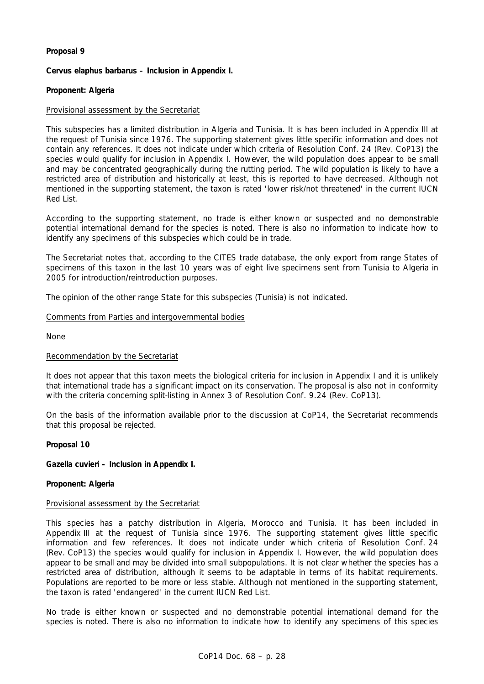## **Proposal 9**

*Cervus elaphus barbarus* **– Inclusion in Appendix I.** 

## **Proponent: Algeria**

## Provisional assessment by the Secretariat

This subspecies has a limited distribution in Algeria and Tunisia. It is has been included in Appendix III at the request of Tunisia since 1976. The supporting statement gives little specific information and does not contain any references. It does not indicate under which criteria of Resolution Conf. 24 (Rev. CoP13) the species would qualify for inclusion in Appendix I. However, the wild population does appear to be small and may be concentrated geographically during the rutting period. The wild population is likely to have a restricted area of distribution and historically at least, this is reported to have decreased. Although not mentioned in the supporting statement, the taxon is rated 'lower risk/not threatened' in the current IUCN Red List.

According to the supporting statement, no trade is either known or suspected and no demonstrable potential international demand for the species is noted. There is also no information to indicate how to identify any specimens of this subspecies which could be in trade.

The Secretariat notes that, according to the CITES trade database, the only export from range States of specimens of this taxon in the last 10 years was of eight live specimens sent from Tunisia to Algeria in 2005 for introduction/reintroduction purposes.

The opinion of the other range State for this subspecies (Tunisia) is not indicated.

## Comments from Parties and intergovernmental bodies

None

### Recommendation by the Secretariat

It does not appear that this taxon meets the biological criteria for inclusion in Appendix I and it is unlikely that international trade has a significant impact on its conservation. The proposal is also not in conformity with the criteria concerning split-listing in Annex 3 of Resolution Conf. 9.24 (Rev. CoP13).

On the basis of the information available prior to the discussion at CoP14, the Secretariat recommends that this proposal be rejected.

### **Proposal 10**

*Gazella cuvieri* **– Inclusion in Appendix I.** 

## **Proponent: Algeria**

### Provisional assessment by the Secretariat

This species has a patchy distribution in Algeria, Morocco and Tunisia. It has been included in Appendix III at the request of Tunisia since 1976. The supporting statement gives little specific information and few references. It does not indicate under which criteria of Resolution Conf. 24 (Rev. CoP13) the species would qualify for inclusion in Appendix I. However, the wild population does appear to be small and may be divided into small subpopulations. It is not clear whether the species has a restricted area of distribution, although it seems to be adaptable in terms of its habitat requirements. Populations are reported to be more or less stable. Although not mentioned in the supporting statement, the taxon is rated 'endangered' in the current IUCN Red List.

No trade is either known or suspected and no demonstrable potential international demand for the species is noted. There is also no information to indicate how to identify any specimens of this species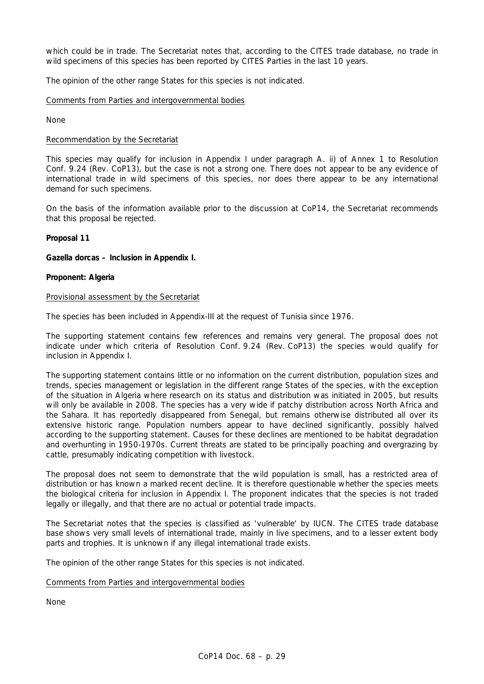which could be in trade. The Secretariat notes that, according to the CITES trade database, no trade in wild specimens of this species has been reported by CITES Parties in the last 10 years.

The opinion of the other range States for this species is not indicated.

### Comments from Parties and intergovernmental bodies

None

### Recommendation by the Secretariat

This species may qualify for inclusion in Appendix I under paragraph A. ii) of Annex 1 to Resolution Conf. 9.24 (Rev. CoP13), but the case is not a strong one. There does not appear to be any evidence of international trade in wild specimens of this species, nor does there appear to be any international demand for such specimens.

On the basis of the information available prior to the discussion at CoP14, the Secretariat recommends that this proposal be rejected.

## **Proposal 11**

## *Gazella dorcas* **– Inclusion in Appendix I.**

### **Proponent: Algeria**

### Provisional assessment by the Secretariat

The species has been included in Appendix-III at the request of Tunisia since 1976.

The supporting statement contains few references and remains very general. The proposal does not indicate under which criteria of Resolution Conf. 9.24 (Rev. CoP13) the species would qualify for inclusion in Appendix I.

The supporting statement contains little or no information on the current distribution, population sizes and trends, species management or legislation in the different range States of the species, with the exception of the situation in Algeria where research on its status and distribution was initiated in 2005, but results will only be available in 2008. The species has a very wide if patchy distribution across North Africa and the Sahara. It has reportedly disappeared from Senegal, but remains otherwise distributed all over its extensive historic range. Population numbers appear to have declined significantly, possibly halved according to the supporting statement. Causes for these declines are mentioned to be habitat degradation and overhunting in 1950-1970s. Current threats are stated to be principally poaching and overgrazing by cattle, presumably indicating competition with livestock.

The proposal does not seem to demonstrate that the wild population is small, has a restricted area of distribution or has known a marked recent decline. It is therefore questionable whether the species meets the biological criteria for inclusion in Appendix I. The proponent indicates that the species is not traded legally or illegally, and that there are no actual or potential trade impacts.

The Secretariat notes that the species is classified as 'vulnerable' by IUCN. The CITES trade database base shows very small levels of international trade, mainly in live specimens, and to a lesser extent body parts and trophies. It is unknown if any illegal international trade exists.

The opinion of the other range States for this species is not indicated.

## Comments from Parties and intergovernmental bodies

None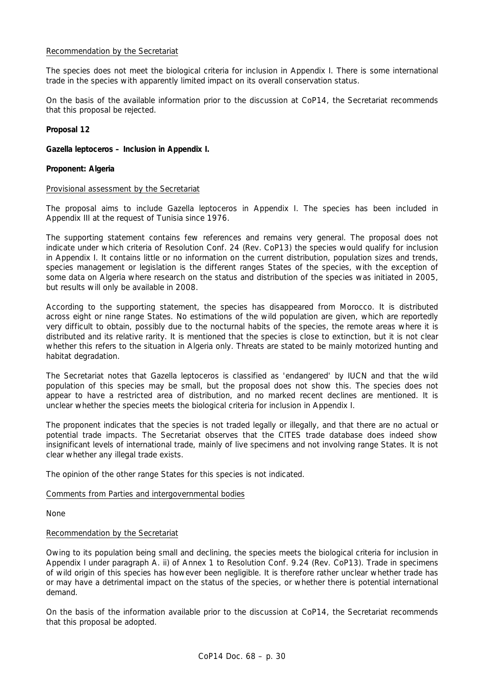## Recommendation by the Secretariat

The species does not meet the biological criteria for inclusion in Appendix I. There is some international trade in the species with apparently limited impact on its overall conservation status.

On the basis of the available information prior to the discussion at CoP14, the Secretariat recommends that this proposal be rejected.

## **Proposal 12**

*Gazella leptoceros* **– Inclusion in Appendix I.** 

## **Proponent: Algeria**

### Provisional assessment by the Secretariat

The proposal aims to include *Gazella leptoceros* in Appendix I. The species has been included in Appendix III at the request of Tunisia since 1976.

The supporting statement contains few references and remains very general. The proposal does not indicate under which criteria of Resolution Conf. 24 (Rev. CoP13) the species would qualify for inclusion in Appendix I. It contains little or no information on the current distribution, population sizes and trends, species management or legislation is the different ranges States of the species, with the exception of some data on Algeria where research on the status and distribution of the species was initiated in 2005, but results will only be available in 2008.

According to the supporting statement, the species has disappeared from Morocco. It is distributed across eight or nine range States. No estimations of the wild population are given, which are reportedly very difficult to obtain, possibly due to the nocturnal habits of the species, the remote areas where it is distributed and its relative rarity. It is mentioned that the species is close to extinction, but it is not clear whether this refers to the situation in Algeria only. Threats are stated to be mainly motorized hunting and habitat degradation.

The Secretariat notes that *Gazella leptoceros* is classified as 'endangered' by IUCN and that the wild population of this species may be small, but the proposal does not show this. The species does not appear to have a restricted area of distribution, and no marked recent declines are mentioned. It is unclear whether the species meets the biological criteria for inclusion in Appendix I.

The proponent indicates that the species is not traded legally or illegally, and that there are no actual or potential trade impacts. The Secretariat observes that the CITES trade database does indeed show insignificant levels of international trade, mainly of live specimens and not involving range States. It is not clear whether any illegal trade exists.

The opinion of the other range States for this species is not indicated.

### Comments from Parties and intergovernmental bodies

None

## Recommendation by the Secretariat

Owing to its population being small and declining, the species meets the biological criteria for inclusion in Appendix I under paragraph A. ii) of Annex 1 to Resolution Conf. 9.24 (Rev. CoP13). Trade in specimens of wild origin of this species has however been negligible. It is therefore rather unclear whether trade has or may have a detrimental impact on the status of the species, or whether there is potential international demand.

On the basis of the information available prior to the discussion at CoP14, the Secretariat recommends that this proposal be adopted.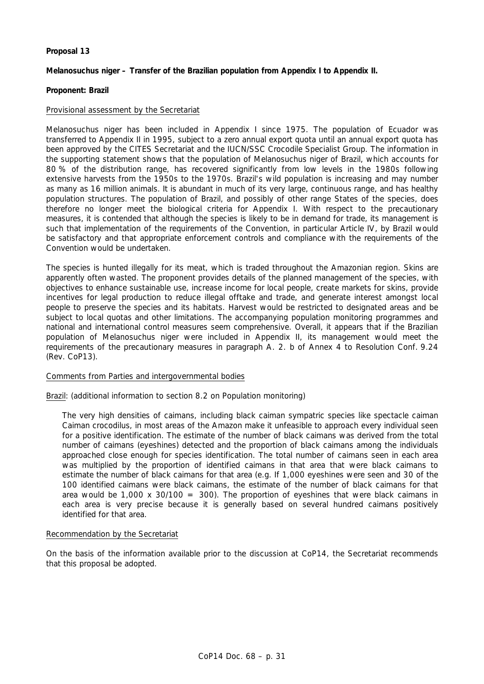## **Proposal 13**

## *Melanosuchus niger* **– Transfer of the Brazilian population from Appendix I to Appendix II.**

## **Proponent: Brazil**

## Provisional assessment by the Secretariat

*Melanosuchus niger* has been included in Appendix I since 1975. The population of Ecuador was transferred to Appendix II in 1995, subject to a zero annual export quota until an annual export quota has been approved by the CITES Secretariat and the IUCN/SSC Crocodile Specialist Group. The information in the supporting statement shows that the population of *Melanosuchus niger* of Brazil, which accounts for 80 % of the distribution range, has recovered significantly from low levels in the 1980s following extensive harvests from the 1950s to the 1970s. Brazil's wild population is increasing and may number as many as 16 million animals. It is abundant in much of its very large, continuous range, and has healthy population structures. The population of Brazil, and possibly of other range States of the species, does therefore no longer meet the biological criteria for Appendix I. With respect to the precautionary measures, it is contended that although the species is likely to be in demand for trade, its management is such that implementation of the requirements of the Convention, in particular Article IV, by Brazil would be satisfactory and that appropriate enforcement controls and compliance with the requirements of the Convention would be undertaken.

The species is hunted illegally for its meat, which is traded throughout the Amazonian region. Skins are apparently often wasted. The proponent provides details of the planned management of the species, with objectives to enhance sustainable use, increase income for local people, create markets for skins, provide incentives for legal production to reduce illegal offtake and trade, and generate interest amongst local people to preserve the species and its habitats. Harvest would be restricted to designated areas and be subject to local quotas and other limitations. The accompanying population monitoring programmes and national and international control measures seem comprehensive. Overall, it appears that if the Brazilian population of *Melanosuchus niger* were included in Appendix II, its management would meet the requirements of the precautionary measures in paragraph A. 2. b of Annex 4 to Resolution Conf. 9.24 (Rev. CoP13).

### Comments from Parties and intergovernmental bodies

Brazil: (additional information to section 8.2 on Population monitoring)

 The very high densities of caimans, including black caiman sympatric species like spectacle caiman *Caiman crocodilus*, in most areas of the Amazon make it unfeasible to approach every individual seen for a positive identification. The estimate of the number of black caimans was derived from the total number of caimans (eyeshines) detected and the proportion of black caimans among the individuals approached close enough for species identification. The total number of caimans seen in each area was multiplied by the proportion of identified caimans in that area that were black caimans to estimate the number of black caimans for that area (e.g. If 1,000 eyeshines were seen and 30 of the 100 identified caimans were black caimans, the estimate of the number of black caimans for that area would be 1,000 x 30/100 = 300). The proportion of eyeshines that were black caimans in each area is very precise because it is generally based on several hundred caimans positively identified for that area.

### Recommendation by the Secretariat

On the basis of the information available prior to the discussion at CoP14, the Secretariat recommends that this proposal be adopted.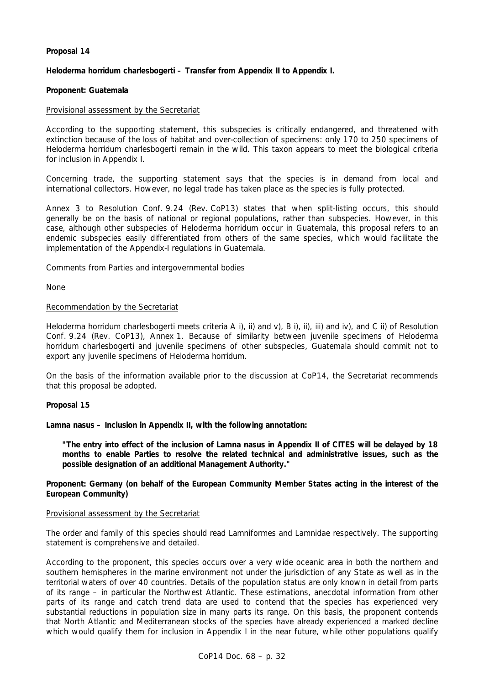## **Proposal 14**

## *Heloderma horridum charlesbogerti* **– Transfer from Appendix II to Appendix I.**

## **Proponent: Guatemala**

## Provisional assessment by the Secretariat

According to the supporting statement, this subspecies is critically endangered, and threatened with extinction because of the loss of habitat and over-collection of specimens: only 170 to 250 specimens of *Heloderma horridum charlesbogerti* remain in the wild. This taxon appears to meet the biological criteria for inclusion in Appendix I.

Concerning trade, the supporting statement says that the species is in demand from local and international collectors. However, no legal trade has taken place as the species is fully protected.

Annex 3 to Resolution Conf. 9.24 (Rev. CoP13) states that when split-listing occurs, this should generally be on the basis of national or regional populations, rather than subspecies. However, in this case, although other subspecies of *Heloderma horridum* occur in Guatemala, this proposal refers to an endemic subspecies easily differentiated from others of the same species, which would facilitate the implementation of the Appendix-I regulations in Guatemala.

## Comments from Parties and intergovernmental bodies

None

### Recommendation by the Secretariat

*Heloderma horridum charlesbogerti* meets criteria A i), ii) and v), B i), ii), iii) and iv), and C ii) of Resolution Conf. 9.24 (Rev. CoP13), Annex 1. Because of similarity between juvenile specimens of *Heloderma horridum charlesbogerti* and juvenile specimens of other subspecies, Guatemala should commit not to export any juvenile specimens of *Heloderma horridum*.

On the basis of the information available prior to the discussion at CoP14, the Secretariat recommends that this proposal be adopted.

### **Proposal 15**

*Lamna nasus* **– Inclusion in Appendix II, with the following annotation:** 

 **"The entry into effect of the inclusion of** *Lamna nasus* **in Appendix II of CITES will be delayed by 18 months to enable Parties to resolve the related technical and administrative issues, such as the possible designation of an additional Management Authority."** 

**Proponent: Germany (on behalf of the European Community Member States acting in the interest of the European Community)** 

### Provisional assessment by the Secretariat

The order and family of this species should read Lamniformes and Lamnidae respectively. The supporting statement is comprehensive and detailed.

According to the proponent, this species occurs over a very wide oceanic area in both the northern and southern hemispheres in the marine environment not under the jurisdiction of any State as well as in the territorial waters of over 40 countries. Details of the population status are only known in detail from parts of its range – in particular the Northwest Atlantic. These estimations, anecdotal information from other parts of its range and catch trend data are used to contend that the species has experienced very substantial reductions in population size in many parts its range. On this basis, the proponent contends that North Atlantic and Mediterranean stocks of the species have already experienced a marked decline which would qualify them for inclusion in Appendix I in the near future, while other populations qualify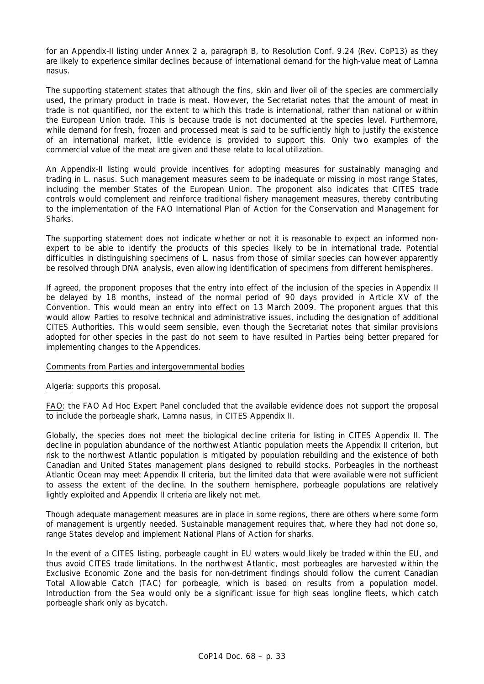for an Appendix-II listing under Annex 2 a, paragraph B, to Resolution Conf. 9.24 (Rev. CoP13) as they are likely to experience similar declines because of international demand for the high-value meat of *Lamna nasus*.

The supporting statement states that although the fins, skin and liver oil of the species are commercially used, the primary product in trade is meat. However, the Secretariat notes that the amount of meat in trade is not quantified, nor the extent to which this trade is international, rather than national or within the European Union trade. This is because trade is not documented at the species level. Furthermore, while demand for fresh, frozen and processed meat is said to be sufficiently high to justify the existence of an international market, little evidence is provided to support this. Only two examples of the commercial value of the meat are given and these relate to local utilization.

An Appendix-II listing would provide incentives for adopting measures for sustainably managing and trading in *L. nasus*. Such management measures seem to be inadequate or missing in most range States, including the member States of the European Union. The proponent also indicates that CITES trade controls would complement and reinforce traditional fishery management measures, thereby contributing to the implementation of the FAO International Plan of Action for the Conservation and Management for Sharks.

The supporting statement does not indicate whether or not it is reasonable to expect an informed nonexpert to be able to identify the products of this species likely to be in international trade. Potential difficulties in distinguishing specimens of *L. nasus* from those of similar species can however apparently be resolved through DNA analysis, even allowing identification of specimens from different hemispheres.

If agreed, the proponent proposes that the entry into effect of the inclusion of the species in Appendix II be delayed by 18 months, instead of the normal period of 90 days provided in Article XV of the Convention. This would mean an entry into effect on 13 March 2009. The proponent argues that this would allow Parties to resolve technical and administrative issues, including the designation of additional CITES Authorities. This would seem sensible, even though the Secretariat notes that similar provisions adopted for other species in the past do not seem to have resulted in Parties being better prepared for implementing changes to the Appendices.

## Comments from Parties and intergovernmental bodies

Algeria: supports this proposal.

FAO: the FAO Ad Hoc Expert Panel concluded that the available evidence does not support the proposal to include the porbeagle shark, *Lamna nasus,* in CITES Appendix II.

Globally, the species does not meet the biological decline criteria for listing in CITES Appendix II. The decline in population abundance of the northwest Atlantic population meets the Appendix II criterion, but risk to the northwest Atlantic population is mitigated by population rebuilding and the existence of both Canadian and United States management plans designed to rebuild stocks. Porbeagles in the northeast Atlantic Ocean may meet Appendix II criteria, but the limited data that were available were not sufficient to assess the extent of the decline. In the southern hemisphere, porbeagle populations are relatively lightly exploited and Appendix II criteria are likely not met.

Though adequate management measures are in place in some regions, there are others where some form of management is urgently needed. Sustainable management requires that, where they had not done so, range States develop and implement National Plans of Action for sharks.

In the event of a CITES listing, porbeagle caught in EU waters would likely be traded within the EU, and thus avoid CITES trade limitations. In the northwest Atlantic, most porbeagles are harvested within the Exclusive Economic Zone and the basis for non-detriment findings should follow the current Canadian Total Allowable Catch (TAC) for porbeagle, which is based on results from a population model. Introduction from the Sea would only be a significant issue for high seas longline fleets, which catch porbeagle shark only as bycatch.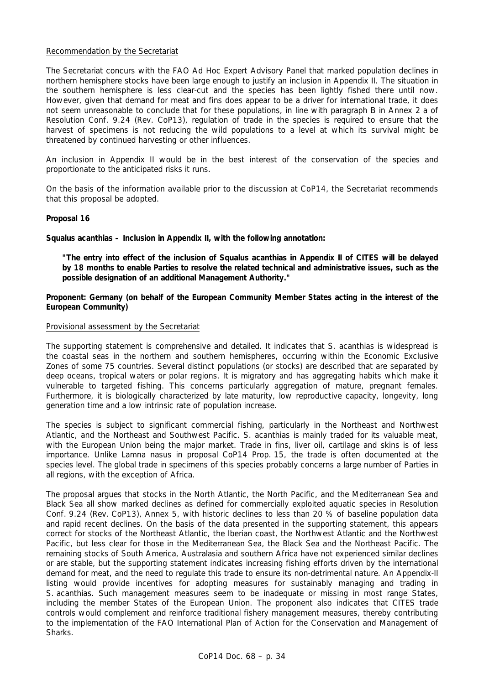## Recommendation by the Secretariat

The Secretariat concurs with the FAO Ad Hoc Expert Advisory Panel that marked population declines in northern hemisphere stocks have been large enough to justify an inclusion in Appendix II. The situation in the southern hemisphere is less clear-cut and the species has been lightly fished there until now. However, given that demand for meat and fins does appear to be a driver for international trade, it does not seem unreasonable to conclude that for these populations, in line with paragraph B in Annex 2 a of Resolution Conf. 9.24 (Rev. CoP13), regulation of trade in the species is required to ensure that the harvest of specimens is not reducing the wild populations to a level at which its survival might be threatened by continued harvesting or other influences.

An inclusion in Appendix II would be in the best interest of the conservation of the species and proportionate to the anticipated risks it runs.

On the basis of the information available prior to the discussion at CoP14, the Secretariat recommends that this proposal be adopted.

## **Proposal 16**

*Squalus acanthias –* **Inclusion in Appendix II, with the following annotation:** 

 **"The entry into effect of the inclusion of** *Squalus acanthias* **in Appendix II of CITES will be delayed by 18 months to enable Parties to resolve the related technical and administrative issues, such as the possible designation of an additional Management Authority."** 

**Proponent: Germany (on behalf of the European Community Member States acting in the interest of the European Community)** 

### Provisional assessment by the Secretariat

The supporting statement is comprehensive and detailed. It indicates that *S. acanthias* is widespread is the coastal seas in the northern and southern hemispheres, occurring within the Economic Exclusive Zones of some 75 countries. Several distinct populations (or stocks) are described that are separated by deep oceans, tropical waters or polar regions. It is migratory and has aggregating habits which make it vulnerable to targeted fishing. This concerns particularly aggregation of mature, pregnant females. Furthermore, it is biologically characterized by late maturity, low reproductive capacity, longevity, long generation time and a low intrinsic rate of population increase.

The species is subject to significant commercial fishing, particularly in the Northeast and Northwest Atlantic, and the Northeast and Southwest Pacific. *S. acanthias* is mainly traded for its valuable meat, with the European Union being the major market. Trade in fins, liver oil, cartilage and skins is of less importance. Unlike *Lamna nasus* in proposal CoP14 Prop. 15, the trade is often documented at the species level. The global trade in specimens of this species probably concerns a large number of Parties in all regions, with the exception of Africa.

The proposal argues that stocks in the North Atlantic, the North Pacific, and the Mediterranean Sea and Black Sea all show marked declines as defined for commercially exploited aquatic species in Resolution Conf. 9.24 (Rev. CoP13), Annex 5, with historic declines to less than 20 % of baseline population data and rapid recent declines. On the basis of the data presented in the supporting statement, this appears correct for stocks of the Northeast Atlantic, the Iberian coast, the Northwest Atlantic and the Northwest Pacific, but less clear for those in the Mediterranean Sea, the Black Sea and the Northeast Pacific. The remaining stocks of South America, Australasia and southern Africa have not experienced similar declines or are stable, but the supporting statement indicates increasing fishing efforts driven by the international demand for meat, and the need to regulate this trade to ensure its non-detrimental nature. An Appendix-II listing would provide incentives for adopting measures for sustainably managing and trading in *S. acanthias*. Such management measures seem to be inadequate or missing in most range States, including the member States of the European Union. The proponent also indicates that CITES trade controls would complement and reinforce traditional fishery management measures, thereby contributing to the implementation of the FAO International Plan of Action for the Conservation and Management of Sharks.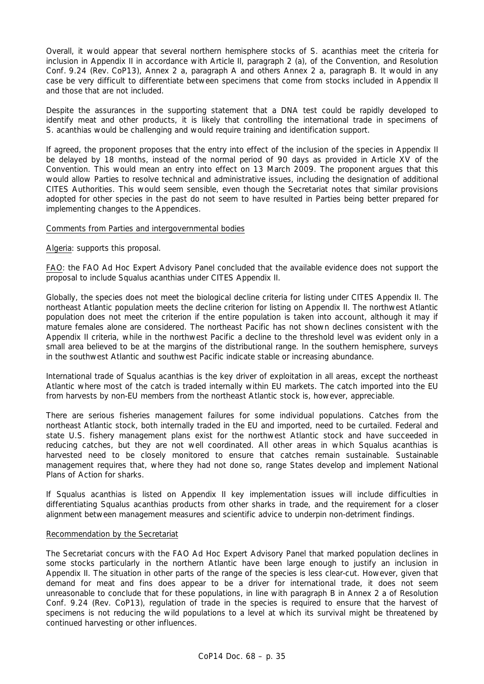Overall, it would appear that several northern hemisphere stocks of *S. acanthias* meet the criteria for inclusion in Appendix II in accordance with Article II, paragraph 2 (a), of the Convention, and Resolution Conf. 9.24 (Rev. CoP13), Annex 2 a, paragraph A and others Annex 2 a, paragraph B. It would in any case be very difficult to differentiate between specimens that come from stocks included in Appendix II and those that are not included.

Despite the assurances in the supporting statement that a DNA test could be rapidly developed to identify meat and other products, it is likely that controlling the international trade in specimens of *S. acanthias* would be challenging and would require training and identification support.

If agreed, the proponent proposes that the entry into effect of the inclusion of the species in Appendix II be delayed by 18 months, instead of the normal period of 90 days as provided in Article XV of the Convention. This would mean an entry into effect on 13 March 2009. The proponent argues that this would allow Parties to resolve technical and administrative issues, including the designation of additional CITES Authorities. This would seem sensible, even though the Secretariat notes that similar provisions adopted for other species in the past do not seem to have resulted in Parties being better prepared for implementing changes to the Appendices.

## Comments from Parties and intergovernmental bodies

Algeria: supports this proposal.

FAO: the FAO Ad Hoc Expert Advisory Panel concluded that the available evidence does not support the proposal to include *Squalus acanthias* under CITES Appendix II.

Globally, the species does not meet the biological decline criteria for listing under CITES Appendix II. The northeast Atlantic population meets the decline criterion for listing on Appendix II. The northwest Atlantic population does not meet the criterion if the entire population is taken into account, although it may if mature females alone are considered. The northeast Pacific has not shown declines consistent with the Appendix II criteria, while in the northwest Pacific a decline to the threshold level was evident only in a small area believed to be at the margins of the distributional range. In the southern hemisphere, surveys in the southwest Atlantic and southwest Pacific indicate stable or increasing abundance.

International trade of *Squalus acanthias* is the key driver of exploitation in all areas, except the northeast Atlantic where most of the catch is traded internally within EU markets. The catch imported into the EU from harvests by non-EU members from the northeast Atlantic stock is, however, appreciable.

There are serious fisheries management failures for some individual populations. Catches from the northeast Atlantic stock, both internally traded in the EU and imported, need to be curtailed. Federal and state U.S. fishery management plans exist for the northwest Atlantic stock and have succeeded in reducing catches, but they are not well coordinated. All other areas in which *Squalus acanthias* is harvested need to be closely monitored to ensure that catches remain sustainable. Sustainable management requires that, where they had not done so, range States develop and implement National Plans of Action for sharks.

If *Squalus acanthias* is listed on Appendix II key implementation issues will include difficulties in differentiating *Squalus acanthias* products from other sharks in trade, and the requirement for a closer alignment between management measures and scientific advice to underpin non-detriment findings.

### Recommendation by the Secretariat

The Secretariat concurs with the FAO Ad Hoc Expert Advisory Panel that marked population declines in some stocks particularly in the northern Atlantic have been large enough to justify an inclusion in Appendix II. The situation in other parts of the range of the species is less clear-cut. However, given that demand for meat and fins does appear to be a driver for international trade, it does not seem unreasonable to conclude that for these populations, in line with paragraph B in Annex 2 a of Resolution Conf. 9.24 (Rev. CoP13), regulation of trade in the species is required to ensure that the harvest of specimens is not reducing the wild populations to a level at which its survival might be threatened by continued harvesting or other influences.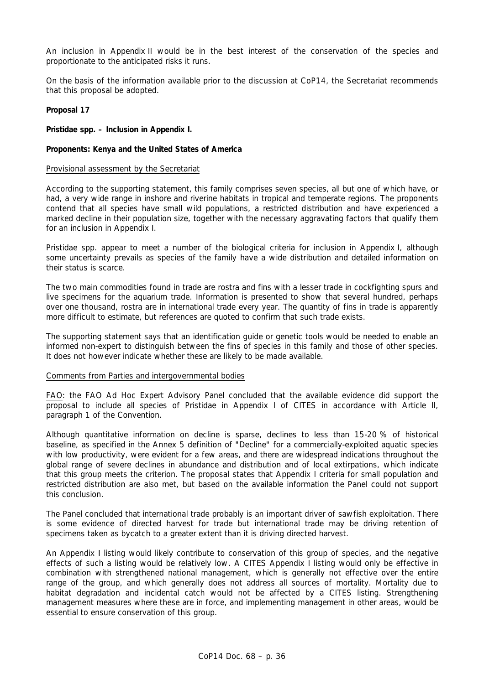An inclusion in Appendix II would be in the best interest of the conservation of the species and proportionate to the anticipated risks it runs.

On the basis of the information available prior to the discussion at CoP14, the Secretariat recommends that this proposal be adopted.

### **Proposal 17**

### **Pristidae spp. – Inclusion in Appendix I.**

## **Proponents: Kenya and the United States of America**

### Provisional assessment by the Secretariat

According to the supporting statement, this family comprises seven species, all but one of which have, or had, a very wide range in inshore and riverine habitats in tropical and temperate regions. The proponents contend that all species have small wild populations, a restricted distribution and have experienced a marked decline in their population size, together with the necessary aggravating factors that qualify them for an inclusion in Appendix I.

Pristidae spp. appear to meet a number of the biological criteria for inclusion in Appendix I, although some uncertainty prevails as species of the family have a wide distribution and detailed information on their status is scarce.

The two main commodities found in trade are rostra and fins with a lesser trade in cockfighting spurs and live specimens for the aquarium trade. Information is presented to show that several hundred, perhaps over one thousand, rostra are in international trade every year. The quantity of fins in trade is apparently more difficult to estimate, but references are quoted to confirm that such trade exists.

The supporting statement says that an identification guide or genetic tools would be needed to enable an informed non-expert to distinguish between the fins of species in this family and those of other species. It does not however indicate whether these are likely to be made available.

### Comments from Parties and intergovernmental bodies

FAO: the FAO Ad Hoc Expert Advisory Panel concluded that the available evidence did support the proposal to include all species of Pristidae in Appendix I of CITES in accordance with Article II, paragraph 1 of the Convention.

Although quantitative information on decline is sparse, declines to less than 15-20 % of historical baseline, as specified in the Annex 5 definition of "Decline" for a commercially-exploited aquatic species with low productivity, were evident for a few areas, and there are widespread indications throughout the global range of severe declines in abundance and distribution and of local extirpations, which indicate that this group meets the criterion. The proposal states that Appendix I criteria for small population and restricted distribution are also met, but based on the available information the Panel could not support this conclusion.

The Panel concluded that international trade probably is an important driver of sawfish exploitation. There is some evidence of directed harvest for trade but international trade may be driving retention of specimens taken as bycatch to a greater extent than it is driving directed harvest.

An Appendix I listing would likely contribute to conservation of this group of species, and the negative effects of such a listing would be relatively low. A CITES Appendix I listing would only be effective in combination with strengthened national management, which is generally not effective over the entire range of the group, and which generally does not address all sources of mortality. Mortality due to habitat degradation and incidental catch would not be affected by a CITES listing. Strengthening management measures where these are in force, and implementing management in other areas, would be essential to ensure conservation of this group.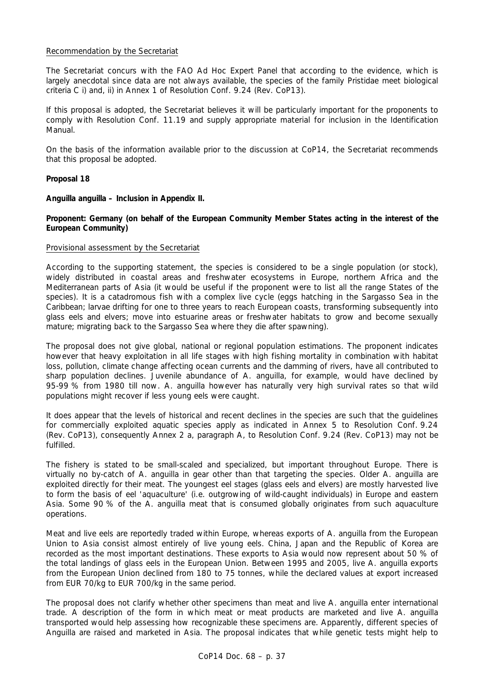## Recommendation by the Secretariat

The Secretariat concurs with the FAO Ad Hoc Expert Panel that according to the evidence, which is largely anecdotal since data are not always available, the species of the family Pristidae meet biological criteria C i) and, ii) in Annex 1 of Resolution Conf. 9.24 (Rev. CoP13).

If this proposal is adopted, the Secretariat believes it will be particularly important for the proponents to comply with Resolution Conf. 11.19 and supply appropriate material for inclusion in the Identification Manual.

On the basis of the information available prior to the discussion at CoP14, the Secretariat recommends that this proposal be adopted.

## **Proposal 18**

*Anguilla anguilla –* **Inclusion in Appendix II.** 

**Proponent: Germany (on behalf of the European Community Member States acting in the interest of the European Community)** 

## Provisional assessment by the Secretariat

According to the supporting statement, the species is considered to be a single population (or stock), widely distributed in coastal areas and freshwater ecosystems in Europe, northern Africa and the Mediterranean parts of Asia (it would be useful if the proponent were to list all the range States of the species). It is a catadromous fish with a complex live cycle (eggs hatching in the Sargasso Sea in the Caribbean; larvae drifting for one to three years to reach European coasts, transforming subsequently into glass eels and elvers; move into estuarine areas or freshwater habitats to grow and become sexually mature; migrating back to the Sargasso Sea where they die after spawning).

The proposal does not give global, national or regional population estimations. The proponent indicates however that heavy exploitation in all life stages with high fishing mortality in combination with habitat loss, pollution, climate change affecting ocean currents and the damming of rivers, have all contributed to sharp population declines. Juvenile abundance of *A. anguilla,* for example, would have declined by 95-99 % from 1980 till now. *A. anguilla* however has naturally very high survival rates so that wild populations might recover if less young eels were caught.

It does appear that the levels of historical and recent declines in the species are such that the guidelines for commercially exploited aquatic species apply as indicated in Annex 5 to Resolution Conf. 9.24 (Rev. CoP13), consequently Annex 2 a, paragraph A, to Resolution Conf. 9.24 (Rev. CoP13) may not be fulfilled.

The fishery is stated to be small-scaled and specialized, but important throughout Europe. There is virtually no by-catch of *A. anguilla* in gear other than that targeting the species. Older *A. anguilla* are exploited directly for their meat. The youngest eel stages (glass eels and elvers) are mostly harvested live to form the basis of eel 'aquaculture' (i.e. outgrowing of wild-caught individuals) in Europe and eastern Asia. Some 90 % of the *A. anguilla* meat that is consumed globally originates from such aquaculture operations.

Meat and live eels are reportedly traded within Europe, whereas exports of *A. anguilla* from the European Union to Asia consist almost entirely of live young eels. China, Japan and the Republic of Korea are recorded as the most important destinations. These exports to Asia would now represent about 50 % of the total landings of glass eels in the European Union. Between 1995 and 2005, live *A. anguilla* exports from the European Union declined from 180 to 75 tonnes, while the declared values at export increased from EUR 70/kg to EUR 700/kg in the same period.

The proposal does not clarify whether other specimens than meat and live *A. anguilla* enter international trade. A description of the form in which meat or meat products are marketed and live *A. anguilla* transported would help assessing how recognizable these specimens are. Apparently, different species of *Anguilla* are raised and marketed in Asia. The proposal indicates that while genetic tests might help to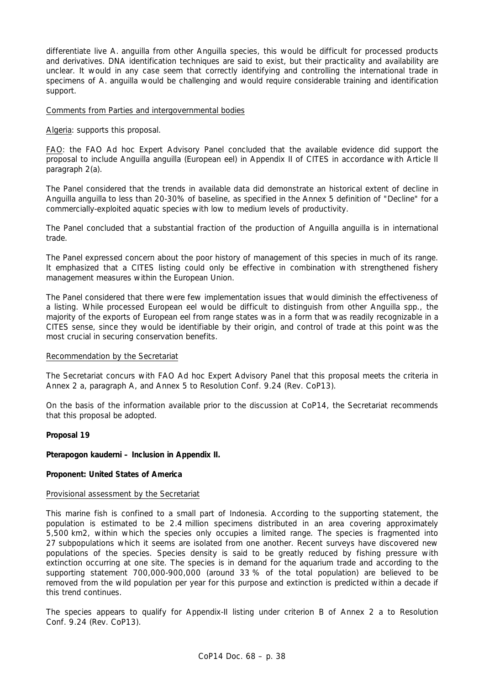differentiate live *A. anguilla* from other *Anguilla* species, this would be difficult for processed products and derivatives. DNA identification techniques are said to exist, but their practicality and availability are unclear. It would in any case seem that correctly identifying and controlling the international trade in specimens of *A. anguilla* would be challenging and would require considerable training and identification support.

### Comments from Parties and intergovernmental bodies

Algeria: supports this proposal.

FAO: the FAO Ad hoc Expert Advisory Panel concluded that the available evidence did support the proposal to include *Anguilla anguilla* (European eel) in Appendix II of CITES in accordance with Article II paragraph 2(a).

The Panel considered that the trends in available data did demonstrate an historical extent of decline in *Anguilla anguilla* to less than 20-30% of baseline, as specified in the Annex 5 definition of "Decline" for a commercially-exploited aquatic species with low to medium levels of productivity.

The Panel concluded that a substantial fraction of the production of *Anguilla anguilla* is in international trade.

The Panel expressed concern about the poor history of management of this species in much of its range. It emphasized that a CITES listing could only be effective in combination with strengthened fishery management measures within the European Union.

The Panel considered that there were few implementation issues that would diminish the effectiveness of a listing. While processed European eel would be difficult to distinguish from other *Anguilla* spp., the majority of the exports of European eel from range states was in a form that was readily recognizable in a CITES sense, since they would be identifiable by their origin, and control of trade at this point was the most crucial in securing conservation benefits.

### Recommendation by the Secretariat

The Secretariat concurs with FAO Ad hoc Expert Advisory Panel that this proposal meets the criteria in Annex 2 a, paragraph A, and Annex 5 to Resolution Conf. 9.24 (Rev. CoP13).

On the basis of the information available prior to the discussion at CoP14, the Secretariat recommends that this proposal be adopted.

### **Proposal 19**

## *Pterapogon kauderni* **– Inclusion in Appendix II.**

### **Proponent: United States of America**

### Provisional assessment by the Secretariat

This marine fish is confined to a small part of Indonesia. According to the supporting statement, the population is estimated to be 2.4 million specimens distributed in an area covering approximately 5,500 km2, within which the species only occupies a limited range. The species is fragmented into 27 subpopulations which it seems are isolated from one another. Recent surveys have discovered new populations of the species. Species density is said to be greatly reduced by fishing pressure with extinction occurring at one site. The species is in demand for the aquarium trade and according to the supporting statement 700,000-900,000 (around 33 % of the total population) are believed to be removed from the wild population per year for this purpose and extinction is predicted within a decade if this trend continues.

The species appears to qualify for Appendix-II listing under criterion B of Annex 2 a to Resolution Conf. 9.24 (Rev. CoP13).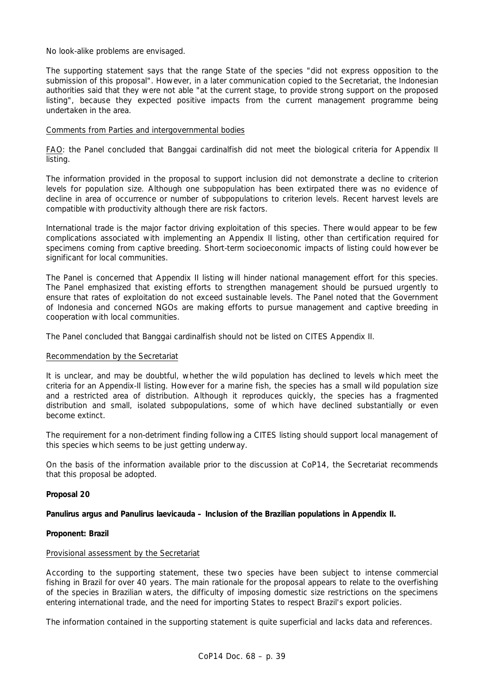No look-alike problems are envisaged.

The supporting statement says that the range State of the species "did not express opposition to the submission of this proposal". However, in a later communication copied to the Secretariat, the Indonesian authorities said that they were not able "at the current stage, to provide strong support on the proposed listing", because they expected positive impacts from the current management programme being undertaken in the area.

## Comments from Parties and intergovernmental bodies

FAO: the Panel concluded that Banggai cardinalfish did not meet the biological criteria for Appendix II listing.

The information provided in the proposal to support inclusion did not demonstrate a decline to criterion levels for population size. Although one subpopulation has been extirpated there was no evidence of decline in area of occurrence or number of subpopulations to criterion levels. Recent harvest levels are compatible with productivity although there are risk factors.

International trade is the major factor driving exploitation of this species. There would appear to be few complications associated with implementing an Appendix II listing, other than certification required for specimens coming from captive breeding. Short-term socioeconomic impacts of listing could however be significant for local communities.

The Panel is concerned that Appendix II listing will hinder national management effort for this species. The Panel emphasized that existing efforts to strengthen management should be pursued urgently to ensure that rates of exploitation do not exceed sustainable levels. The Panel noted that the Government of Indonesia and concerned NGOs are making efforts to pursue management and captive breeding in cooperation with local communities.

The Panel concluded that Banggai cardinalfish should not be listed on CITES Appendix II.

## Recommendation by the Secretariat

It is unclear, and may be doubtful, whether the wild population has declined to levels which meet the criteria for an Appendix-II listing. However for a marine fish, the species has a small wild population size and a restricted area of distribution. Although it reproduces quickly, the species has a fragmented distribution and small, isolated subpopulations, some of which have declined substantially or even become extinct.

The requirement for a non-detriment finding following a CITES listing should support local management of this species which seems to be just getting underway.

On the basis of the information available prior to the discussion at CoP14, the Secretariat recommends that this proposal be adopted.

### **Proposal 20**

## *Panulirus argus* **and** *Panulirus laevicauda* **– Inclusion of the Brazilian populations in Appendix II.**

## **Proponent: Brazil**

### Provisional assessment by the Secretariat

According to the supporting statement, these two species have been subject to intense commercial fishing in Brazil for over 40 years. The main rationale for the proposal appears to relate to the overfishing of the species in Brazilian waters, the difficulty of imposing domestic size restrictions on the specimens entering international trade, and the need for importing States to respect Brazil's export policies.

The information contained in the supporting statement is quite superficial and lacks data and references.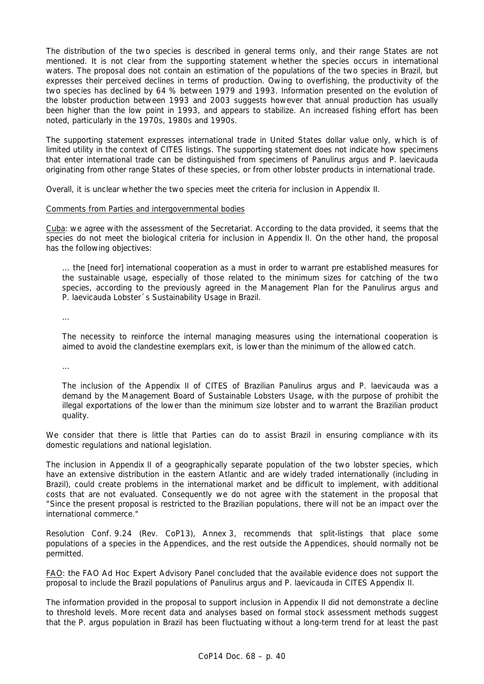The distribution of the two species is described in general terms only, and their range States are not mentioned. It is not clear from the supporting statement whether the species occurs in international waters. The proposal does not contain an estimation of the populations of the two species in Brazil, but expresses their perceived declines in terms of production. Owing to overfishing, the productivity of the two species has declined by 64 % between 1979 and 1993. Information presented on the evolution of the lobster production between 1993 and 2003 suggests however that annual production has usually been higher than the low point in 1993, and appears to stabilize. An increased fishing effort has been noted, particularly in the 1970s, 1980s and 1990s.

The supporting statement expresses international trade in United States dollar value only, which is of limited utility in the context of CITES listings. The supporting statement does not indicate how specimens that enter international trade can be distinguished from specimens of *Panulirus argus* and *P. laevicauda*  originating from other range States of these species, or from other lobster products in international trade.

Overall, it is unclear whether the two species meet the criteria for inclusion in Appendix II.

### Comments from Parties and intergovernmental bodies

Cuba: we agree with the assessment of the Secretariat. According to the data provided, it seems that the species do not meet the biological criteria for inclusion in Appendix II. On the other hand, the proposal has the following objectives:

 *… the [need for] international cooperation as a must in order to warrant pre established measures for the sustainable usage, especially of those related to the minimum sizes for catching of the two*  species, according to the previously agreed in the Management Plan for the Panulirus argus and P. laevicauda *Lobster´s Sustainability Usage in Brazil.*

 *…* 

 *The necessity to reinforce the internal managing measures using the international cooperation is aimed to avoid the clandestine exemplars exit, is lower than the minimum of the allowed catch.*

 *…* 

 *The inclusion of the Appendix II of CITES of Brazilian* Panulirus argus *and* P. laevicauda *was a demand by the Management Board of Sustainable Lobsters Usage, with the purpose of prohibit the illegal exportations of the lower than the minimum size lobster and to warrant the Brazilian product quality.*

We consider that there is little that Parties can do to assist Brazil in ensuring compliance with its domestic regulations and national legislation.

The inclusion in Appendix II of a geographically separate population of the two lobster species, which have an extensive distribution in the eastern Atlantic and are widely traded internationally (including in Brazil), could create problems in the international market and be difficult to implement, with additional costs that are not evaluated. Consequently we do not agree with the statement in the proposal that "Since the present proposal is restricted to the Brazilian populations, there will not be an impact over the international commerce."

Resolution Conf. 9.24 (Rev. CoP13), Annex 3, recommends that split-listings that place some populations of a species in the Appendices, and the rest outside the Appendices, should normally not be permitted.

FAO: the FAO Ad Hoc Expert Advisory Panel concluded that the available evidence does not support the proposal to include the Brazil populations of *Panulirus argus* and *P. laevicauda* in CITES Appendix II.

The information provided in the proposal to support inclusion in Appendix II did not demonstrate a decline to threshold levels. More recent data and analyses based on formal stock assessment methods suggest that the *P. argus* population in Brazil has been fluctuating without a long-term trend for at least the past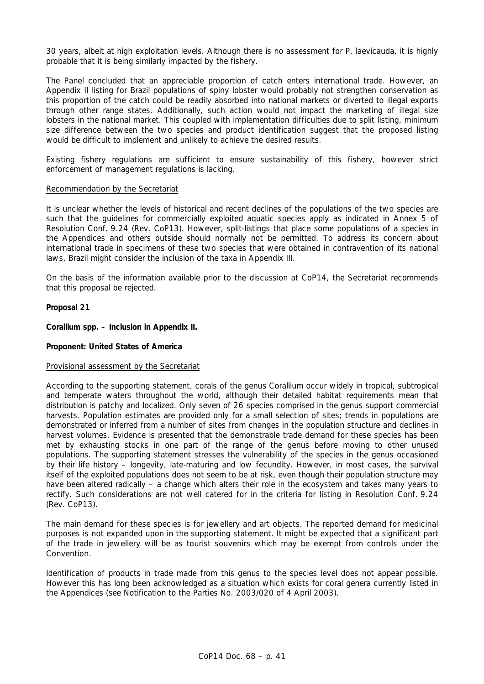30 years, albeit at high exploitation levels. Although there is no assessment for *P. laevicauda,* it is highly probable that it is being similarly impacted by the fishery.

The Panel concluded that an appreciable proportion of catch enters international trade. However, an Appendix II listing for Brazil populations of spiny lobster would probably not strengthen conservation as this proportion of the catch could be readily absorbed into national markets or diverted to illegal exports through other range states. Additionally, such action would not impact the marketing of illegal size lobsters in the national market. This coupled with implementation difficulties due to split listing, minimum size difference between the two species and product identification suggest that the proposed listing would be difficult to implement and unlikely to achieve the desired results.

Existing fishery regulations are sufficient to ensure sustainability of this fishery, however strict enforcement of management regulations is lacking.

### Recommendation by the Secretariat

It is unclear whether the levels of historical and recent declines of the populations of the two species are such that the guidelines for commercially exploited aquatic species apply as indicated in Annex 5 of Resolution Conf. 9.24 (Rev. CoP13). However, split-listings that place some populations of a species in the Appendices and others outside should normally not be permitted. To address its concern about international trade in specimens of these two species that were obtained in contravention of its national laws, Brazil might consider the inclusion of the taxa in Appendix III.

On the basis of the information available prior to the discussion at CoP14, the Secretariat recommends that this proposal be rejected.

### **Proposal 21**

*Corallium* **spp. – Inclusion in Appendix II.** 

## **Proponent: United States of America**

### Provisional assessment by the Secretariat

According to the supporting statement, corals of the genus *Corallium* occur widely in tropical, subtropical and temperate waters throughout the world, although their detailed habitat requirements mean that distribution is patchy and localized. Only seven of 26 species comprised in the genus support commercial harvests. Population estimates are provided only for a small selection of sites; trends in populations are demonstrated or inferred from a number of sites from changes in the population structure and declines in harvest volumes. Evidence is presented that the demonstrable trade demand for these species has been met by exhausting stocks in one part of the range of the genus before moving to other unused populations. The supporting statement stresses the vulnerability of the species in the genus occasioned by their life history – longevity, late-maturing and low fecundity. However, in most cases, the survival itself of the exploited populations does not seem to be at risk, even though their population structure may have been altered radically – a change which alters their role in the ecosystem and takes many years to rectify. Such considerations are not well catered for in the criteria for listing in Resolution Conf. 9.24 (Rev. CoP13).

The main demand for these species is for jewellery and art objects. The reported demand for medicinal purposes is not expanded upon in the supporting statement. It might be expected that a significant part of the trade in jewellery will be as tourist souvenirs which may be exempt from controls under the Convention.

Identification of products in trade made from this genus to the species level does not appear possible. However this has long been acknowledged as a situation which exists for coral genera currently listed in the Appendices (see Notification to the Parties No. 2003/020 of 4 April 2003).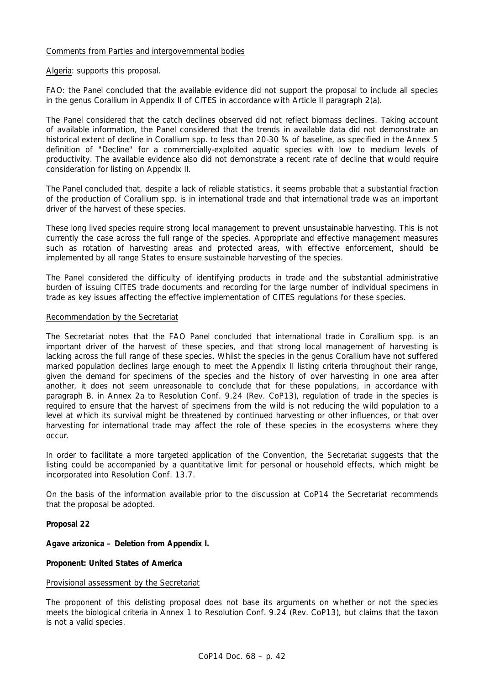## Comments from Parties and intergovernmental bodies

Algeria: supports this proposal.

FAO: the Panel concluded that the available evidence did not support the proposal to include all species in the genus *Corallium* in Appendix II of CITES in accordance with Article II paragraph 2(a).

The Panel considered that the catch declines observed did not reflect biomass declines. Taking account of available information, the Panel considered that the trends in available data did not demonstrate an historical extent of decline in *Corallium* spp. to less than 20-30 % of baseline, as specified in the Annex 5 definition of "Decline" for a commercially-exploited aquatic species with low to medium levels of productivity. The available evidence also did not demonstrate a recent rate of decline that would require consideration for listing on Appendix II.

The Panel concluded that, despite a lack of reliable statistics, it seems probable that a substantial fraction of the production of *Corallium* spp. is in international trade and that international trade was an important driver of the harvest of these species.

These long lived species require strong local management to prevent unsustainable harvesting. This is not currently the case across the full range of the species. Appropriate and effective management measures such as rotation of harvesting areas and protected areas, with effective enforcement, should be implemented by all range States to ensure sustainable harvesting of the species.

The Panel considered the difficulty of identifying products in trade and the substantial administrative burden of issuing CITES trade documents and recording for the large number of individual specimens in trade as key issues affecting the effective implementation of CITES regulations for these species.

### Recommendation by the Secretariat

The Secretariat notes that the FAO Panel concluded that international trade in *Corallium* spp. is an important driver of the harvest of these species, and that strong local management of harvesting is lacking across the full range of these species. Whilst the species in the genus *Corallium* have not suffered marked population declines large enough to meet the Appendix II listing criteria throughout their range, given the demand for specimens of the species and the history of over harvesting in one area after another, it does not seem unreasonable to conclude that for these populations, in accordance with paragraph B. in Annex 2a to Resolution Conf. 9.24 (Rev. CoP13), regulation of trade in the species is required to ensure that the harvest of specimens from the wild is not reducing the wild population to a level at which its survival might be threatened by continued harvesting or other influences, or that over harvesting for international trade may affect the role of these species in the ecosystems where they occur.

In order to facilitate a more targeted application of the Convention, the Secretariat suggests that the listing could be accompanied by a quantitative limit for personal or household effects, which might be incorporated into Resolution Conf. 13.7.

On the basis of the information available prior to the discussion at CoP14 the Secretariat recommends that the proposal be adopted.

**Proposal 22** 

*Agave arizonica* **– Deletion from Appendix I.** 

### **Proponent: United States of America**

## Provisional assessment by the Secretariat

The proponent of this delisting proposal does not base its arguments on whether or not the species meets the biological criteria in Annex 1 to Resolution Conf. 9.24 (Rev. CoP13), but claims that the taxon is not a valid species.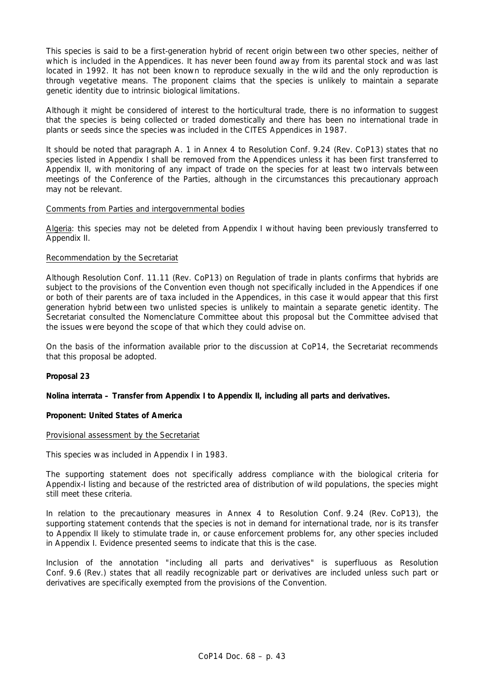This species is said to be a first-generation hybrid of recent origin between two other species, neither of which is included in the Appendices. It has never been found away from its parental stock and was last located in 1992. It has not been known to reproduce sexually in the wild and the only reproduction is through vegetative means. The proponent claims that the species is unlikely to maintain a separate genetic identity due to intrinsic biological limitations.

Although it might be considered of interest to the horticultural trade, there is no information to suggest that the species is being collected or traded domestically and there has been no international trade in plants or seeds since the species was included in the CITES Appendices in 1987.

It should be noted that paragraph A. 1 in Annex 4 to Resolution Conf. 9.24 (Rev. CoP13) states that no species listed in Appendix I shall be removed from the Appendices unless it has been first transferred to Appendix II, with monitoring of any impact of trade on the species for at least two intervals between meetings of the Conference of the Parties, although in the circumstances this precautionary approach may not be relevant.

## Comments from Parties and intergovernmental bodies

Algeria: this species may not be deleted from Appendix I without having been previously transferred to Appendix II.

## Recommendation by the Secretariat

Although Resolution Conf. 11.11 (Rev. CoP13) on Regulation of trade in plants confirms that hybrids are subject to the provisions of the Convention even though not specifically included in the Appendices if one or both of their parents are of taxa included in the Appendices, in this case it would appear that this first generation hybrid between two unlisted species is unlikely to maintain a separate genetic identity. The Secretariat consulted the Nomenclature Committee about this proposal but the Committee advised that the issues were beyond the scope of that which they could advise on.

On the basis of the information available prior to the discussion at CoP14, the Secretariat recommends that this proposal be adopted.

## **Proposal 23**

### *Nolina interrata* **– Transfer from Appendix I to Appendix II, including all parts and derivatives.**

### **Proponent: United States of America**

### Provisional assessment by the Secretariat

This species was included in Appendix I in 1983.

The supporting statement does not specifically address compliance with the biological criteria for Appendix-I listing and because of the restricted area of distribution of wild populations, the species might still meet these criteria.

In relation to the precautionary measures in Annex 4 to Resolution Conf. 9.24 (Rev. CoP13), the supporting statement contends that the species is not in demand for international trade, nor is its transfer to Appendix II likely to stimulate trade in, or cause enforcement problems for, any other species included in Appendix I. Evidence presented seems to indicate that this is the case.

Inclusion of the annotation "including all parts and derivatives" is superfluous as Resolution Conf. 9.6 (Rev.) states that all readily recognizable part or derivatives are included unless such part or derivatives are specifically exempted from the provisions of the Convention.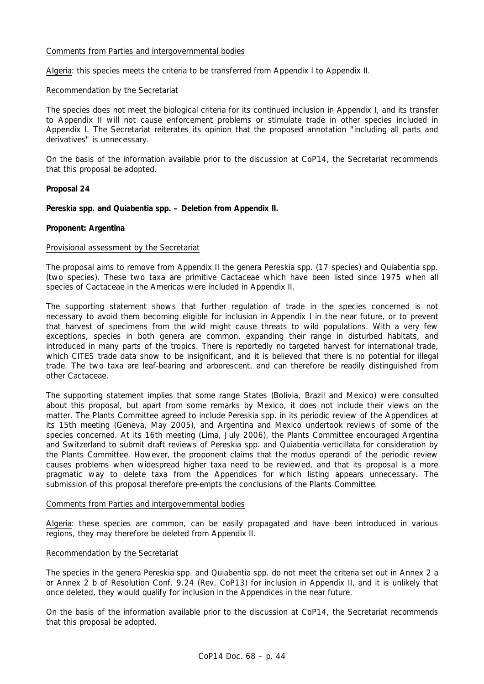## Comments from Parties and intergovernmental bodies

Algeria: this species meets the criteria to be transferred from Appendix I to Appendix II.

### Recommendation by the Secretariat

The species does not meet the biological criteria for its continued inclusion in Appendix I, and its transfer to Appendix II will not cause enforcement problems or stimulate trade in other species included in Appendix I. The Secretariat reiterates its opinion that the proposed annotation "including all parts and derivatives" is unnecessary.

On the basis of the information available prior to the discussion at CoP14, the Secretariat recommends that this proposal be adopted.

## **Proposal 24**

*Pereskia* **spp. and** *Quiabentia* **spp. – Deletion from Appendix II.** 

## **Proponent: Argentina**

### Provisional assessment by the Secretariat

The proposal aims to remove from Appendix II the genera *Pereskia* spp. (17 species) and *Quiabentia* spp. (two species). These two taxa are primitive Cactaceae which have been listed since 1975 when all species of Cactaceae in the Americas were included in Appendix II.

The supporting statement shows that further regulation of trade in the species concerned is not necessary to avoid them becoming eligible for inclusion in Appendix I in the near future, or to prevent that harvest of specimens from the wild might cause threats to wild populations. With a very few exceptions, species in both genera are common, expanding their range in disturbed habitats, and introduced in many parts of the tropics. There is reportedly no targeted harvest for international trade, which CITES trade data show to be insignificant, and it is believed that there is no potential for illegal trade. The two taxa are leaf-bearing and arborescent, and can therefore be readily distinguished from other Cactaceae.

The supporting statement implies that some range States (Bolivia, Brazil and Mexico) were consulted about this proposal, but apart from some remarks by Mexico, it does not include their views on the matter. The Plants Committee agreed to include *Pereskia* spp. in its periodic review of the Appendices at its 15th meeting (Geneva, May 2005), and Argentina and Mexico undertook reviews of some of the species concerned. At its 16th meeting (Lima, July 2006), the Plants Committee encouraged Argentina and Switzerland to submit draft reviews of *Pereskia* spp. and *Quiabentia verticillata* for consideration by the Plants Committee. However, the proponent claims that the *modus operandi* of the periodic review causes problems when widespread higher taxa need to be reviewed, and that its proposal is a more pragmatic way to delete taxa from the Appendices for which listing appears unnecessary. The submission of this proposal therefore pre-empts the conclusions of the Plants Committee.

### Comments from Parties and intergovernmental bodies

Algeria: these species are common, can be easily propagated and have been introduced in various regions, they may therefore be deleted from Appendix II.

### Recommendation by the Secretariat

The species in the genera *Pereskia* spp. and *Quiabentia* spp. do not meet the criteria set out in Annex 2 a or Annex 2 b of Resolution Conf. 9.24 (Rev. CoP13) for inclusion in Appendix II, and it is unlikely that once deleted, they would qualify for inclusion in the Appendices in the near future.

On the basis of the information available prior to the discussion at CoP14, the Secretariat recommends that this proposal be adopted.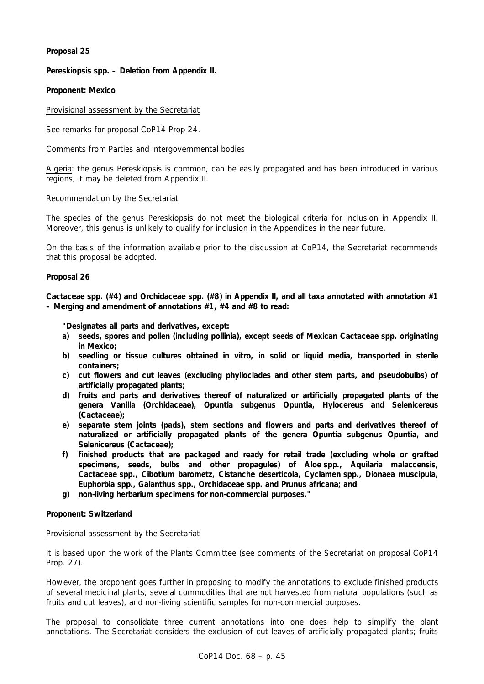## **Proposal 25**

## *Pereskiopsis* **spp. – Deletion from Appendix II.**

## **Proponent: Mexico**

## Provisional assessment by the Secretariat

See remarks for proposal CoP14 Prop 24.

## Comments from Parties and intergovernmental bodies

Algeria: the genus *Pereskiopsis* is common, can be easily propagated and has been introduced in various regions, it may be deleted from Appendix II.

### Recommendation by the Secretariat

The species of the genus *Pereskiopsis* do not meet the biological criteria for inclusion in Appendix II. Moreover, this genus is unlikely to qualify for inclusion in the Appendices in the near future.

On the basis of the information available prior to the discussion at CoP14, the Secretariat recommends that this proposal be adopted.

### **Proposal 26**

**Cactaceae spp. (#4) and Orchidaceae spp. (#8) in Appendix II, and all taxa annotated with annotation #1 – Merging and amendment of annotations #1, #4 and #8 to read:** 

 **"Designates all parts and derivatives, except:** 

- **a) seeds, spores and pollen (including pollinia), except seeds of Mexican Cactaceae spp. originating in Mexico;**
- **b) seedling or tissue cultures obtained** *in vitro***, in solid or liquid media, transported in sterile containers;**
- **c) cut flowers and cut leaves (excluding phylloclades and other stem parts, and pseudobulbs) of artificially propagated plants;**
- **d) fruits and parts and derivatives thereof of naturalized or artificially propagated plants of the genera** *Vanilla* **(Orchidaceae),** *Opuntia* **subgenus** *Opuntia, Hylocereus* **and** *Selenicereus*  **(Cactaceae);**
- **e) separate stem joints (pads), stem sections and flowers and parts and derivatives thereof of naturalized or artificially propagated plants of the genera** *Opuntia* **subgenus** *Opuntia***, and**  *Selenicereus* **(Cactaceae);**
- **f) finished products that are packaged and ready for retail trade (excluding whole or grafted specimens, seeds, bulbs and other propagules) of** *Aloe* **spp.,** *Aquilaria malaccensis***, Cactaceae spp.,** *Cibotium barometz, Cistanche deserticola, Cyclamen* **spp.,** *Dionaea muscipula, Euphorbia* **spp.,** *Galanthus* **spp., Orchidaceae spp. and** *Prunus africana***; and**
- **g) non-living herbarium specimens for non-commercial purposes."**

### **Proponent: Switzerland**

### Provisional assessment by the Secretariat

It is based upon the work of the Plants Committee (see comments of the Secretariat on proposal CoP14 Prop. 27).

However, the proponent goes further in proposing to modify the annotations to exclude finished products of several medicinal plants, several commodities that are not harvested from natural populations (such as fruits and cut leaves), and non-living scientific samples for non-commercial purposes.

The proposal to consolidate three current annotations into one does help to simplify the plant annotations. The Secretariat considers the exclusion of cut leaves of artificially propagated plants; fruits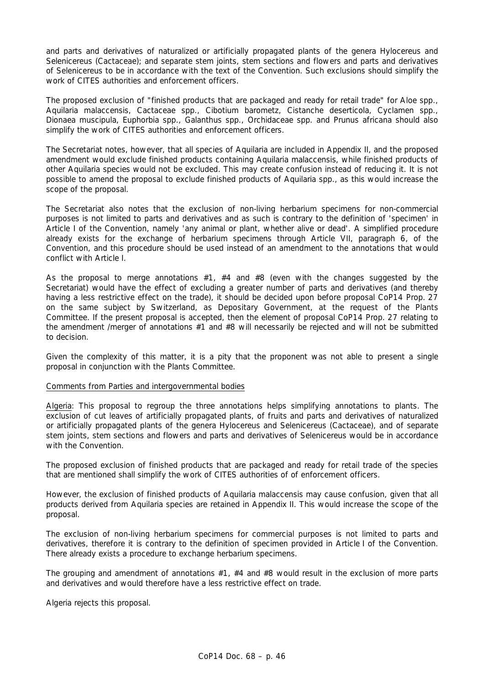and parts and derivatives of naturalized or artificially propagated plants of the genera *Hylocereus* and *Selenicereus* (Cactaceae); and separate stem joints, stem sections and flowers and parts and derivatives of *Selenicereus* to be in accordance with the text of the Convention. Such exclusions should simplify the work of CITES authorities and enforcement officers.

The proposed exclusion of "finished products that are packaged and ready for retail trade" for *Aloe* spp., *Aquilaria malaccensis*, Cactaceae spp., *Cibotium barometz*, *Cistanche deserticola*, *Cyclamen* spp., *Dionaea muscipula*, *Euphorbia* spp., *Galanthus* spp., Orchidaceae spp. and *Prunus africana* should also simplify the work of CITES authorities and enforcement officers.

The Secretariat notes, however, that all species of *Aquilaria* are included in Appendix II, and the proposed amendment would exclude finished products containing *Aquilaria malaccensis*, while finished products of other *Aquilaria* species would not be excluded. This may create confusion instead of reducing it. It is not possible to amend the proposal to exclude finished products of *Aquilaria* spp., as this would increase the scope of the proposal.

The Secretariat also notes that the exclusion of non-living herbarium specimens for non-commercial purposes is not limited to parts and derivatives and as such is contrary to the definition of 'specimen' in Article I of the Convention, namely 'any animal or plant, whether alive or dead'. A simplified procedure already exists for the exchange of herbarium specimens through Article VII, paragraph 6, of the Convention, and this procedure should be used instead of an amendment to the annotations that would conflict with Article I.

As the proposal to merge annotations  $#1, #4$  and  $#8$  (even with the changes suggested by the Secretariat) would have the effect of excluding a greater number of parts and derivatives (and thereby having a less restrictive effect on the trade), it should be decided upon before proposal CoP14 Prop. 27 on the same subject by Switzerland, as Depositary Government, at the request of the Plants Committee. If the present proposal is accepted, then the element of proposal CoP14 Prop. 27 relating to the amendment /merger of annotations #1 and #8 will necessarily be rejected and will not be submitted to decision.

Given the complexity of this matter, it is a pity that the proponent was not able to present a single proposal in conjunction with the Plants Committee.

### Comments from Parties and intergovernmental bodies

Algeria: This proposal to regroup the three annotations helps simplifying annotations to plants. The exclusion of cut leaves of artificially propagated plants, of fruits and parts and derivatives of naturalized or artificially propagated plants of the genera *Hylocereus* and *Selenicereus* (Cactaceae), and of separate stem joints, stem sections and flowers and parts and derivatives of *Selenicereus* would be in accordance with the Convention.

The proposed exclusion of finished products that are packaged and ready for retail trade of the species that are mentioned shall simplify the work of CITES authorities of of enforcement officers.

However, the exclusion of finished products of *Aquilaria malaccensi*s may cause confusion, given that all products derived from *Aquilaria* species are retained in Appendix II. This would increase the scope of the proposal.

The exclusion of non-living herbarium specimens for commercial purposes is not limited to parts and derivatives, therefore it is contrary to the definition of specimen provided in Article I of the Convention. There already exists a procedure to exchange herbarium specimens.

The grouping and amendment of annotations #1, #4 and #8 would result in the exclusion of more parts and derivatives and would therefore have a less restrictive effect on trade.

Algeria rejects this proposal.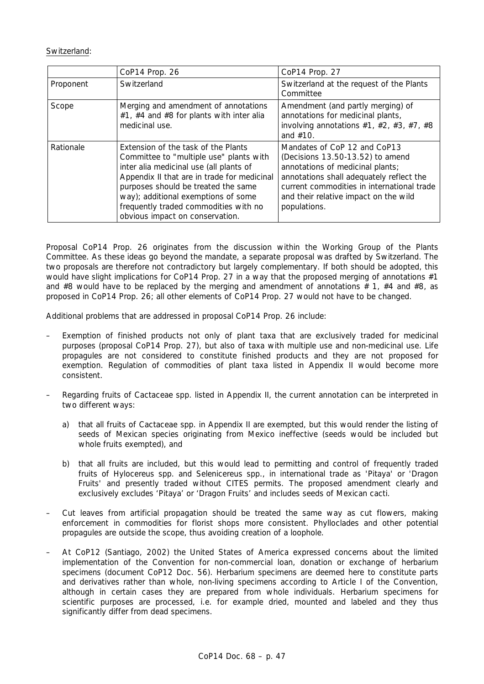## Switzerland:

|           | CoP14 Prop. 26                                                                                                                                                                                                                                                                                                                     | CoP14 Prop. 27                                                                                                                                                                                                                                          |
|-----------|------------------------------------------------------------------------------------------------------------------------------------------------------------------------------------------------------------------------------------------------------------------------------------------------------------------------------------|---------------------------------------------------------------------------------------------------------------------------------------------------------------------------------------------------------------------------------------------------------|
| Proponent | Switzerland                                                                                                                                                                                                                                                                                                                        | Switzerland at the request of the Plants<br>Committee                                                                                                                                                                                                   |
| Scope     | Merging and amendment of annotations<br>#1, #4 and #8 for plants with inter alia<br>medicinal use.                                                                                                                                                                                                                                 | Amendment (and partly merging) of<br>annotations for medicinal plants,<br>involving annotations $#1, #2, #3, #7, #8$<br>and $#10$ .                                                                                                                     |
| Rationale | Extension of the task of the Plants<br>Committee to "multiple use" plants with<br>inter alia medicinal use (all plants of<br>Appendix II that are in trade for medicinal<br>purposes should be treated the same<br>way); additional exemptions of some<br>frequently traded commodities with no<br>obvious impact on conservation. | Mandates of CoP 12 and CoP13<br>(Decisions 13.50-13.52) to amend<br>annotations of medicinal plants;<br>annotations shall adequately reflect the<br>current commodities in international trade<br>and their relative impact on the wild<br>populations. |

Proposal CoP14 Prop. 26 originates from the discussion within the Working Group of the Plants Committee. As these ideas go beyond the mandate, a separate proposal was drafted by Switzerland. The two proposals are therefore not contradictory but largely complementary. If both should be adopted, this would have slight implications for CoP14 Prop. 27 in a way that the proposed merging of annotations #1 and #8 would have to be replaced by the merging and amendment of annotations  $# 1, #4$  and #8, as proposed in CoP14 Prop. 26; all other elements of CoP14 Prop. 27 would not have to be changed.

Additional problems that are addressed in proposal CoP14 Prop. 26 include:

- Exemption of finished products not only of plant taxa that are exclusively traded for medicinal purposes (proposal CoP14 Prop. 27), but also of taxa with multiple use and non-medicinal use. Life propagules are not considered to constitute finished products and they are not proposed for exemption. Regulation of commodities of plant taxa listed in Appendix II would become more consistent.
- Regarding fruits of Cactaceae spp. listed in Appendix II, the current annotation can be interpreted in two different ways:
	- a) that all fruits of Cactaceae spp. in Appendix II are exempted, but this would render the listing of seeds of Mexican species originating from Mexico ineffective (seeds would be included but whole fruits exempted), and
	- b) that all fruits are included, but this would lead to permitting and control of frequently traded fruits of *Hylocereus* spp. and *Selenicereus* spp., in international trade as 'Pitaya' or 'Dragon Fruits' and presently traded without CITES permits. The proposed amendment clearly and exclusively excludes 'Pitaya' or 'Dragon Fruits' and includes seeds of Mexican cacti.
- Cut leaves from artificial propagation should be treated the same way as cut flowers, making enforcement in commodities for florist shops more consistent. Phylloclades and other potential propagules are outside the scope, thus avoiding creation of a loophole.
- At CoP12 (Santiago, 2002) the United States of America expressed concerns about the limited implementation of the Convention for non-commercial loan, donation or exchange of herbarium specimens (document CoP12 Doc. 56). Herbarium specimens are deemed here to constitute parts and derivatives rather than whole, non-living specimens according to Article I of the Convention, although in certain cases they are prepared from whole individuals. Herbarium specimens for scientific purposes are processed, i.e. for example dried, mounted and labeled and they thus significantly differ from dead specimens.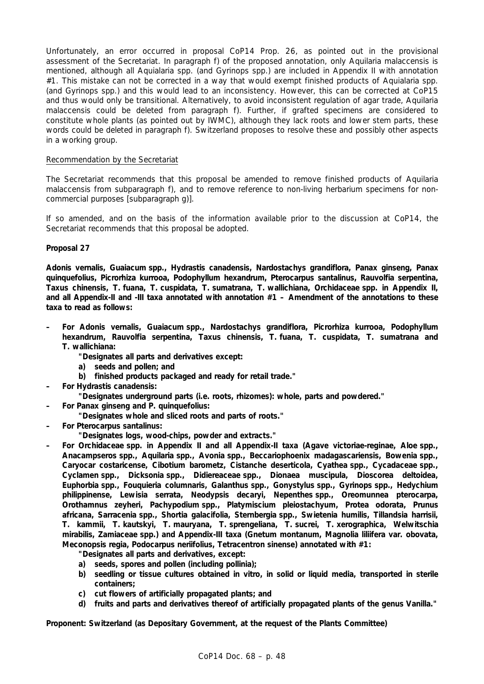Unfortunately, an error occurred in proposal CoP14 Prop. 26, as pointed out in the provisional assessment of the Secretariat. In paragraph f) of the proposed annotation, only *Aquilaria malaccensis* is mentioned, although all *Aquialaria* spp. (and *Gyrinops* spp.) are included in Appendix II with annotation #1. This mistake can not be corrected in a way that would exempt finished products of *Aquialaria* spp. (and *Gyrinops* spp.) and this would lead to an inconsistency. However, this can be corrected at CoP15 and thus would only be transitional. Alternatively, to avoid inconsistent regulation of agar trade, *Aquilaria malaccensis* could be deleted from paragraph f). Further, if grafted specimens are considered to constitute whole plants (as pointed out by IWMC), although they lack roots and lower stem parts, these words could be deleted in paragraph f). Switzerland proposes to resolve these and possibly other aspects in a working group.

## Recommendation by the Secretariat

The Secretariat recommends that this proposal be amended to remove finished products of *Aquilaria malaccensis* from subparagraph f), and to remove reference to non-living herbarium specimens for noncommercial purposes [subparagraph g)].

If so amended, and on the basis of the information available prior to the discussion at CoP14, the Secretariat recommends that this proposal be adopted.

## **Proposal 27**

*Adonis vernalis, Guaiacum* **spp.,** *Hydrastis canadensis, Nardostachys grandiflora, Panax ginseng, Panax quinquefolius, Picrorhiza kurrooa, Podophyllum hexandrum, Pterocarpus santalinus, Rauvolfia serpentina, Taxus chinensis, T. fuana, T. cuspidata, T. sumatrana, T. wallichiana,* **Orchidaceae spp. in Appendix II, and all Appendix-II and -III taxa annotated with annotation #1 – Amendment of the annotations to these taxa to read as follows:** 

- **For** *Adonis vernalis, Guaiacum* **spp.,** *Nardostachys grandiflora, Picrorhiza kurrooa, Podophyllum hexandrum, Rauvolfia serpentina, Taxus chinensis, T. fuana, T. cuspidata, T. sumatrana* **and**  *T. wallichiana***:** 
	- **"Designates all parts and derivatives except:**
	- **a) seeds and pollen; and**
	- **b) finished products packaged and ready for retail trade."**
- **For** *Hydrastis canadensis***:**

 **"Designates underground parts (i.e. roots, rhizomes): whole, parts and powdered."** 

- **For** *Panax ginseng* **and** *P. quinquefolius***:** 
	- **"Designates whole and sliced roots and parts of roots."**
- **For** *Pterocarpus santalinus***:** 
	- **"Designates logs, wood-chips, powder and extracts."**
- **For Orchidaceae spp. in Appendix II and all Appendix-II taxa (***Agave victoriae-reginae, Aloe* **spp.,**  *Anacampseros* **spp.,** *Aquilaria* **spp.,** *Avonia* **spp.,** *Beccariophoenix madagascariensis, Bowenia* **spp.,**  *Caryocar costaricense, Cibotium barometz, Cistanche deserticola, Cyathea* **spp., Cycadaceae spp.,**  *Cyclamen* **spp.,** *Dicksonia* **spp., Didiereaceae spp.,** *Dionaea muscipula, Dioscorea deltoidea, Euphorbia* **spp.,** *Fouquieria columnaris, Galanthus* **spp.,** *Gonystylus* **spp.,** *Gyrinops* **spp.,** *Hedychium philippinense, Lewisia serrata, Neodypsis decaryi, Nepenthes* **spp.,** *Oreomunnea pterocarpa, Orothamnus zeyheri, Pachypodium* **spp.,** *Platymiscium pleiostachyum, Protea odorata, Prunus africana, Sarracenia* **spp.,** *Shortia galacifolia, Sternbergia* **spp.,** *Swietenia humilis, Tillandsia harrisii, T. kammii, T. kautskyi, T. mauryana, T. sprengeliana, T. sucrei, T. xerographica, Welwitschia mirabilis,* **Zamiaceae spp.) and Appendix-III taxa** *(Gnetum montanum, Magnolia liliifera* **var.** *obovata, Meconopsis regia, Podocarpus neriifolius, Tetracentron sinense)* **annotated with #1:** 
	- **"Designates all parts and derivatives, except:**
	- **a) seeds, spores and pollen (including pollinia);**
	- **b) seedling or tissue cultures obtained** *in vitro***, in solid or liquid media, transported in sterile containers;**
	- **c) cut flowers of artificially propagated plants; and**
	- **d) fruits and parts and derivatives thereof of artificially propagated plants of the genus** *Vanilla***."**

**Proponent: Switzerland (as Depositary Government, at the request of the Plants Committee)**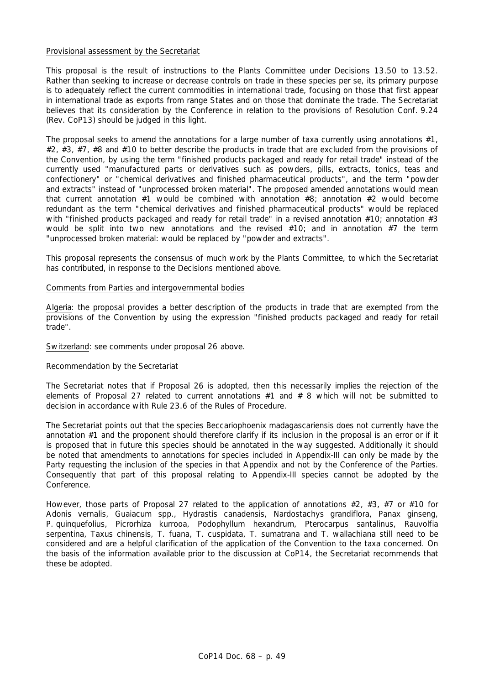### Provisional assessment by the Secretariat

This proposal is the result of instructions to the Plants Committee under Decisions 13.50 to 13.52. Rather than seeking to increase or decrease controls on trade in these species *per se*, its primary purpose is to adequately reflect the current commodities in international trade, focusing on those that first appear in international trade as exports from range States and on those that dominate the trade. The Secretariat believes that its consideration by the Conference in relation to the provisions of Resolution Conf. 9.24 (Rev. CoP13) should be judged in this light.

The proposal seeks to amend the annotations for a large number of taxa currently using annotations #1, #2, #3, #7, #8 and #10 to better describe the products in trade that are excluded from the provisions of the Convention, by using the term "finished products packaged and ready for retail trade" instead of the currently used "manufactured parts or derivatives such as powders, pills, extracts, tonics, teas and confectionery" or "chemical derivatives and finished pharmaceutical products", and the term "powder and extracts" instead of "unprocessed broken material". The proposed amended annotations would mean that current annotation #1 would be combined with annotation #8; annotation #2 would become redundant as the term "chemical derivatives and finished pharmaceutical products" would be replaced with "finished products packaged and ready for retail trade" in a revised annotation #10; annotation #3 would be split into two new annotations and the revised  $#10$ ; and in annotation  $#7$  the term "unprocessed broken material: would be replaced by "powder and extracts".

This proposal represents the consensus of much work by the Plants Committee, to which the Secretariat has contributed, in response to the Decisions mentioned above.

### Comments from Parties and intergovernmental bodies

Algeria: the proposal provides a better description of the products in trade that are exempted from the provisions of the Convention by using the expression "finished products packaged and ready for retail trade".

Switzerland: see comments under proposal 26 above.

### Recommendation by the Secretariat

The Secretariat notes that if Proposal 26 is adopted, then this necessarily implies the rejection of the elements of Proposal 27 related to current annotations #1 and # 8 which will not be submitted to decision in accordance with Rule 23.6 of the Rules of Procedure.

The Secretariat points out that the species *Beccariophoenix madagascariensis* does not currently have the annotation #1 and the proponent should therefore clarify if its inclusion in the proposal is an error or if it is proposed that in future this species should be annotated in the way suggested. Additionally it should be noted that amendments to annotations for species included in Appendix-III can only be made by the Party requesting the inclusion of the species in that Appendix and not by the Conference of the Parties. Consequently that part of this proposal relating to Appendix-III species cannot be adopted by the Conference.

However, those parts of Proposal 27 related to the application of annotations #2, #3, #7 or #10 for *Adonis vernalis, Guaiacum* spp., *Hydrastis canadensis, Nardostachys grandiflora, Panax ginseng, P. quinquefolius*, *Picrorhiza kurrooa, Podophyllum hexandrum, Pterocarpus santalinus, Rauvolfia serpentina, Taxus chinensis, T. fuana, T. cuspidata, T. sumatrana* and *T. wallachiana* still need to be considered and are a helpful clarification of the application of the Convention to the taxa concerned. On the basis of the information available prior to the discussion at CoP14, the Secretariat recommends that these be adopted.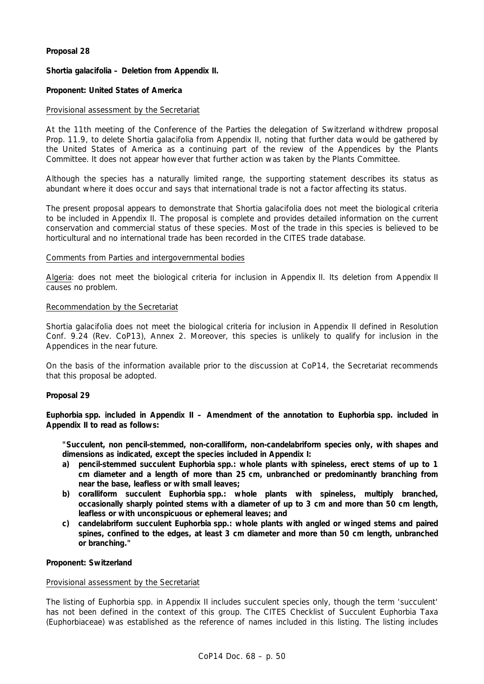## **Proposal 28**

## *Shortia galacifolia* **– Deletion from Appendix II.**

## **Proponent: United States of America**

## Provisional assessment by the Secretariat

At the 11th meeting of the Conference of the Parties the delegation of Switzerland withdrew proposal Prop. 11.9, to delete *Shortia galacifolia* from Appendix II, noting that further data would be gathered by the United States of America as a continuing part of the review of the Appendices by the Plants Committee. It does not appear however that further action was taken by the Plants Committee.

Although the species has a naturally limited range, the supporting statement describes its status as abundant where it does occur and says that international trade is not a factor affecting its status.

The present proposal appears to demonstrate that *Shortia galacifolia* does not meet the biological criteria to be included in Appendix II. The proposal is complete and provides detailed information on the current conservation and commercial status of these species. Most of the trade in this species is believed to be horticultural and no international trade has been recorded in the CITES trade database.

### Comments from Parties and intergovernmental bodies

Algeria: does not meet the biological criteria for inclusion in Appendix II. Its deletion from Appendix II causes no problem.

### Recommendation by the Secretariat

*Shortia galacifolia* does not meet the biological criteria for inclusion in Appendix II defined in Resolution Conf. 9.24 (Rev. CoP13), Annex 2. Moreover, this species is unlikely to qualify for inclusion in the Appendices in the near future.

On the basis of the information available prior to the discussion at CoP14, the Secretariat recommends that this proposal be adopted.

### **Proposal 29**

*Euphorbia* **spp. included in Appendix II – Amendment of the annotation to** *Euphorbia* **spp. included in Appendix II to read as follows:** 

 **"Succulent, non pencil-stemmed, non-coralliform, non-candelabriform species only, with shapes and dimensions as indicated, except the species included in Appendix I:** 

- **a) pencil-stemmed succulent** *Euphorbia* **spp.: whole plants with spineless, erect stems of up to 1 cm diameter and a length of more than 25 cm, unbranched or predominantly branching from near the base, leafless or with small leaves;**
- **b) coralliform succulent** *Euphorbia* **spp.: whole plants with spineless, multiply branched, occasionally sharply pointed stems with a diameter of up to 3 cm and more than 50 cm length, leafless or with unconspicuous or ephemeral leaves; and**
- **c) candelabriform succulent** *Euphorbia* **spp.: whole plants with angled or winged stems and paired spines, confined to the edges, at least 3 cm diameter and more than 50 cm length, unbranched or branching."**

## **Proponent: Switzerland**

## Provisional assessment by the Secretariat

The listing of *Euphorbia* spp. in Appendix II includes succulent species only, though the term 'succulent' has not been defined in the context of this group. The *CITES Checklist of Succulent Euphorbia Taxa (Euphorbiaceae)* was established as the reference of names included in this listing. The listing includes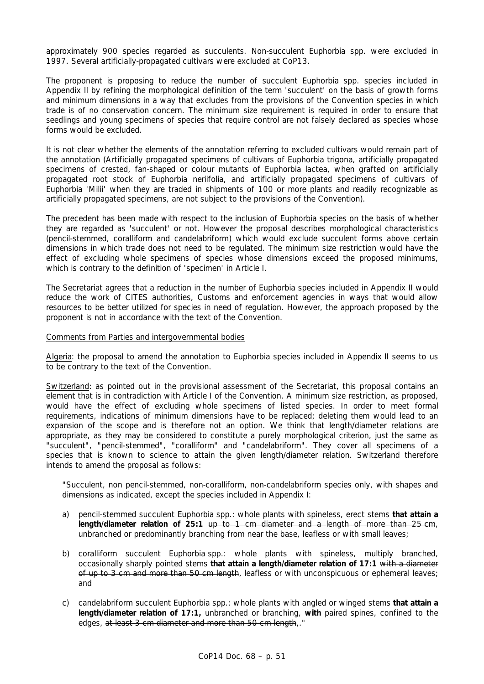approximately 900 species regarded as succulents. Non-succulent *Euphorbia* spp. were excluded in 1997. Several artificially-propagated cultivars were excluded at CoP13.

The proponent is proposing to reduce the number of succulent *Euphorbia* spp. species included in Appendix II by refining the morphological definition of the term 'succulent' on the basis of growth forms and minimum dimensions in a way that excludes from the provisions of the Convention species in which trade is of no conservation concern. The minimum size requirement is required in order to ensure that seedlings and young specimens of species that require control are not falsely declared as species whose forms would be excluded.

It is not clear whether the elements of the annotation referring to excluded cultivars would remain part of the annotation (Artificially propagated specimens of cultivars of *Euphorbia trigon*a, artificially propagated specimens of crested, fan-shaped or colour mutants of *Euphorbia lactea*, when grafted on artificially propagated root stock of *Euphorbia neriifolia*, and artificially propagated specimens of cultivars of *Euphorbia* 'Milii' when they are traded in shipments of 100 or more plants and readily recognizable as artificially propagated specimens, are not subject to the provisions of the Convention).

The precedent has been made with respect to the inclusion of *Euphorbia* species on the basis of whether they are regarded as 'succulent' or not. However the proposal describes morphological characteristics (pencil-stemmed, coralliform and candelabriform) which would exclude succulent forms above certain dimensions in which trade does not need to be regulated. The minimum size restriction would have the effect of excluding whole specimens of species whose dimensions exceed the proposed minimums, which is contrary to the definition of 'specimen' in Article I.

The Secretariat agrees that a reduction in the number of *Euphorbia* species included in Appendix II would reduce the work of CITES authorities, Customs and enforcement agencies in ways that would allow resources to be better utilized for species in need of regulation. However, the approach proposed by the proponent is not in accordance with the text of the Convention.

### Comments from Parties and intergovernmental bodies

Algeria: the proposal to amend the annotation to *Euphorbia* species included in Appendix II seems to us to be contrary to the text of the Convention.

Switzerland: as pointed out in the provisional assessment of the Secretariat, this proposal contains an element that is in contradiction with Article I of the Convention. A minimum size restriction, as proposed, would have the effect of excluding whole specimens of listed species. In order to meet formal requirements, indications of minimum dimensions have to be replaced; deleting them would lead to an expansion of the scope and is therefore not an option. We think that length/diameter relations are appropriate, as they may be considered to constitute a purely morphological criterion, just the same as "succulent", "pencil-stemmed", "coralliform" and "candelabriform". They cover all specimens of a species that is known to science to attain the given length/diameter relation. Switzerland therefore intends to amend the proposal as follows:

 "Succulent, non pencil-stemmed, non-coralliform, non-candelabriform species only, with shapes and dimensions as indicated, except the species included in Appendix I:

- a) pencil-stemmed succulent *Euphorbia* spp.: whole plants with spineless, erect stems **that attain a length/diameter relation of 25:1** up to 1 cm diameter and a length of more than 25 cm, unbranched or predominantly branching from near the base, leafless or with small leaves;
- b) coralliform succulent *Euphorbia* spp.: whole plants with spineless, multiply branched, occasionally sharply pointed stems **that attain a length/diameter relation of 17:1** with a diameter of up to 3 cm and more than 50 cm length, leafless or with unconspicuous or ephemeral leaves; and
- c) candelabriform succulent *Euphorbia* spp.: whole plants with angled or winged stems **that attain a length/diameter relation of 17:1,** unbranched or branching, **with** paired spines, confined to the edges, at least 3 cm diameter and more than 50 cm length,."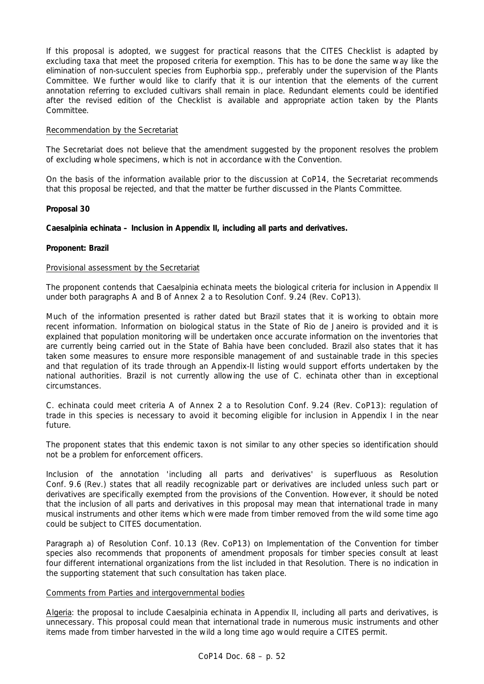If this proposal is adopted, we suggest for practical reasons that the CITES Checklist is adapted by excluding taxa that meet the proposed criteria for exemption. This has to be done the same way like the elimination of non-succulent species from *Euphorbia* spp., preferably under the supervision of the Plants Committee. We further would like to clarify that it is our intention that the elements of the current annotation referring to excluded cultivars shall remain in place. Redundant elements could be identified after the revised edition of the Checklist is available and appropriate action taken by the Plants Committee.

## Recommendation by the Secretariat

The Secretariat does not believe that the amendment suggested by the proponent resolves the problem of excluding whole specimens, which is not in accordance with the Convention.

On the basis of the information available prior to the discussion at CoP14, the Secretariat recommends that this proposal be rejected, and that the matter be further discussed in the Plants Committee.

## **Proposal 30**

## *Caesalpinia echinata* **– Inclusion in Appendix II, including all parts and derivatives.**

## **Proponent: Brazil**

## Provisional assessment by the Secretariat

The proponent contends that *Caesalpinia echinata* meets the biological criteria for inclusion in Appendix II under both paragraphs A and B of Annex 2 a to Resolution Conf. 9.24 (Rev. CoP13).

Much of the information presented is rather dated but Brazil states that it is working to obtain more recent information. Information on biological status in the State of Rio de Janeiro is provided and it is explained that population monitoring will be undertaken once accurate information on the inventories that are currently being carried out in the State of Bahia have been concluded. Brazil also states that it has taken some measures to ensure more responsible management of and sustainable trade in this species and that regulation of its trade through an Appendix-II listing would support efforts undertaken by the national authorities. Brazil is not currently allowing the use of *C. echinata* other than in exceptional circumstances.

*C. echinata* could meet criteria A of Annex 2 a to Resolution Conf. 9.24 (Rev. CoP13): regulation of trade in this species is necessary to avoid it becoming eligible for inclusion in Appendix I in the near future.

The proponent states that this endemic taxon is not similar to any other species so identification should not be a problem for enforcement officers.

Inclusion of the annotation 'including all parts and derivatives' is superfluous as Resolution Conf. 9.6 (Rev.) states that all readily recognizable part or derivatives are included unless such part or derivatives are specifically exempted from the provisions of the Convention. However, it should be noted that the inclusion of all parts and derivatives in this proposal may mean that international trade in many musical instruments and other items which were made from timber removed from the wild some time ago could be subject to CITES documentation.

Paragraph a) of Resolution Conf. 10.13 (Rev. CoP13) on Implementation of the Convention for timber species also recommends that proponents of amendment proposals for timber species consult at least four different international organizations from the list included in that Resolution. There is no indication in the supporting statement that such consultation has taken place.

### Comments from Parties and intergovernmental bodies

Algeria: the proposal to include *Caesalpinia echinata* in Appendix II, including all parts and derivatives, is unnecessary. This proposal could mean that international trade in numerous music instruments and other items made from timber harvested in the wild a long time ago would require a CITES permit.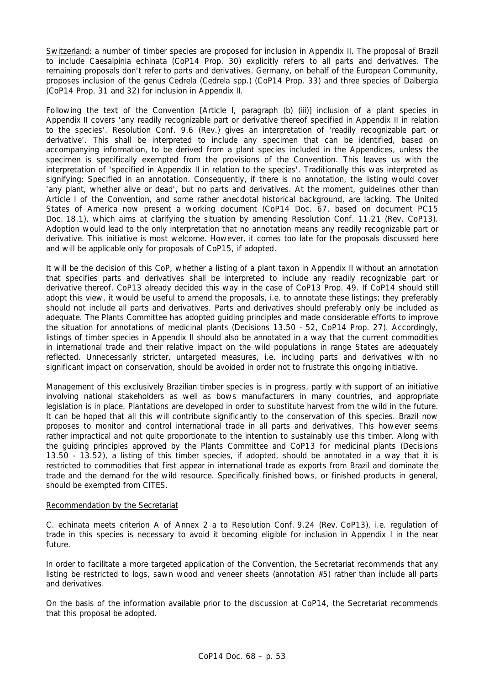Switzerland: a number of timber species are proposed for inclusion in Appendix II. The proposal of Brazil to include *Caesalpinia echinata* (CoP14 Prop. 30) explicitly refers to all parts and derivatives. The remaining proposals don't refer to parts and derivatives. Germany, on behalf of the European Community, proposes inclusion of the genus *Cedrela* (*Cedrela* spp.) (CoP14 Prop. 33) and three species of *Dalbergia* (CoP14 Prop. 31 and 32) for inclusion in Appendix II.

Following the text of the Convention [Article I, paragraph (b) (iii)] inclusion of a plant species in Appendix II covers 'any readily recognizable part or derivative thereof specified in Appendix II in relation to the species'. Resolution Conf. 9.6 (Rev.) gives an interpretation of 'readily recognizable part or derivative'. This shall be interpreted to include any specimen that can be identified, based on accompanying information, to be derived from a plant species included in the Appendices, unless the specimen is specifically exempted from the provisions of the Convention. This leaves us with the interpretation of 'specified in Appendix II in relation to the species'. Traditionally this was interpreted as signifying: Specified in an annotation. Consequently, if there is no annotation, the listing would cover 'any plant, whether alive or dead', but no parts and derivatives. At the moment, guidelines other than Article I of the Convention, and some rather anecdotal historical background, are lacking. The United States of America now present a working document (CoP14 Doc. 67, based on document PC15 Doc. 18.1), which aims at clarifying the situation by amending Resolution Conf. 11.21 (Rev. CoP13). Adoption would lead to the only interpretation that no annotation means any readily recognizable part or derivative. This initiative is most welcome. However, it comes too late for the proposals discussed here and will be applicable only for proposals of CoP15, if adopted.

It will be the decision of this CoP, whether a listing of a plant taxon in Appendix II without an annotation that specifies parts and derivatives shall be interpreted to include any readily recognizable part or derivative thereof. CoP13 already decided this way in the case of CoP13 Prop. 49. If CoP14 should still adopt this view, it would be useful to amend the proposals, i.e. to annotate these listings; they preferably should not include *all* parts and derivatives. Parts and derivatives should preferably only be included as adequate. The Plants Committee has adopted guiding principles and made considerable efforts to improve the situation for annotations of medicinal plants (Decisions 13.50 - 52, CoP14 Prop. 27). Accordingly, listings of timber species in Appendix II should also be annotated in a way that the current commodities in international trade and their relative impact on the wild populations in range States are adequately reflected. Unnecessarily stricter, untargeted measures, i.e. including parts and derivatives with no significant impact on conservation, should be avoided in order not to frustrate this ongoing initiative.

Management of this exclusively Brazilian timber species is in progress, partly with support of an initiative involving national stakeholders as well as bows manufacturers in many countries, and appropriate legislation is in place. Plantations are developed in order to substitute harvest from the wild in the future. It can be hoped that all this will contribute significantly to the conservation of this species. Brazil now proposes to monitor and control international trade in all parts and derivatives. This however seems rather impractical and not quite proportionate to the intention to sustainably use this timber. Along with the guiding principles approved by the Plants Committee and CoP13 for medicinal plants (Decisions 13.50 - 13.52), a listing of this timber species, if adopted, should be annotated in a way that it is restricted to commodities that first appear in international trade as exports from Brazil and dominate the trade and the demand for the wild resource. Specifically finished bows, or finished products in general, should be exempted from CITES.

### Recommendation by the Secretariat

*C. echinata* meets criterion A of Annex 2 a to Resolution Conf. 9.24 (Rev. CoP13), i.e. regulation of trade in this species is necessary to avoid it becoming eligible for inclusion in Appendix I in the near future.

In order to facilitate a more targeted application of the Convention, the Secretariat recommends that any listing be restricted to logs, sawn wood and veneer sheets (annotation #5) rather than include all parts and derivatives.

On the basis of the information available prior to the discussion at CoP14, the Secretariat recommends that this proposal be adopted.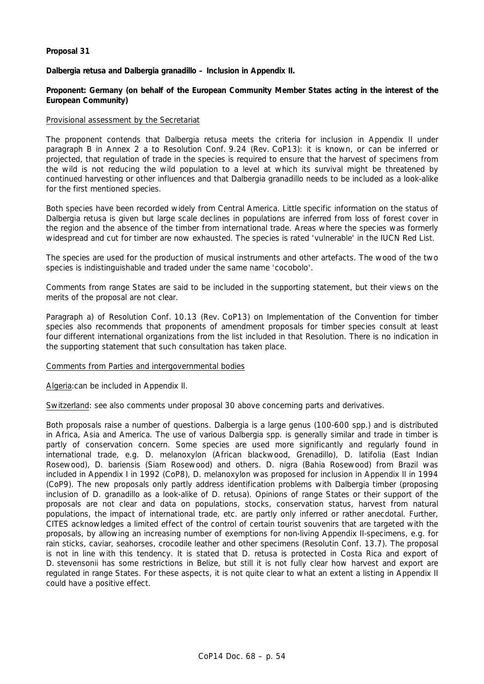## **Proposal 31**

## *Dalbergia retusa* **and** *Dalbergia granadillo* **– Inclusion in Appendix II.**

**Proponent: Germany (on behalf of the European Community Member States acting in the interest of the European Community)** 

## Provisional assessment by the Secretariat

The proponent contends that *Dalbergia retusa* meets the criteria for inclusion in Appendix II under paragraph B in Annex 2 a to Resolution Conf. 9.24 (Rev. CoP13): it is known, or can be inferred or projected, that regulation of trade in the species is required to ensure that the harvest of specimens from the wild is not reducing the wild population to a level at which its survival might be threatened by continued harvesting or other influences and that *Dalbergia granadillo* needs to be included as a look-alike for the first mentioned species.

Both species have been recorded widely from Central America. Little specific information on the status of *Dalbergia retusa* is given but large scale declines in populations are inferred from loss of forest cover in the region and the absence of the timber from international trade. Areas where the species was formerly widespread and cut for timber are now exhausted. The species is rated 'vulnerable' in the IUCN Red List.

The species are used for the production of musical instruments and other artefacts. The wood of the two species is indistinguishable and traded under the same name 'cocobolo'.

Comments from range States are said to be included in the supporting statement, but their views on the merits of the proposal are not clear.

Paragraph a) of Resolution Conf. 10.13 (Rev. CoP13) on Implementation of the Convention for timber species also recommends that proponents of amendment proposals for timber species consult at least four different international organizations from the list included in that Resolution. There is no indication in the supporting statement that such consultation has taken place.

### Comments from Parties and intergovernmental bodies

Algeria:can be included in Appendix II.

Switzerland: see also comments under proposal 30 above concerning parts and derivatives.

Both proposals raise a number of questions. *Dalbergia* is a large genus (100-600 spp.) and is distributed in Africa, Asia and America. The use of various *Dalbergia* spp. is generally similar and trade in timber is partly of conservation concern. Some species are used more significantly and regularly found in international trade, e.g. *D. melanoxylon* (African blackwood, Grenadillo), *D. latifolia* (East Indian Rosewood), *D. bariensis* (Siam Rosewood) and others. *D. nigra* (Bahia Rosewood) from Brazil was included in Appendix I in 1992 (CoP8), *D. melanoxylon* was proposed for inclusion in Appendix II in 1994 (CoP9). The new proposals only partly address identification problems with *Dalbergia* timber (proposing inclusion of *D. granadillo* as a look-alike of *D. retusa*). Opinions of range States or their support of the proposals are not clear and data on populations, stocks, conservation status, harvest from natural populations, the impact of international trade, etc. are partly only inferred or rather anecdotal. Further, CITES acknowledges a limited effect of the control of certain tourist souvenirs that are targeted with the proposals, by allowing an increasing number of exemptions for non-living Appendix II-specimens, e.g. for rain sticks, caviar, seahorses, crocodile leather and other specimens (Resolutin Conf. 13.7). The proposal is not in line with this tendency. It is stated that *D. retusa* is protected in Costa Rica and export of *D. stevensonii* has some restrictions in Belize, but still it is not fully clear how harvest and export are regulated in range States. For these aspects, it is not quite clear to what an extent a listing in Appendix II could have a positive effect.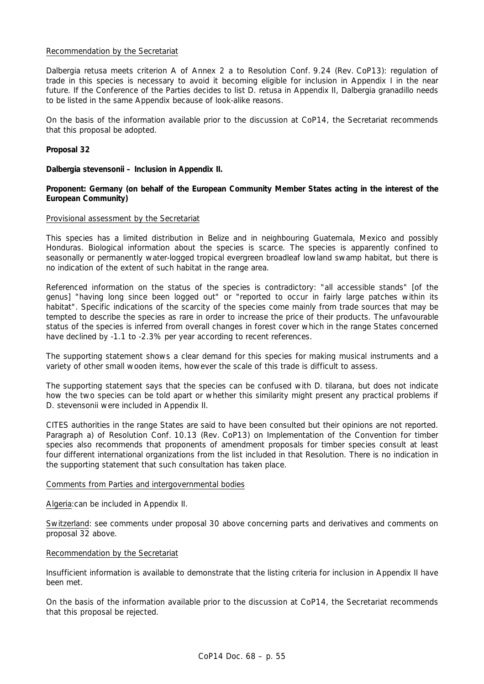## Recommendation by the Secretariat

*Dalbergia retusa* meets criterion A of Annex 2 a to Resolution Conf. 9.24 (Rev. CoP13): regulation of trade in this species is necessary to avoid it becoming eligible for inclusion in Appendix I in the near future. If the Conference of the Parties decides to list *D. retusa* in Appendix II, *Dalbergia granadillo* needs to be listed in the same Appendix because of look-alike reasons.

On the basis of the information available prior to the discussion at CoP14, the Secretariat recommends that this proposal be adopted.

## **Proposal 32**

## *Dalbergia stevensonii* **– Inclusion in Appendix II.**

## **Proponent: Germany (on behalf of the European Community Member States acting in the interest of the European Community)**

### Provisional assessment by the Secretariat

This species has a limited distribution in Belize and in neighbouring Guatemala, Mexico and possibly Honduras. Biological information about the species is scarce. The species is apparently confined to seasonally or permanently water-logged tropical evergreen broadleaf lowland swamp habitat, but there is no indication of the extent of such habitat in the range area.

Referenced information on the status of the species is contradictory: "all accessible stands" [of the genus] "having long since been logged out" or "reported to occur in fairly large patches within its habitat". Specific indications of the scarcity of the species come mainly from trade sources that may be tempted to describe the species as rare in order to increase the price of their products. The unfavourable status of the species is inferred from overall changes in forest cover which in the range States concerned have declined by -1.1 to -2.3% per year according to recent references.

The supporting statement shows a clear demand for this species for making musical instruments and a variety of other small wooden items, however the scale of this trade is difficult to assess.

The supporting statement says that the species can be confused with *D. tilarana*, but does not indicate how the two species can be told apart or whether this similarity might present any practical problems if *D. stevensonii* were included in Appendix II.

CITES authorities in the range States are said to have been consulted but their opinions are not reported. Paragraph a) of Resolution Conf. 10.13 (Rev. CoP13) on Implementation of the Convention for timber species also recommends that proponents of amendment proposals for timber species consult at least four different international organizations from the list included in that Resolution. There is no indication in the supporting statement that such consultation has taken place.

### Comments from Parties and intergovernmental bodies

Algeria:can be included in Appendix II.

Switzerland: see comments under proposal 30 above concerning parts and derivatives and comments on proposal 32 above.

### Recommendation by the Secretariat

Insufficient information is available to demonstrate that the listing criteria for inclusion in Appendix II have been met.

On the basis of the information available prior to the discussion at CoP14, the Secretariat recommends that this proposal be rejected.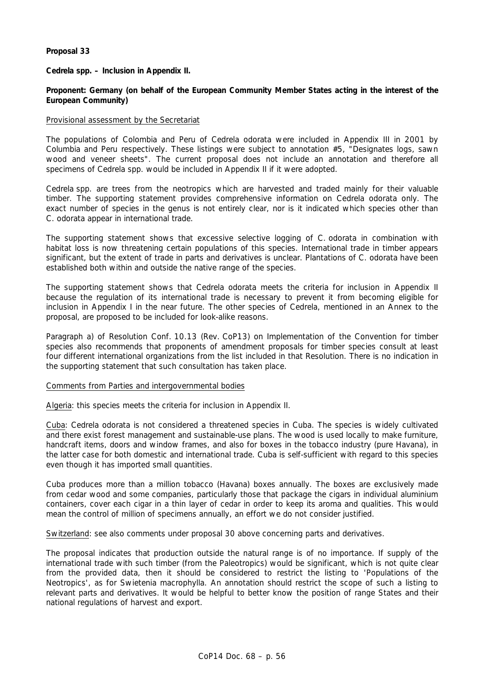## **Proposal 33**

*Cedrela* **spp. – Inclusion in Appendix II.** 

## **Proponent: Germany (on behalf of the European Community Member States acting in the interest of the European Community)**

### Provisional assessment by the Secretariat

The populations of Colombia and Peru of *Cedrela odorata* were included in Appendix III in 2001 by Columbia and Peru respectively. These listings were subject to annotation #5, "Designates logs, sawn wood and veneer sheets". The current proposal does not include an annotation and therefore all specimens of *Cedrela* spp. would be included in Appendix II if it were adopted.

*Cedrela* spp. are trees from the neotropics which are harvested and traded mainly for their valuable timber. The supporting statement provides comprehensive information on *Cedrela odorata* only. The exact number of species in the genus is not entirely clear, nor is it indicated which species other than *C. odorata* appear in international trade.

The supporting statement shows that excessive selective logging of *C. odorata* in combination with habitat loss is now threatening certain populations of this species. International trade in timber appears significant, but the extent of trade in parts and derivatives is unclear. Plantations of *C. odorata* have been established both within and outside the native range of the species.

The supporting statement shows that *Cedrela odorata* meets the criteria for inclusion in Appendix II because the regulation of its international trade is necessary to prevent it from becoming eligible for inclusion in Appendix I in the near future. The other species of *Cedrela*, mentioned in an Annex to the proposal, are proposed to be included for look-alike reasons.

Paragraph a) of Resolution Conf. 10.13 (Rev. CoP13) on Implementation of the Convention for timber species also recommends that proponents of amendment proposals for timber species consult at least four different international organizations from the list included in that Resolution. There is no indication in the supporting statement that such consultation has taken place.

### Comments from Parties and intergovernmental bodies

Algeria: this species meets the criteria for inclusion in Appendix II.

Cuba: *Cedrela odorata* is not considered a threatened species in Cuba. The species is widely cultivated and there exist forest management and sustainable-use plans. The wood is used locally to make furniture, handcraft items, doors and window frames, and also for boxes in the tobacco industry (pure Havana), in the latter case for both domestic and international trade. Cuba is self-sufficient with regard to this species even though it has imported small quantities.

Cuba produces more than a million tobacco (Havana) boxes annually. The boxes are exclusively made from cedar wood and some companies, particularly those that package the cigars in individual aluminium containers, cover each cigar in a thin layer of cedar in order to keep its aroma and qualities. This would mean the control of million of specimens annually, an effort we do not consider justified.

Switzerland: see also comments under proposal 30 above concerning parts and derivatives.

The proposal indicates that production outside the natural range is of no importance. If supply of the international trade with such timber (from the Paleotropics) would be significant, which is not quite clear from the provided data, then it should be considered to restrict the listing to 'Populations of the Neotropics', as for *Swietenia macrophylla*. An annotation should restrict the scope of such a listing to relevant parts and derivatives. It would be helpful to better know the position of range States and their national regulations of harvest and export.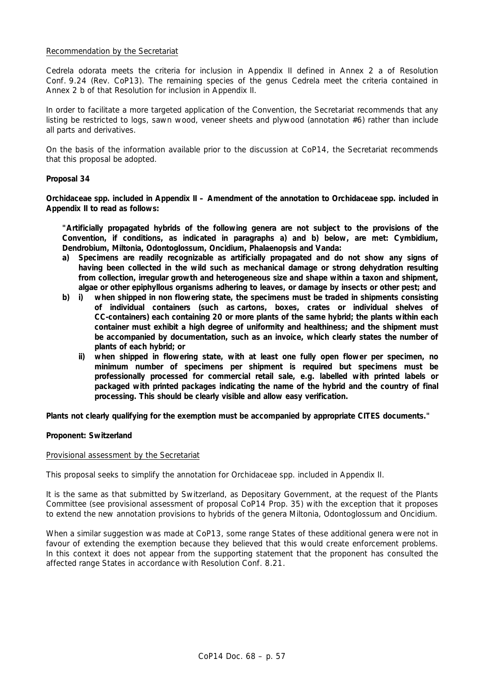## Recommendation by the Secretariat

*Cedrela odorata* meets the criteria for inclusion in Appendix II defined in Annex 2 a of Resolution Conf. 9.24 (Rev. CoP13). The remaining species of the genus *Cedrela* meet the criteria contained in Annex 2 b of that Resolution for inclusion in Appendix II.

In order to facilitate a more targeted application of the Convention, the Secretariat recommends that any listing be restricted to logs, sawn wood, veneer sheets and plywood (annotation #6) rather than include all parts and derivatives.

On the basis of the information available prior to the discussion at CoP14, the Secretariat recommends that this proposal be adopted.

### **Proposal 34**

**Orchidaceae spp. included in Appendix II – Amendment of the annotation to Orchidaceae spp. included in Appendix II to read as follows:** 

 **"Artificially propagated hybrids of the following genera are not subject to the provisions of the Convention, if conditions, as indicated in paragraphs a) and b) below, are met:** *Cymbidium, Dendrobium, Miltonia, Odontoglossum, Oncidium, Phalaenopsis* **and** *Vanda***:** 

- **a) Specimens are readily recognizable as artificially propagated and do not show any signs of having been collected in the wild such as mechanical damage or strong dehydration resulting from collection, irregular growth and heterogeneous size and shape within a taxon and shipment, algae or other epiphyllous organisms adhering to leaves, or damage by insects or other pest; and**
- **b) i) when shipped in non flowering state, the specimens must be traded in shipments consisting of individual containers (such as cartons, boxes, crates or individual shelves of CC-containers) each containing 20 or more plants of the same hybrid; the plants within each container must exhibit a high degree of uniformity and healthiness; and the shipment must be accompanied by documentation, such as an invoice, which clearly states the number of plants of each hybrid; or** 
	- **ii) when shipped in flowering state, with at least one fully open flower per specimen, no minimum number of specimens per shipment is required but specimens must be professionally processed for commercial retail sale, e.g. labelled with printed labels or packaged with printed packages indicating the name of the hybrid and the country of final processing. This should be clearly visible and allow easy verification.**

**Plants not clearly qualifying for the exemption must be accompanied by appropriate CITES documents."** 

### **Proponent: Switzerland**

### Provisional assessment by the Secretariat

This proposal seeks to simplify the annotation for Orchidaceae spp. included in Appendix II.

It is the same as that submitted by Switzerland, as Depositary Government, at the request of the Plants Committee (see provisional assessment of proposal CoP14 Prop. 35) with the exception that it proposes to extend the new annotation provisions to hybrids of the genera *Miltonia*, *Odontoglossum* and *Oncidium*.

When a similar suggestion was made at CoP13, some range States of these additional genera were not in favour of extending the exemption because they believed that this would create enforcement problems. In this context it does not appear from the supporting statement that the proponent has consulted the affected range States in accordance with Resolution Conf. 8.21.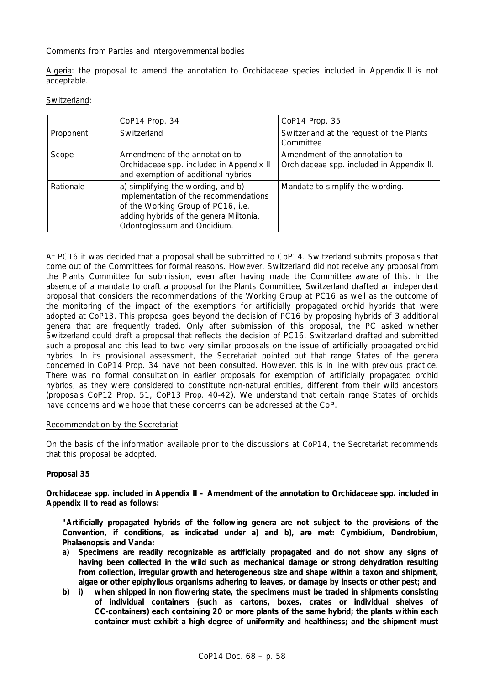## Comments from Parties and intergovernmental bodies

Algeria: the proposal to amend the annotation to Orchidaceae species included in Appendix II is not acceptable.

### Switzerland:

|           | CoP14 Prop. 34                                                                                                                                                                             | CoP14 Prop. 35                                                              |
|-----------|--------------------------------------------------------------------------------------------------------------------------------------------------------------------------------------------|-----------------------------------------------------------------------------|
| Proponent | Switzerland                                                                                                                                                                                | Switzerland at the request of the Plants<br>Committee                       |
| Scope     | Amendment of the annotation to<br>Orchidaceae spp. included in Appendix II<br>and exemption of additional hybrids.                                                                         | Amendment of the annotation to<br>Orchidaceae spp. included in Appendix II. |
| Rationale | a) simplifying the wording, and b)<br>implementation of the recommendations<br>of the Working Group of PC16, i.e.<br>adding hybrids of the genera Miltonia,<br>Odontoglossum and Oncidium. | Mandate to simplify the wording.                                            |

At PC16 it was decided that a proposal shall be submitted to CoP14. Switzerland submits proposals that come out of the Committees for formal reasons. However, Switzerland did not receive any proposal from the Plants Committee for submission, even after having made the Committee aware of this. In the absence of a mandate to draft a proposal for the Plants Committee, Switzerland drafted an independent proposal that considers the recommendations of the Working Group at PC16 as well as the outcome of the monitoring of the impact of the exemptions for artificially propagated orchid hybrids that were adopted at CoP13. This proposal goes beyond the decision of PC16 by proposing hybrids of 3 additional genera that are frequently traded. Only after submission of this proposal, the PC asked whether Switzerland could draft a proposal that reflects the decision of PC16. Switzerland drafted and submitted such a proposal and this lead to two very similar proposals on the issue of artificially propagated orchid hybrids. In its provisional assessment, the Secretariat pointed out that range States of the genera concerned in CoP14 Prop. 34 have not been consulted. However, this is in line with previous practice. There was no formal consultation in earlier proposals for exemption of artificially propagated orchid hybrids, as they were considered to constitute non-natural entities, different from their wild ancestors (proposals CoP12 Prop. 51, CoP13 Prop. 40-42). We understand that certain range States of orchids have concerns and we hope that these concerns can be addressed at the CoP.

### Recommendation by the Secretariat

On the basis of the information available prior to the discussions at CoP14, the Secretariat recommends that this proposal be adopted.

## **Proposal 35**

**Orchidaceae spp. included in Appendix II – Amendment of the annotation to Orchidaceae spp. included in Appendix II to read as follows:** 

 **"Artificially propagated hybrids of the following genera are not subject to the provisions of the Convention, if conditions, as indicated under a) and b), are met:** *Cymbidium, Dendrobium, Phalaenopsis* **and** *Vanda***:** 

- **a) Specimens are readily recognizable as artificially propagated and do not show any signs of having been collected in the wild such as mechanical damage or strong dehydration resulting from collection, irregular growth and heterogeneous size and shape within a taxon and shipment, algae or other epiphyllous organisms adhering to leaves, or damage by insects or other pest; and**
- **b) i) when shipped in non flowering state, the specimens must be traded in shipments consisting of individual containers (such as cartons, boxes, crates or individual shelves of CC-containers) each containing 20 or more plants of the same hybrid; the plants within each container must exhibit a high degree of uniformity and healthiness; and the shipment must**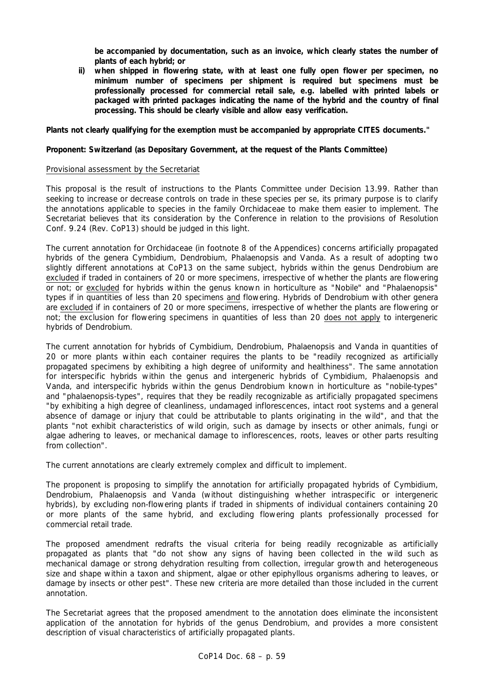**be accompanied by documentation, such as an invoice, which clearly states the number of plants of each hybrid; or** 

 **ii) when shipped in flowering state, with at least one fully open flower per specimen, no minimum number of specimens per shipment is required but specimens must be professionally processed for commercial retail sale, e.g. labelled with printed labels or packaged with printed packages indicating the name of the hybrid and the country of final processing. This should be clearly visible and allow easy verification.** 

## **Plants not clearly qualifying for the exemption must be accompanied by appropriate CITES documents."**

## **Proponent: Switzerland (as Depositary Government, at the request of the Plants Committee)**

### Provisional assessment by the Secretariat

This proposal is the result of instructions to the Plants Committee under Decision 13.99. Rather than seeking to increase or decrease controls on trade in these species *per se*, its primary purpose is to clarify the annotations applicable to species in the family Orchidaceae to make them easier to implement. The Secretariat believes that its consideration by the Conference in relation to the provisions of Resolution Conf. 9.24 (Rev. CoP13) should be judged in this light.

The current annotation for Orchidaceae (in footnote 8 of the Appendices) concerns artificially propagated hybrids of the genera *Cymbidium*, *Dendrobium*, *Phalaenopsis* and *Vanda*. As a result of adopting two slightly different annotations at CoP13 on the same subject, hybrids within the genus *Dendrobium* are excluded if traded in containers of 20 or more specimens, irrespective of whether the plants are flowering or not; or excluded for hybrids within the genus known in horticulture as "Nobile" and "Phalaenopsis" types if in quantities of less than 20 specimens and flowering. Hybrids of *Dendrobium* with other genera are excluded if in containers of 20 or more specimens, irrespective of whether the plants are flowering or not; the exclusion for flowering specimens in quantities of less than 20 does not apply to intergeneric hybrids of *Dendrobium*.

The current annotation for hybrids of *Cymbidium*, *Dendrobium*, *Phalaenopsis* and *Vanda* in quantities of 20 or more plants within each container requires the plants to be "readily recognized as artificially propagated specimens by exhibiting a high degree of uniformity and healthiness". The same annotation for interspecific hybrids within the genus and intergeneric hybrids of *Cymbidium*, *Phalaenopsis* and *Vanda,* and interspecific hybrids within the genus *Dendrobium* known in horticulture as "nobile-types" and "phalaenopsis-types", requires that they be readily recognizable as artificially propagated specimens "by exhibiting a high degree of cleanliness, undamaged inflorescences, intact root systems and a general absence of damage or injury that could be attributable to plants originating in the wild", and that the plants "not exhibit characteristics of wild origin, such as damage by insects or other animals, fungi or algae adhering to leaves, or mechanical damage to inflorescences, roots, leaves or other parts resulting from collection".

The current annotations are clearly extremely complex and difficult to implement.

The proponent is proposing to simplify the annotation for artificially propagated hybrids of *Cymbidium*, *Dendrobium*, *Phalaenopsis* and *Vanda* (without distinguishing whether intraspecific or intergeneric hybrids), by excluding non-flowering plants if traded in shipments of individual containers containing 20 or more plants of the same hybrid, and excluding flowering plants professionally processed for commercial retail trade.

The proposed amendment redrafts the visual criteria for being readily recognizable as artificially propagated as plants that "do not show any signs of having been collected in the wild such as mechanical damage or strong dehydration resulting from collection, irregular growth and heterogeneous size and shape within a taxon and shipment, algae or other epiphyllous organisms adhering to leaves, or damage by insects or other pest". These new criteria are more detailed than those included in the current annotation.

The Secretariat agrees that the proposed amendment to the annotation does eliminate the inconsistent application of the annotation for hybrids of the genus *Dendrobium*, and provides a more consistent description of visual characteristics of artificially propagated plants.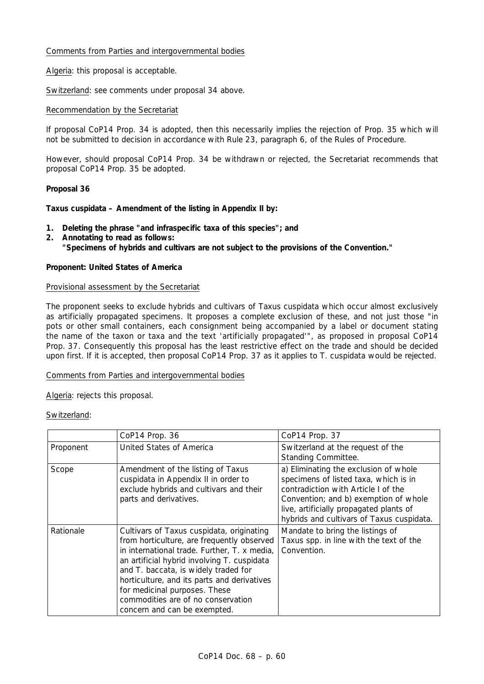## Comments from Parties and intergovernmental bodies

Algeria: this proposal is acceptable.

Switzerland: see comments under proposal 34 above.

## Recommendation by the Secretariat

If proposal CoP14 Prop. 34 is adopted, then this necessarily implies the rejection of Prop. 35 which will not be submitted to decision in accordance with Rule 23, paragraph 6, of the Rules of Procedure.

However, should proposal CoP14 Prop. 34 be withdrawn or rejected, the Secretariat recommends that proposal CoP14 Prop. 35 be adopted.

## **Proposal 36**

*Taxus cuspidata* **– Amendment of the listing in Appendix II by:** 

- **1. Deleting the phrase "and infraspecific taxa of this species"; and**
- **2. Annotating to read as follows:**

 **"Specimens of hybrids and cultivars are not subject to the provisions of the Convention."** 

## **Proponent: United States of America**

### Provisional assessment by the Secretariat

The proponent seeks to exclude hybrids and cultivars of *Taxus cuspidata* which occur almost exclusively as artificially propagated specimens. It proposes a complete exclusion of these, and not just those "in pots or other small containers, each consignment being accompanied by a label or document stating the name of the taxon or taxa and the text 'artificially propagated'", as proposed in proposal CoP14 Prop. 37. Consequently this proposal has the least restrictive effect on the trade and should be decided upon first. If it is accepted, then proposal CoP14 Prop. 37 as it applies to *T. cuspidata* would be rejected.

### Comments from Parties and intergovernmental bodies

Algeria: rejects this proposal.

## Switzerland:

|           | CoP14 Prop. 36                                                                                                                                                                                                                                                                                                                                                                       | CoP14 Prop. 37                                                                                                                                                                                                                                         |
|-----------|--------------------------------------------------------------------------------------------------------------------------------------------------------------------------------------------------------------------------------------------------------------------------------------------------------------------------------------------------------------------------------------|--------------------------------------------------------------------------------------------------------------------------------------------------------------------------------------------------------------------------------------------------------|
| Proponent | United States of America                                                                                                                                                                                                                                                                                                                                                             | Switzerland at the request of the<br>Standing Committee.                                                                                                                                                                                               |
| Scope     | Amendment of the listing of Taxus<br>cuspidata in Appendix II in order to<br>exclude hybrids and cultivars and their<br>parts and derivatives.                                                                                                                                                                                                                                       | a) Eliminating the exclusion of whole<br>specimens of listed taxa, which is in<br>contradiction with Article I of the<br>Convention; and b) exemption of whole<br>live, artificially propagated plants of<br>hybrids and cultivars of Taxus cuspidata. |
| Rationale | Cultivars of Taxus cuspidata, originating<br>from horticulture, are frequently observed<br>in international trade. Further, T. x media,<br>an artificial hybrid involving T. cuspidata<br>and T. baccata, is widely traded for<br>horticulture, and its parts and derivatives<br>for medicinal purposes. These<br>commodities are of no conservation<br>concern and can be exempted. | Mandate to bring the listings of<br>Taxus spp. in line with the text of the<br>Convention.                                                                                                                                                             |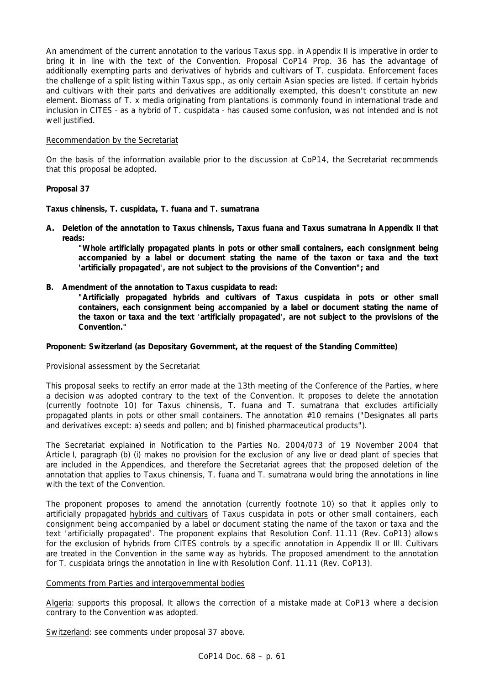An amendment of the current annotation to the various *Taxus* spp. in Appendix II is imperative in order to bring it in line with the text of the Convention. Proposal CoP14 Prop. 36 has the advantage of additionally exempting parts and derivatives of hybrids and cultivars of *T. cuspidata*. Enforcement faces the challenge of a split listing within *Taxus* spp., as only certain Asian species are listed. If certain hybrids and cultivars with their parts and derivatives are additionally exempted, this doesn't constitute an new element. Biomass of *T.* x *media* originating from plantations is commonly found in international trade and inclusion in CITES - as a hybrid of *T. cuspidata* - has caused some confusion, was not intended and is not well justified.

## Recommendation by the Secretariat

On the basis of the information available prior to the discussion at CoP14, the Secretariat recommends that this proposal be adopted.

## **Proposal 37**

*Taxus chinensis, T. cuspidata, T. fuana* **and** *T. sumatrana*

**A. Deletion of the annotation to** *Taxus chinensis***,** *Taxus fuana* **and** *Taxus sumatrana* **in Appendix II that reads:** 

 **"Whole artificially propagated plants in pots or other small containers, each consignment being accompanied by a label or document stating the name of the taxon or taxa and the text 'artificially propagated', are not subject to the provisions of the Convention"; and** 

- **B. Amendment of the annotation to** *Taxus cuspidata* **to read:** 
	- **"Artificially propagated hybrids and cultivars of** *Taxus cuspidata* **in pots or other small containers, each consignment being accompanied by a label or document stating the name of the taxon or taxa and the text 'artificially propagated', are not subject to the provisions of the Convention."**

**Proponent: Switzerland (as Depositary Government, at the request of the Standing Committee)** 

### Provisional assessment by the Secretariat

This proposal seeks to rectify an error made at the 13th meeting of the Conference of the Parties, where a decision was adopted contrary to the text of the Convention. It proposes to delete the annotation (currently footnote 10) for *Taxus chinensis*, *T. fuana* and *T. sumatrana* that excludes artificially propagated plants in pots or other small containers. The annotation #10 remains ("Designates all parts and derivatives except: a) seeds and pollen; and b) finished pharmaceutical products").

The Secretariat explained in Notification to the Parties No. 2004/073 of 19 November 2004 that Article I, paragraph (b) (i) makes no provision for the exclusion of any live or dead plant of species that are included in the Appendices, and therefore the Secretariat agrees that the proposed deletion of the annotation that applies to *Taxus chinensis*, *T. fuana* and *T. sumatrana* would bring the annotations in line with the text of the Convention.

The proponent proposes to amend the annotation (currently footnote 10) so that it applies only to artificially propagated hybrids and cultivars of *Taxus cuspidata* in pots or other small containers, each consignment being accompanied by a label or document stating the name of the taxon or taxa and the text 'artificially propagated'. The proponent explains that Resolution Conf. 11.11 (Rev. CoP13) allows for the exclusion of hybrids from CITES controls by a specific annotation in Appendix II or III. Cultivars are treated in the Convention in the same way as hybrids. The proposed amendment to the annotation for *T. cuspidata* brings the annotation in line with Resolution Conf. 11.11 (Rev. CoP13).

## Comments from Parties and intergovernmental bodies

Algeria: supports this proposal. It allows the correction of a mistake made at CoP13 where a decision contrary to the Convention was adopted.

Switzerland: see comments under proposal 37 above.